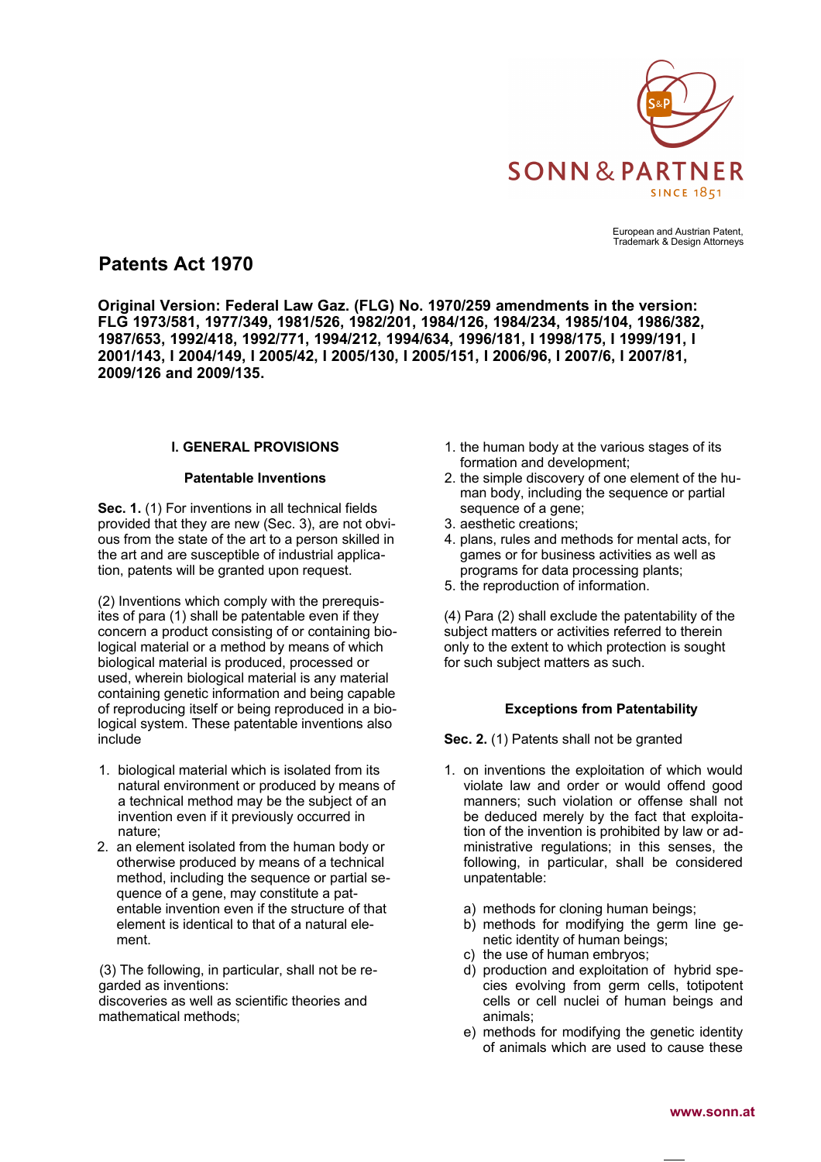

European and Austrian Patent, Trademark & Design Attorneys

# **Patents Act 1970**

**Original Version: Federal Law Gaz. (FLG) No. 1970/259 amendments in the version: FLG 1973/581, 1977/349, 1981/526, 1982/201, 1984/126, 1984/234, 1985/104, 1986/382, 1987/653, 1992/418, 1992/771, 1994/212, 1994/634, 1996/181, I 1998/175, I 1999/191, I 2001/143, I 2004/149, I 2005/42, I 2005/130, I 2005/151, I 2006/96, I 2007/6, I 2007/81, 2009/126 and 2009/135.**

# **I. GENERAL PROVISIONS**

### **Patentable Inventions**

**Sec. 1.** (1) For inventions in all technical fields provided that they are new (Sec. 3), are not obvious from the state of the art to a person skilled in the art and are susceptible of industrial application, patents will be granted upon request.

(2) Inventions which comply with the prerequisites of para (1) shall be patentable even if they concern a product consisting of or containing biological material or a method by means of which biological material is produced, processed or used, wherein biological material is any material containing genetic information and being capable of reproducing itself or being reproduced in a biological system. These patentable inventions also include

- 1. biological material which is isolated from its natural environment or produced by means of a technical method may be the subject of an invention even if it previously occurred in nature;
- 2. an element isolated from the human body or otherwise produced by means of a technical method, including the sequence or partial sequence of a gene, may constitute a patentable invention even if the structure of that element is identical to that of a natural element.

(3) The following, in particular, shall not be regarded as inventions:

discoveries as well as scientific theories and mathematical methods;

- 1. the human body at the various stages of its formation and development;
- 2. the simple discovery of one element of the human body, including the sequence or partial sequence of a gene;
- 3. aesthetic creations;
- 4. plans, rules and methods for mental acts, for games or for business activities as well as programs for data processing plants;
- 5. the reproduction of information.

(4) Para (2) shall exclude the patentability of the subject matters or activities referred to therein only to the extent to which protection is sought for such subject matters as such.

# **Exceptions from Patentability**

**Sec. 2.** (1) Patents shall not be granted

- 1. on inventions the exploitation of which would violate law and order or would offend good manners; such violation or offense shall not be deduced merely by the fact that exploitation of the invention is prohibited by law or administrative regulations; in this senses, the following, in particular, shall be considered unpatentable:
	- a) methods for cloning human beings;
	- b) methods for modifying the germ line genetic identity of human beings;
	- c) the use of human embryos;
	- d) production and exploitation of hybrid species evolving from germ cells, totipotent cells or cell nuclei of human beings and animals;
	- e) methods for modifying the genetic identity of animals which are used to cause these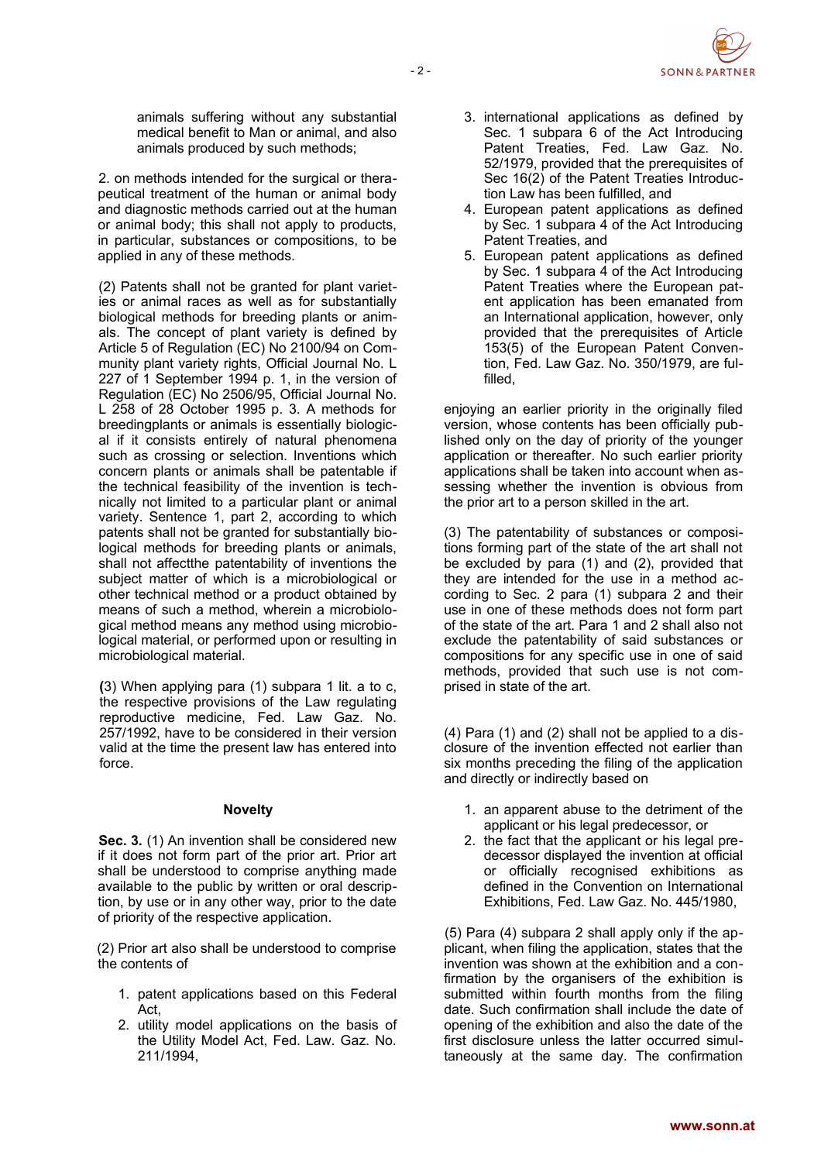

animals suffering without any substantial medical benefit to Man or animal, and also animals produced by such methods;

2. on methods intended for the surgical or therapeutical treatment of the human or animal body and diagnostic methods carried out at the human or animal body; this shall not apply to products, in particular, substances or compositions, to be applied in any of these methods.

(2) Patents shall not be granted for plant varieties or animal races as well as for substantially biological methods for breeding plants or animals. The concept of plant variety is defined by Article 5 of Regulation (EC) No 2100/94 on Community plant variety rights, Official Journal No. L 227 of 1 September 1994 p. 1, in the version of Regulation (EC) No 2506/95, Official Journal No. L 258 of 28 October 1995 p. 3. A methods for breedingplants or animals is essentially biological if it consists entirely of natural phenomena such as crossing or selection. Inventions which concern plants or animals shall be patentable if the technical feasibility of the invention is technically not limited to a particular plant or animal variety. Sentence 1, part 2, according to which patents shall not be granted for substantially biological methods for breeding plants or animals, shall not affectthe patentability of inventions the subject matter of which is a microbiological or other technical method or a product obtained by means of such a method, wherein a microbiological method means any method using microbiological material, or performed upon or resulting in microbiological material.

**(**3) When applying para (1) subpara 1 lit. a to c, the respective provisions of the Law regulating reproductive medicine, Fed. Law Gaz. No. 257/1992, have to be considered in their version valid at the time the present law has entered into force.

#### **Novelty**

**Sec. 3.** (1) An invention shall be considered new if it does not form part of the prior art. Prior art shall be understood to comprise anything made available to the public by written or oral description, by use or in any other way, prior to the date of priority of the respective application.

(2) Prior art also shall be understood to comprise the contents of

- 1. patent applications based on this Federal Act,
- 2. utility model applications on the basis of the Utility Model Act, Fed. Law. Gaz. No. 211/1994,
- 3. international applications as defined by Sec. 1 subpara 6 of the Act Introducing Patent Treaties, Fed. Law Gaz. No. 52/1979, provided that the prerequisites of Sec 16(2) of the Patent Treaties Introduction Law has been fulfilled, and
- 4. European patent applications as defined by Sec. 1 subpara 4 of the Act Introducing Patent Treaties, and
- 5. European patent applications as defined by Sec. 1 subpara 4 of the Act Introducing Patent Treaties where the European patent application has been emanated from an International application, however, only provided that the prerequisites of Article 153(5) of the European Patent Convention, Fed. Law Gaz. No. 350/1979, are fulfilled,

enjoying an earlier priority in the originally filed version, whose contents has been officially published only on the day of priority of the younger application or thereafter. No such earlier priority applications shall be taken into account when assessing whether the invention is obvious from the prior art to a person skilled in the art.

(3) The patentability of substances or compositions forming part of the state of the art shall not be excluded by para (1) and (2), provided that they are intended for the use in a method according to Sec. 2 para (1) subpara 2 and their use in one of these methods does not form part of the state of the art. Para 1 and 2 shall also not exclude the patentability of said substances or compositions for any specific use in one of said methods, provided that such use is not comprised in state of the art.

(4) Para (1) and (2) shall not be applied to a disclosure of the invention effected not earlier than six months preceding the filing of the application and directly or indirectly based on

- 1. an apparent abuse to the detriment of the applicant or his legal predecessor, or
- 2. the fact that the applicant or his legal predecessor displayed the invention at official or officially recognised exhibitions as defined in the Convention on International Exhibitions, Fed. Law Gaz. No. 445/1980,

(5) Para (4) subpara 2 shall apply only if the applicant, when filing the application, states that the invention was shown at the exhibition and a confirmation by the organisers of the exhibition is submitted within fourth months from the filing date. Such confirmation shall include the date of opening of the exhibition and also the date of the first disclosure unless the latter occurred simultaneously at the same day. The confirmation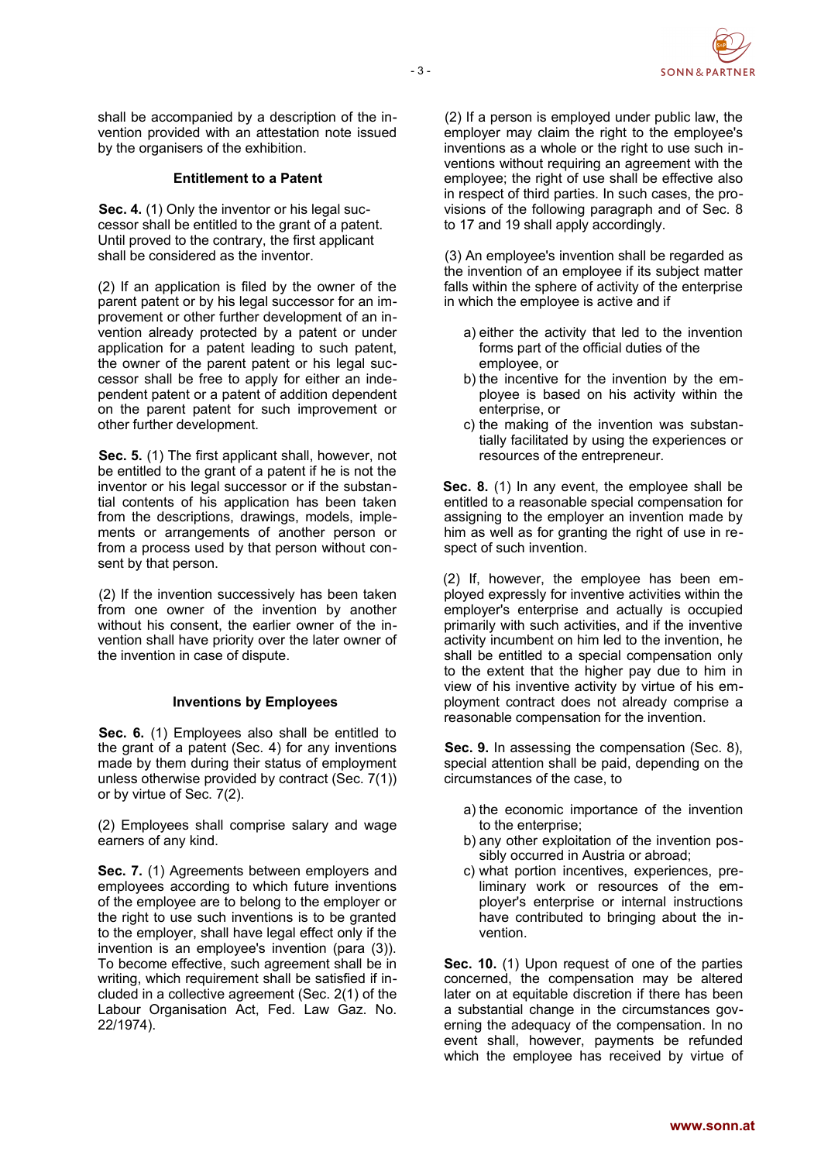

shall be accompanied by a description of the invention provided with an attestation note issued by the organisers of the exhibition.

#### **Entitlement to a Patent**

**Sec. 4.** (1) Only the inventor or his legal successor shall be entitled to the grant of a patent. Until proved to the contrary, the first applicant shall be considered as the inventor.

(2) If an application is filed by the owner of the parent patent or by his legal successor for an improvement or other further development of an invention already protected by a patent or under application for a patent leading to such patent, the owner of the parent patent or his legal successor shall be free to apply for either an independent patent or a patent of addition dependent on the parent patent for such improvement or other further development.

**Sec. 5.** (1) The first applicant shall, however, not be entitled to the grant of a patent if he is not the inventor or his legal successor or if the substantial contents of his application has been taken from the descriptions, drawings, models, implements or arrangements of another person or from a process used by that person without consent by that person.

(2) If the invention successively has been taken from one owner of the invention by another without his consent, the earlier owner of the invention shall have priority over the later owner of the invention in case of dispute.

### **Inventions by Employees**

**Sec. 6.** (1) Employees also shall be entitled to the grant of a patent (Sec. 4) for any inventions made by them during their status of employment unless otherwise provided by contract (Sec. 7(1)) or by virtue of Sec. 7(2).

(2) Employees shall comprise salary and wage earners of any kind.

**Sec. 7.** (1) Agreements between employers and employees according to which future inventions of the employee are to belong to the employer or the right to use such inventions is to be granted to the employer, shall have legal effect only if the invention is an employee's invention (para (3)). To become effective, such agreement shall be in writing, which requirement shall be satisfied if included in a collective agreement (Sec. 2(1) of the Labour Organisation Act, Fed. Law Gaz. No. 22/1974).

(2) If a person is employed under public law, the employer may claim the right to the employee's inventions as a whole or the right to use such inventions without requiring an agreement with the employee; the right of use shall be effective also in respect of third parties. In such cases, the provisions of the following paragraph and of Sec. 8 to 17 and 19 shall apply accordingly.

(3) An employee's invention shall be regarded as the invention of an employee if its subject matter falls within the sphere of activity of the enterprise in which the employee is active and if

- a) either the activity that led to the invention forms part of the official duties of the employee, or
- b) the incentive for the invention by the employee is based on his activity within the enterprise, or
- c) the making of the invention was substantially facilitated by using the experiences or resources of the entrepreneur.

**Sec. 8.** (1) In any event, the employee shall be entitled to a reasonable special compensation for assigning to the employer an invention made by him as well as for granting the right of use in respect of such invention.

(2) If, however, the employee has been employed expressly for inventive activities within the employer's enterprise and actually is occupied primarily with such activities, and if the inventive activity incumbent on him led to the invention, he shall be entitled to a special compensation only to the extent that the higher pay due to him in view of his inventive activity by virtue of his employment contract does not already comprise a reasonable compensation for the invention.

**Sec. 9.** In assessing the compensation (Sec. 8), special attention shall be paid, depending on the circumstances of the case, to

- a) the economic importance of the invention to the enterprise;
- b) any other exploitation of the invention possibly occurred in Austria or abroad;
- c) what portion incentives, experiences, preliminary work or resources of the employer's enterprise or internal instructions have contributed to bringing about the invention.

**Sec. 10.** (1) Upon request of one of the parties concerned, the compensation may be altered later on at equitable discretion if there has been a substantial change in the circumstances governing the adequacy of the compensation. In no event shall, however, payments be refunded which the employee has received by virtue of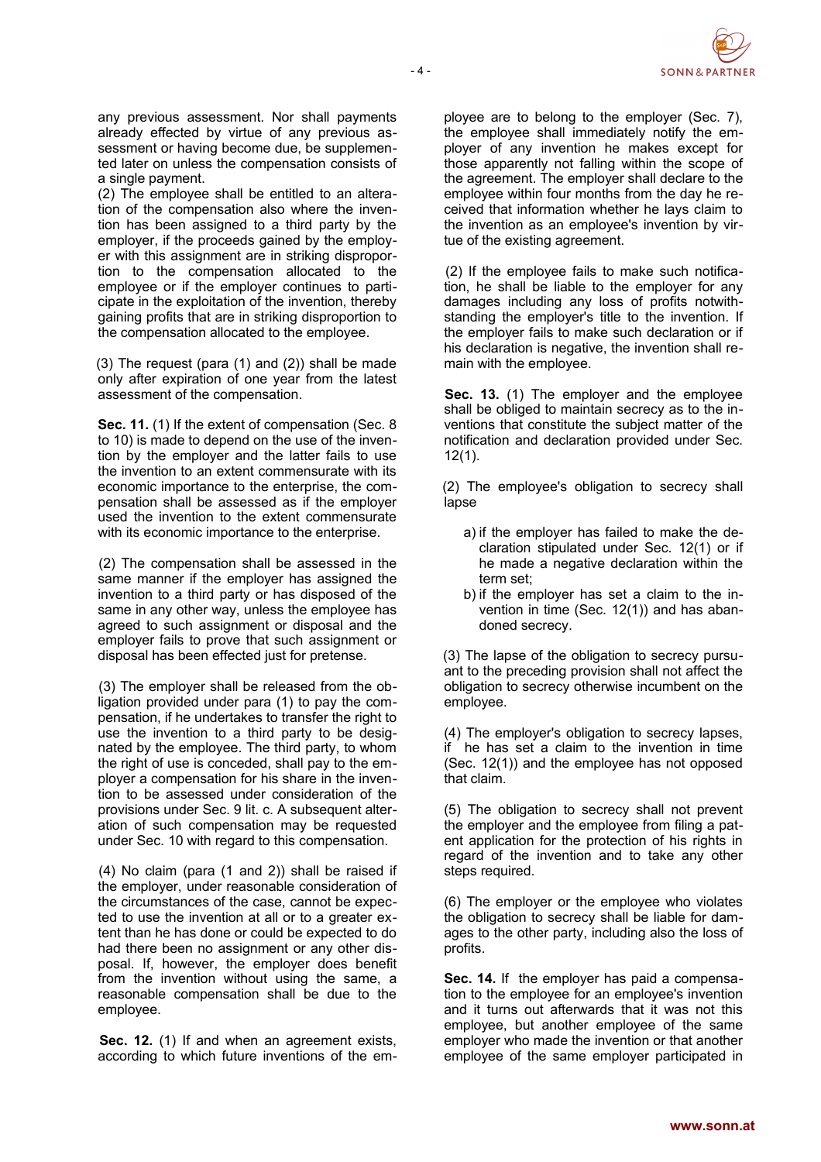

any previous assessment. Nor shall payments already effected by virtue of any previous assessment or having become due, be supplemented later on unless the compensation consists of a single payment.

(2) The employee shall be entitled to an alteration of the compensation also where the invention has been assigned to a third party by the employer, if the proceeds gained by the employer with this assignment are in striking disproportion to the compensation allocated to the employee or if the employer continues to participate in the exploitation of the invention, thereby gaining profits that are in striking disproportion to the compensation allocated to the employee.

(3) The request (para (1) and (2)) shall be made only after expiration of one year from the latest assessment of the compensation.

Sec. 11. (1) If the extent of compensation (Sec. 8) to 10) is made to depend on the use of the invention by the employer and the latter fails to use the invention to an extent commensurate with its economic importance to the enterprise, the compensation shall be assessed as if the employer used the invention to the extent commensurate with its economic importance to the enterprise.

(2) The compensation shall be assessed in the same manner if the employer has assigned the invention to a third party or has disposed of the same in any other way, unless the employee has agreed to such assignment or disposal and the employer fails to prove that such assignment or disposal has been effected just for pretense.

(3) The employer shall be released from the obligation provided under para (1) to pay the compensation, if he undertakes to transfer the right to use the invention to a third party to be designated by the employee. The third party, to whom the right of use is conceded, shall pay to the employer a compensation for his share in the invention to be assessed under consideration of the provisions under Sec. 9 lit. c. A subsequent alteration of such compensation may be requested under Sec. 10 with regard to this compensation.

(4) No claim (para (1 and 2)) shall be raised if the employer, under reasonable consideration of the circumstances of the case, cannot be expected to use the invention at all or to a greater extent than he has done or could be expected to do had there been no assignment or any other disposal. If, however, the employer does benefit from the invention without using the same, a reasonable compensation shall be due to the employee.

**Sec. 12.** (1) If and when an agreement exists, according to which future inventions of the employee are to belong to the employer (Sec. 7), the employee shall immediately notify the employer of any invention he makes except for those apparently not falling within the scope of the agreement. The employer shall declare to the employee within four months from the day he received that information whether he lays claim to the invention as an employee's invention by virtue of the existing agreement.

(2) If the employee fails to make such notification, he shall be liable to the employer for any damages including any loss of profits notwithstanding the employer's title to the invention. If the employer fails to make such declaration or if his declaration is negative, the invention shall remain with the employee.

**Sec. 13.** (1) The employer and the employee shall be obliged to maintain secrecy as to the inventions that constitute the subject matter of the notification and declaration provided under Sec. 12(1).

(2) The employee's obligation to secrecy shall lapse

- a) if the employer has failed to make the declaration stipulated under Sec. 12(1) or if he made a negative declaration within the term set;
- b) if the employer has set a claim to the invention in time (Sec. 12(1)) and has abandoned secrecy.

(3) The lapse of the obligation to secrecy pursuant to the preceding provision shall not affect the obligation to secrecy otherwise incumbent on the employee.

(4) The employer's obligation to secrecy lapses, if he has set a claim to the invention in time (Sec. 12(1)) and the employee has not opposed that claim.

(5) The obligation to secrecy shall not prevent the employer and the employee from filing a patent application for the protection of his rights in regard of the invention and to take any other steps required.

(6) The employer or the employee who violates the obligation to secrecy shall be liable for damages to the other party, including also the loss of profits.

**Sec. 14.** If the employer has paid a compensation to the employee for an employee's invention and it turns out afterwards that it was not this employee, but another employee of the same employer who made the invention or that another employee of the same employer participated in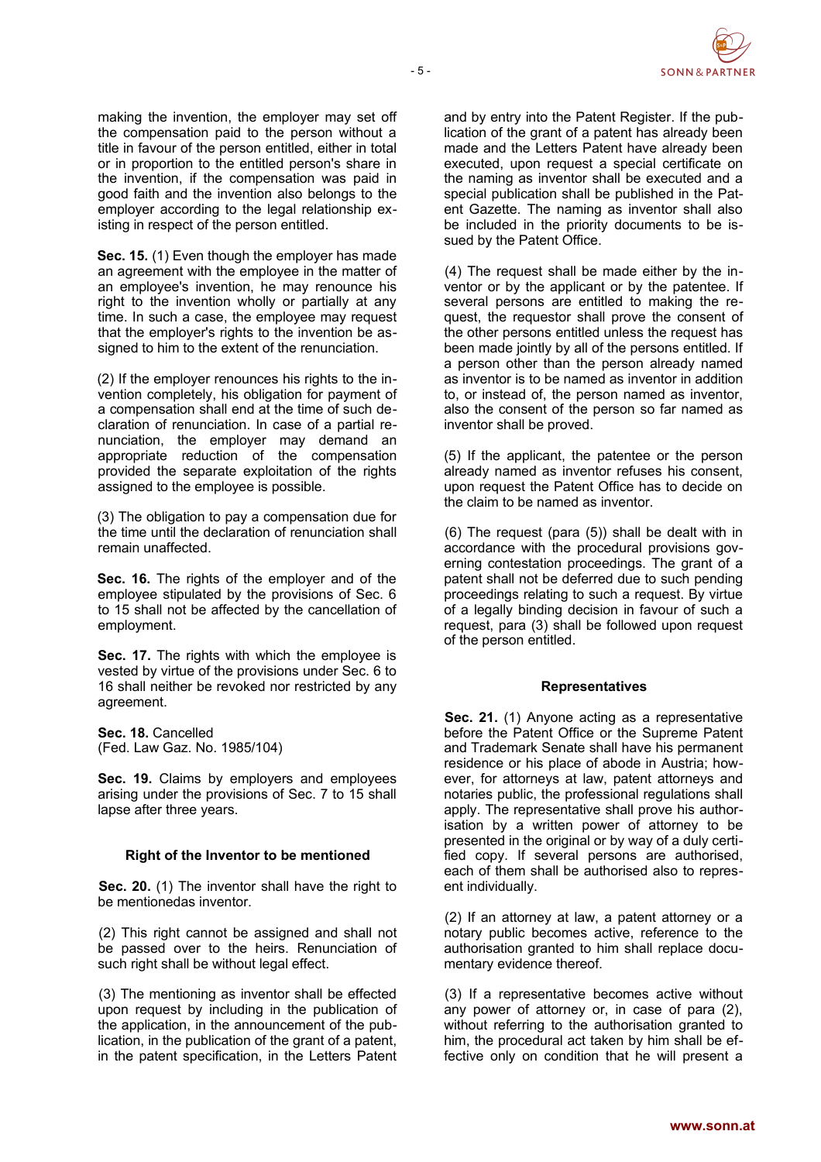

making the invention, the employer may set off the compensation paid to the person without a title in favour of the person entitled, either in total or in proportion to the entitled person's share in the invention, if the compensation was paid in good faith and the invention also belongs to the employer according to the legal relationship existing in respect of the person entitled.

**Sec. 15.** (1) Even though the employer has made an agreement with the employee in the matter of an employee's invention, he may renounce his right to the invention wholly or partially at any time. In such a case, the employee may request that the employer's rights to the invention be assigned to him to the extent of the renunciation.

(2) If the employer renounces his rights to the invention completely, his obligation for payment of a compensation shall end at the time of such declaration of renunciation. In case of a partial renunciation, the employer may demand an appropriate reduction of the compensation provided the separate exploitation of the rights assigned to the employee is possible.

(3) The obligation to pay a compensation due for the time until the declaration of renunciation shall remain unaffected.

**Sec. 16.** The rights of the employer and of the employee stipulated by the provisions of Sec. 6 to 15 shall not be affected by the cancellation of employment.

**Sec. 17.** The rights with which the employee is vested by virtue of the provisions under Sec. 6 to 16 shall neither be revoked nor restricted by any agreement.

**Sec. 18.** Cancelled (Fed. Law Gaz. No. 1985/104)

**Sec. 19.** Claims by employers and employees arising under the provisions of Sec. 7 to 15 shall lapse after three years.

#### **Right of the Inventor to be mentioned**

**Sec. 20.** (1) The inventor shall have the right to be mentionedas inventor.

(2) This right cannot be assigned and shall not be passed over to the heirs. Renunciation of such right shall be without legal effect.

(3) The mentioning as inventor shall be effected upon request by including in the publication of the application, in the announcement of the publication, in the publication of the grant of a patent, in the patent specification, in the Letters Patent and by entry into the Patent Register. If the publication of the grant of a patent has already been made and the Letters Patent have already been executed, upon request a special certificate on the naming as inventor shall be executed and a special publication shall be published in the Patent Gazette. The naming as inventor shall also be included in the priority documents to be issued by the Patent Office.

(4) The request shall be made either by the inventor or by the applicant or by the patentee. If several persons are entitled to making the request, the requestor shall prove the consent of the other persons entitled unless the request has been made jointly by all of the persons entitled. If a person other than the person already named as inventor is to be named as inventor in addition to, or instead of, the person named as inventor, also the consent of the person so far named as inventor shall be proved.

(5) If the applicant, the patentee or the person already named as inventor refuses his consent, upon request the Patent Office has to decide on the claim to be named as inventor.

(6) The request (para (5)) shall be dealt with in accordance with the procedural provisions governing contestation proceedings. The grant of a patent shall not be deferred due to such pending proceedings relating to such a request. By virtue of a legally binding decision in favour of such a request, para (3) shall be followed upon request of the person entitled.

#### **Representatives**

**Sec. 21.** (1) Anyone acting as a representative before the Patent Office or the Supreme Patent and Trademark Senate shall have his permanent residence or his place of abode in Austria; however, for attorneys at law, patent attorneys and notaries public, the professional regulations shall apply. The representative shall prove his authorisation by a written power of attorney to be presented in the original or by way of a duly certified copy. If several persons are authorised, each of them shall be authorised also to represent individually.

(2) If an attorney at law, a patent attorney or a notary public becomes active, reference to the authorisation granted to him shall replace documentary evidence thereof.

(3) If a representative becomes active without any power of attorney or, in case of para (2), without referring to the authorisation granted to him, the procedural act taken by him shall be effective only on condition that he will present a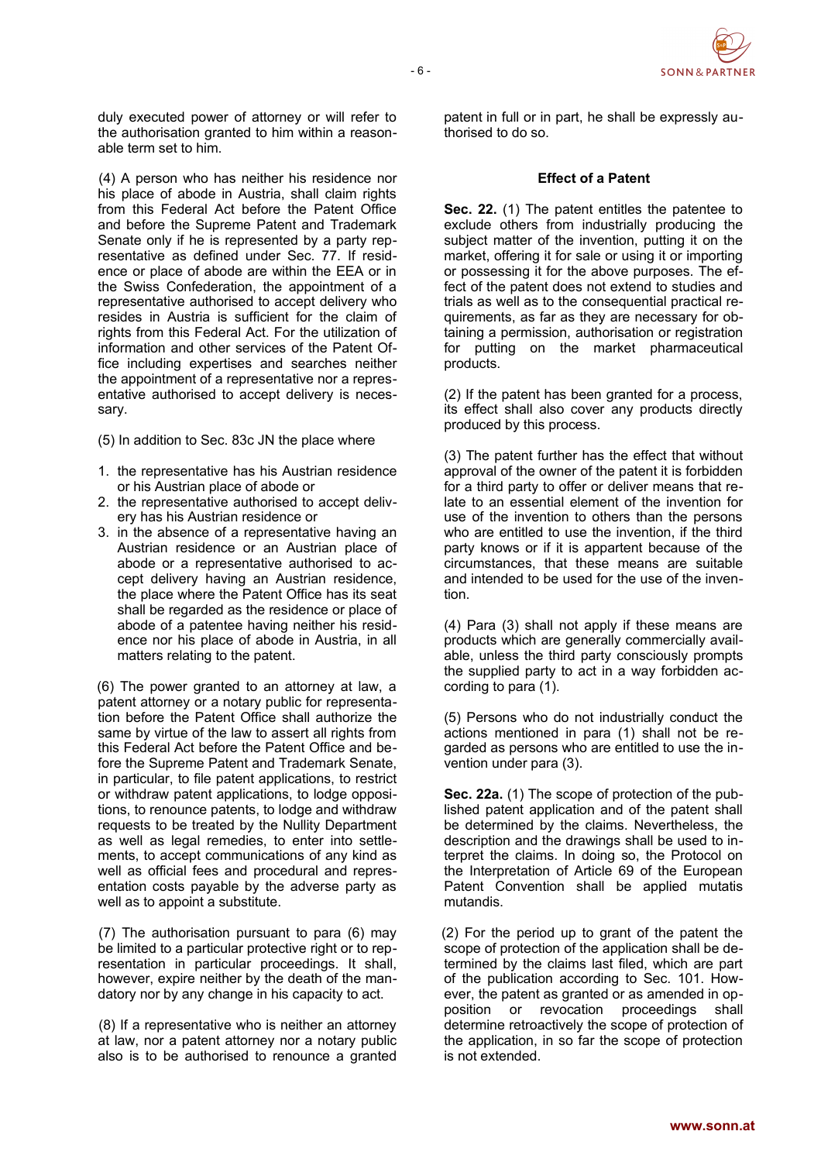duly executed power of attorney or will refer to the authorisation granted to him within a reasonable term set to him.

(4) A person who has neither his residence nor his place of abode in Austria, shall claim rights from this Federal Act before the Patent Office and before the Supreme Patent and Trademark Senate only if he is represented by a party representative as defined under Sec. 77. If residence or place of abode are within the EEA or in the Swiss Confederation, the appointment of a representative authorised to accept delivery who resides in Austria is sufficient for the claim of rights from this Federal Act. For the utilization of information and other services of the Patent Office including expertises and searches neither the appointment of a representative nor a representative authorised to accept delivery is necessary.

(5) In addition to Sec. 83c JN the place where

- 1. the representative has his Austrian residence or his Austrian place of abode or
- 2. the representative authorised to accept delivery has his Austrian residence or
- 3. in the absence of a representative having an Austrian residence or an Austrian place of abode or a representative authorised to accept delivery having an Austrian residence, the place where the Patent Office has its seat shall be regarded as the residence or place of abode of a patentee having neither his residence nor his place of abode in Austria, in all matters relating to the patent.

(6) The power granted to an attorney at law, a patent attorney or a notary public for representation before the Patent Office shall authorize the same by virtue of the law to assert all rights from this Federal Act before the Patent Office and before the Supreme Patent and Trademark Senate, in particular, to file patent applications, to restrict or withdraw patent applications, to lodge oppositions, to renounce patents, to lodge and withdraw requests to be treated by the Nullity Department as well as legal remedies, to enter into settlements, to accept communications of any kind as well as official fees and procedural and representation costs payable by the adverse party as well as to appoint a substitute.

(7) The authorisation pursuant to para (6) may be limited to a particular protective right or to representation in particular proceedings. It shall, however, expire neither by the death of the mandatory nor by any change in his capacity to act.

(8) If a representative who is neither an attorney at law, nor a patent attorney nor a notary public also is to be authorised to renounce a granted



patent in full or in part, he shall be expressly authorised to do so.

#### **Effect of a Patent**

**Sec. 22.** (1) The patent entitles the patentee to exclude others from industrially producing the subject matter of the invention, putting it on the market, offering it for sale or using it or importing or possessing it for the above purposes. The effect of the patent does not extend to studies and trials as well as to the consequential practical requirements, as far as they are necessary for obtaining a permission, authorisation or registration for putting on the market pharmaceutical products.

(2) If the patent has been granted for a process, its effect shall also cover any products directly produced by this process.

(3) The patent further has the effect that without approval of the owner of the patent it is forbidden for a third party to offer or deliver means that relate to an essential element of the invention for use of the invention to others than the persons who are entitled to use the invention, if the third party knows or if it is appartent because of the circumstances, that these means are suitable and intended to be used for the use of the invention.

(4) Para (3) shall not apply if these means are products which are generally commercially available, unless the third party consciously prompts the supplied party to act in a way forbidden according to para (1).

(5) Persons who do not industrially conduct the actions mentioned in para (1) shall not be regarded as persons who are entitled to use the invention under para (3).

**Sec. 22a.** (1) The scope of protection of the published patent application and of the patent shall be determined by the claims. Nevertheless, the description and the drawings shall be used to interpret the claims. In doing so, the Protocol on the Interpretation of Article 69 of the European Patent Convention shall be applied mutatis mutandis.

(2) For the period up to grant of the patent the scope of protection of the application shall be determined by the claims last filed, which are part of the publication according to Sec. 101. However, the patent as granted or as amended in opposition or revocation proceedings shall determine retroactively the scope of protection of the application, in so far the scope of protection is not extended.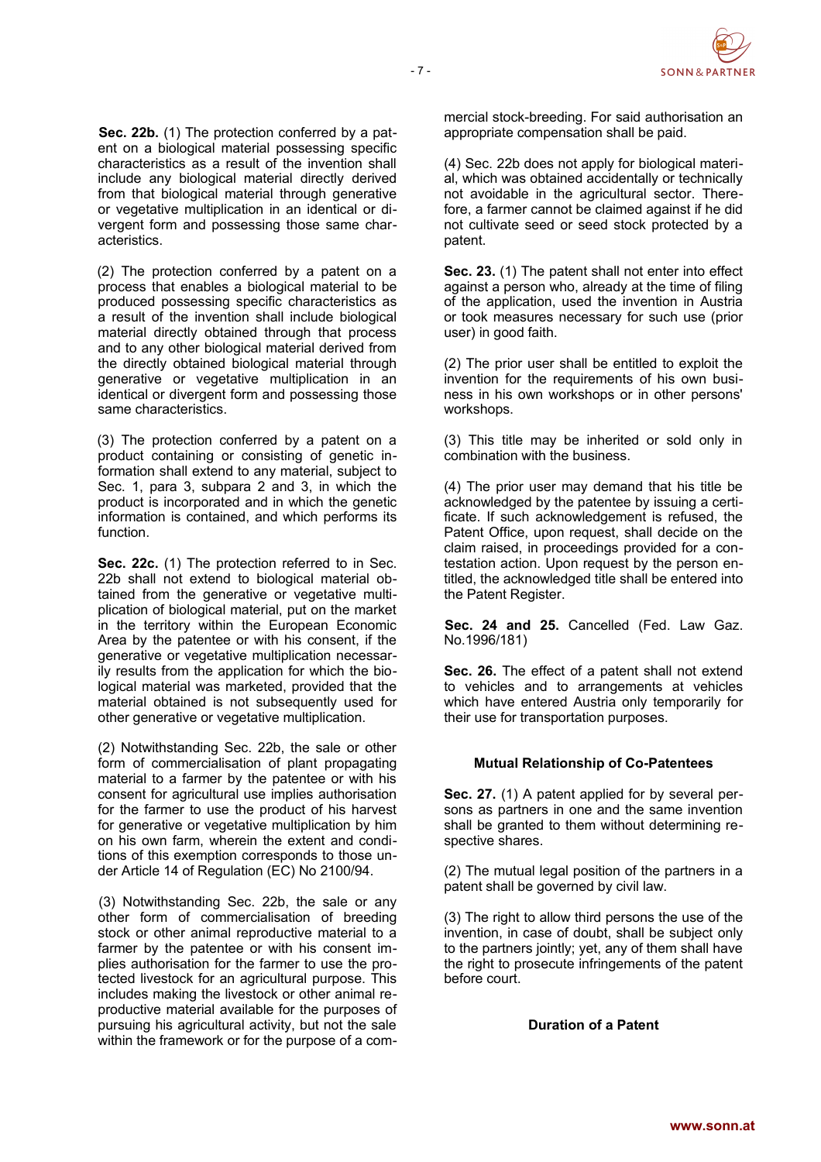

**Sec. 22b.** (1) The protection conferred by a patent on a biological material possessing specific characteristics as a result of the invention shall include any biological material directly derived from that biological material through generative or vegetative multiplication in an identical or divergent form and possessing those same characteristics.

(2) The protection conferred by a patent on a process that enables a biological material to be produced possessing specific characteristics as a result of the invention shall include biological material directly obtained through that process and to any other biological material derived from the directly obtained biological material through generative or vegetative multiplication in an identical or divergent form and possessing those same characteristics.

(3) The protection conferred by a patent on a product containing or consisting of genetic information shall extend to any material, subject to Sec. 1, para 3, subpara 2 and 3, in which the product is incorporated and in which the genetic information is contained, and which performs its function.

**Sec. 22c.** (1) The protection referred to in Sec. 22b shall not extend to biological material obtained from the generative or vegetative multiplication of biological material, put on the market in the territory within the European Economic Area by the patentee or with his consent, if the generative or vegetative multiplication necessarily results from the application for which the biological material was marketed, provided that the material obtained is not subsequently used for other generative or vegetative multiplication.

(2) Notwithstanding Sec. 22b, the sale or other form of commercialisation of plant propagating material to a farmer by the patentee or with his consent for agricultural use implies authorisation for the farmer to use the product of his harvest for generative or vegetative multiplication by him on his own farm, wherein the extent and conditions of this exemption corresponds to those under Article 14 of Regulation (EC) No 2100/94.

(3) Notwithstanding Sec. 22b, the sale or any other form of commercialisation of breeding stock or other animal reproductive material to a farmer by the patentee or with his consent implies authorisation for the farmer to use the protected livestock for an agricultural purpose. This includes making the livestock or other animal reproductive material available for the purposes of pursuing his agricultural activity, but not the sale within the framework or for the purpose of a commercial stock-breeding. For said authorisation an appropriate compensation shall be paid.

(4) Sec. 22b does not apply for biological material, which was obtained accidentally or technically not avoidable in the agricultural sector. Therefore, a farmer cannot be claimed against if he did not cultivate seed or seed stock protected by a patent.

**Sec. 23.** (1) The patent shall not enter into effect against a person who, already at the time of filing of the application, used the invention in Austria or took measures necessary for such use (prior user) in good faith.

(2) The prior user shall be entitled to exploit the invention for the requirements of his own business in his own workshops or in other persons' workshops.

(3) This title may be inherited or sold only in combination with the business.

(4) The prior user may demand that his title be acknowledged by the patentee by issuing a certificate. If such acknowledgement is refused, the Patent Office, upon request, shall decide on the claim raised, in proceedings provided for a contestation action. Upon request by the person entitled, the acknowledged title shall be entered into the Patent Register.

Sec. 24 and 25. Cancelled (Fed. Law Gaz. No.1996/181)

**Sec. 26.** The effect of a patent shall not extend to vehicles and to arrangements at vehicles which have entered Austria only temporarily for their use for transportation purposes.

### **Mutual Relationship of Co-Patentees**

**Sec. 27.** (1) A patent applied for by several persons as partners in one and the same invention shall be granted to them without determining respective shares.

(2) The mutual legal position of the partners in a patent shall be governed by civil law.

(3) The right to allow third persons the use of the invention, in case of doubt, shall be subject only to the partners jointly; yet, any of them shall have the right to prosecute infringements of the patent before court.

**Duration of a Patent**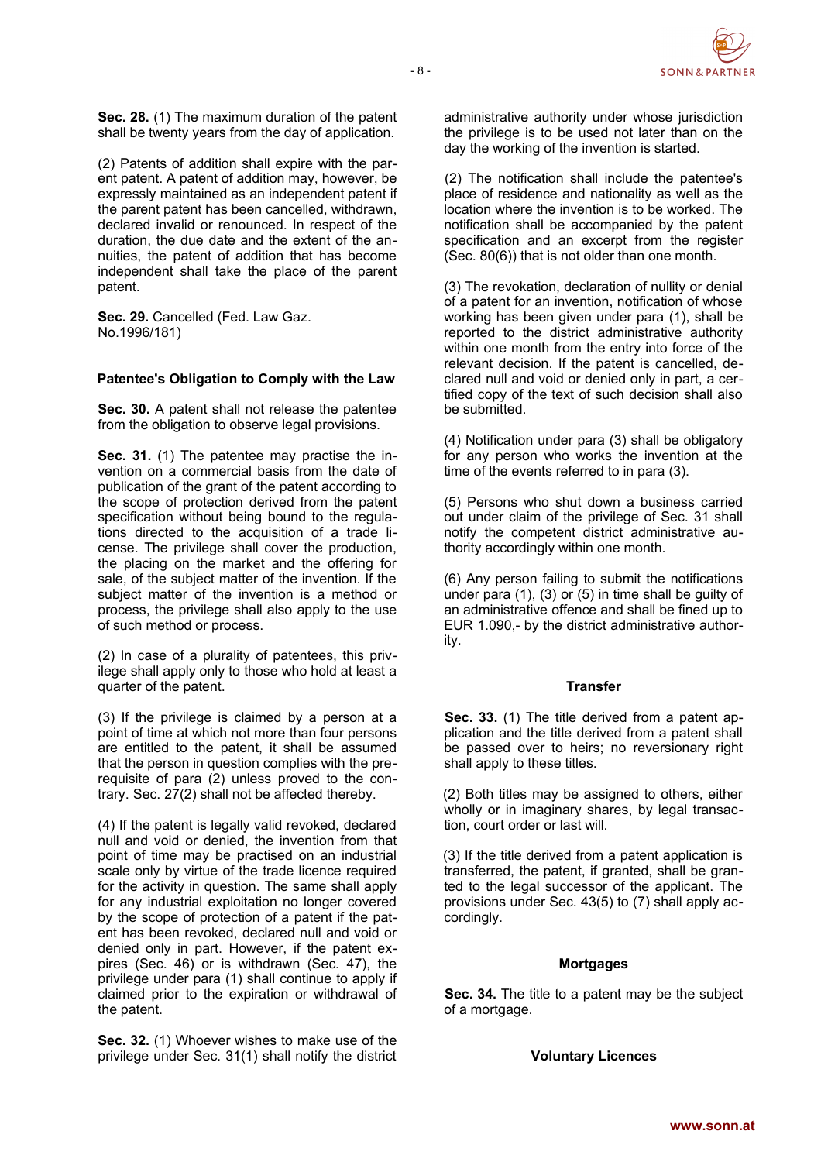

**Sec. 28.** (1) The maximum duration of the patent shall be twenty years from the day of application.

(2) Patents of addition shall expire with the parent patent. A patent of addition may, however, be expressly maintained as an independent patent if the parent patent has been cancelled, withdrawn, declared invalid or renounced. In respect of the duration, the due date and the extent of the annuities, the patent of addition that has become independent shall take the place of the parent patent.

**Sec. 29.** Cancelled (Fed. Law Gaz. No.1996/181)

#### **Patentee's Obligation to Comply with the Law**

**Sec. 30.** A patent shall not release the patentee from the obligation to observe legal provisions.

**Sec. 31.** (1) The patentee may practise the invention on a commercial basis from the date of publication of the grant of the patent according to the scope of protection derived from the patent specification without being bound to the regulations directed to the acquisition of a trade license. The privilege shall cover the production, the placing on the market and the offering for sale, of the subject matter of the invention. If the subject matter of the invention is a method or process, the privilege shall also apply to the use of such method or process.

(2) In case of a plurality of patentees, this privilege shall apply only to those who hold at least a quarter of the patent.

(3) If the privilege is claimed by a person at a point of time at which not more than four persons are entitled to the patent, it shall be assumed that the person in question complies with the prerequisite of para (2) unless proved to the contrary. Sec. 27(2) shall not be affected thereby.

(4) If the patent is legally valid revoked, declared null and void or denied, the invention from that point of time may be practised on an industrial scale only by virtue of the trade licence required for the activity in question. The same shall apply for any industrial exploitation no longer covered by the scope of protection of a patent if the patent has been revoked, declared null and void or denied only in part. However, if the patent expires (Sec. 46) or is withdrawn (Sec. 47), the privilege under para (1) shall continue to apply if claimed prior to the expiration or withdrawal of the patent.

**Sec. 32.** (1) Whoever wishes to make use of the privilege under Sec. 31(1) shall notify the district administrative authority under whose jurisdiction the privilege is to be used not later than on the day the working of the invention is started.

(2) The notification shall include the patentee's place of residence and nationality as well as the location where the invention is to be worked. The notification shall be accompanied by the patent specification and an excerpt from the register (Sec. 80(6)) that is not older than one month.

(3) The revokation, declaration of nullity or denial of a patent for an invention, notification of whose working has been given under para (1), shall be reported to the district administrative authority within one month from the entry into force of the relevant decision. If the patent is cancelled, declared null and void or denied only in part, a certified copy of the text of such decision shall also be submitted.

(4) Notification under para (3) shall be obligatory for any person who works the invention at the time of the events referred to in para (3).

(5) Persons who shut down a business carried out under claim of the privilege of Sec. 31 shall notify the competent district administrative authority accordingly within one month.

(6) Any person failing to submit the notifications under para (1), (3) or (5) in time shall be guilty of an administrative offence and shall be fined up to EUR 1.090,- by the district administrative authority.

#### **Transfer**

**Sec. 33.** (1) The title derived from a patent application and the title derived from a patent shall be passed over to heirs; no reversionary right shall apply to these titles.

(2) Both titles may be assigned to others, either wholly or in imaginary shares, by legal transaction, court order or last will.

(3) If the title derived from a patent application is transferred, the patent, if granted, shall be granted to the legal successor of the applicant. The provisions under Sec. 43(5) to (7) shall apply accordingly.

#### **Mortgages**

**Sec. 34.** The title to a patent may be the subject of a mortgage.

#### **Voluntary Licences**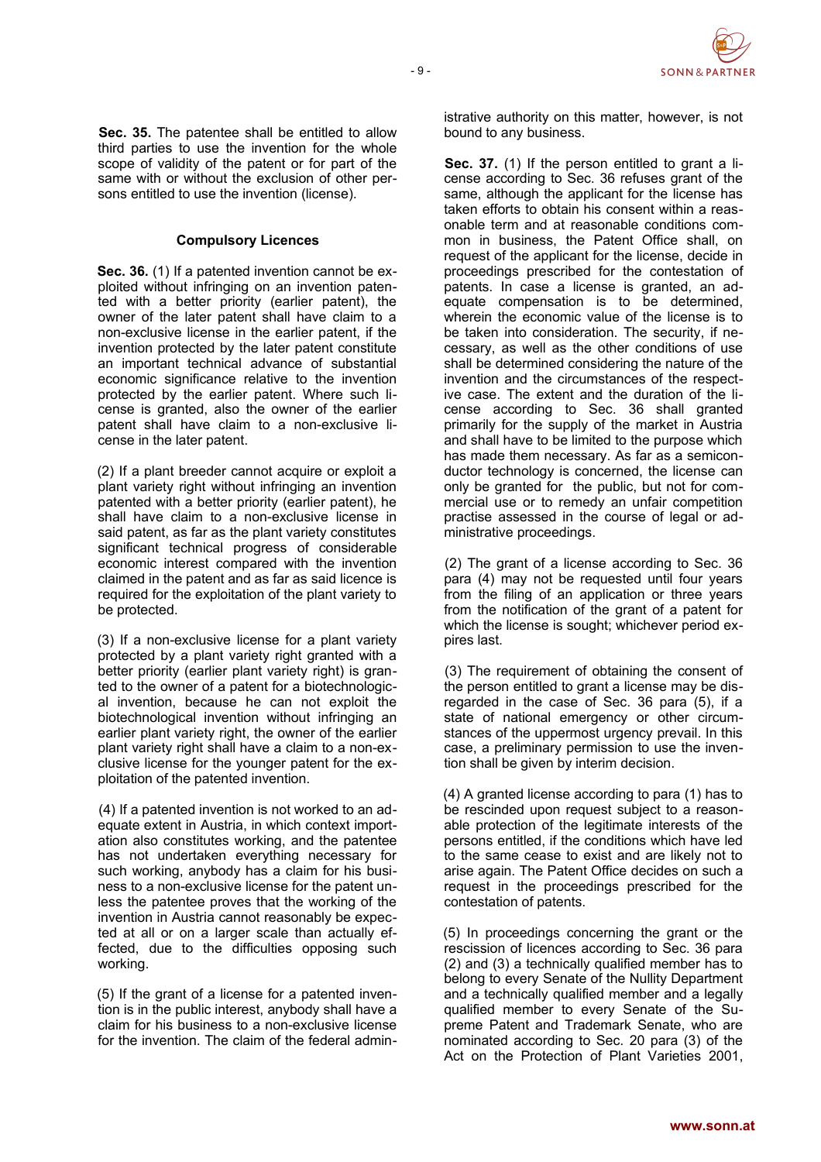

**Sec. 35.** The patentee shall be entitled to allow third parties to use the invention for the whole scope of validity of the patent or for part of the same with or without the exclusion of other persons entitled to use the invention (license).

# **Compulsory Licences**

**Sec. 36.** (1) If a patented invention cannot be exploited without infringing on an invention patented with a better priority (earlier patent), the owner of the later patent shall have claim to a non-exclusive license in the earlier patent, if the invention protected by the later patent constitute an important technical advance of substantial economic significance relative to the invention protected by the earlier patent. Where such license is granted, also the owner of the earlier patent shall have claim to a non-exclusive license in the later patent.

(2) If a plant breeder cannot acquire or exploit a plant variety right without infringing an invention patented with a better priority (earlier patent), he shall have claim to a non-exclusive license in said patent, as far as the plant variety constitutes significant technical progress of considerable economic interest compared with the invention claimed in the patent and as far as said licence is required for the exploitation of the plant variety to be protected.

(3) If a non-exclusive license for a plant variety protected by a plant variety right granted with a better priority (earlier plant variety right) is granted to the owner of a patent for a biotechnological invention, because he can not exploit the biotechnological invention without infringing an earlier plant variety right, the owner of the earlier plant variety right shall have a claim to a non-exclusive license for the younger patent for the exploitation of the patented invention.

(4) If a patented invention is not worked to an adequate extent in Austria, in which context importation also constitutes working, and the patentee has not undertaken everything necessary for such working, anybody has a claim for his business to a non-exclusive license for the patent unless the patentee proves that the working of the invention in Austria cannot reasonably be expected at all or on a larger scale than actually effected, due to the difficulties opposing such working.

(5) If the grant of a license for a patented invention is in the public interest, anybody shall have a claim for his business to a non-exclusive license for the invention. The claim of the federal administrative authority on this matter, however, is not bound to any business.

**Sec. 37.** (1) If the person entitled to grant a license according to Sec. 36 refuses grant of the same, although the applicant for the license has taken efforts to obtain his consent within a reasonable term and at reasonable conditions common in business, the Patent Office shall, on request of the applicant for the license, decide in proceedings prescribed for the contestation of patents. In case a license is granted, an adequate compensation is to be determined, wherein the economic value of the license is to be taken into consideration. The security, if necessary, as well as the other conditions of use shall be determined considering the nature of the invention and the circumstances of the respective case. The extent and the duration of the license according to Sec. 36 shall granted primarily for the supply of the market in Austria and shall have to be limited to the purpose which has made them necessary. As far as a semiconductor technology is concerned, the license can only be granted for the public, but not for commercial use or to remedy an unfair competition practise assessed in the course of legal or administrative proceedings.

(2) The grant of a license according to Sec. 36 para (4) may not be requested until four years from the filing of an application or three years from the notification of the grant of a patent for which the license is sought; whichever period expires last.

(3) The requirement of obtaining the consent of the person entitled to grant a license may be disregarded in the case of Sec. 36 para (5), if a state of national emergency or other circumstances of the uppermost urgency prevail. In this case, a preliminary permission to use the invention shall be given by interim decision.

(4) A granted license according to para (1) has to be rescinded upon request subject to a reasonable protection of the legitimate interests of the persons entitled, if the conditions which have led to the same cease to exist and are likely not to arise again. The Patent Office decides on such a request in the proceedings prescribed for the contestation of patents.

(5) In proceedings concerning the grant or the rescission of licences according to Sec. 36 para (2) and (3) a technically qualified member has to belong to every Senate of the Nullity Department and a technically qualified member and a legally qualified member to every Senate of the Supreme Patent and Trademark Senate, who are nominated according to Sec. 20 para (3) of the Act on the Protection of Plant Varieties 2001,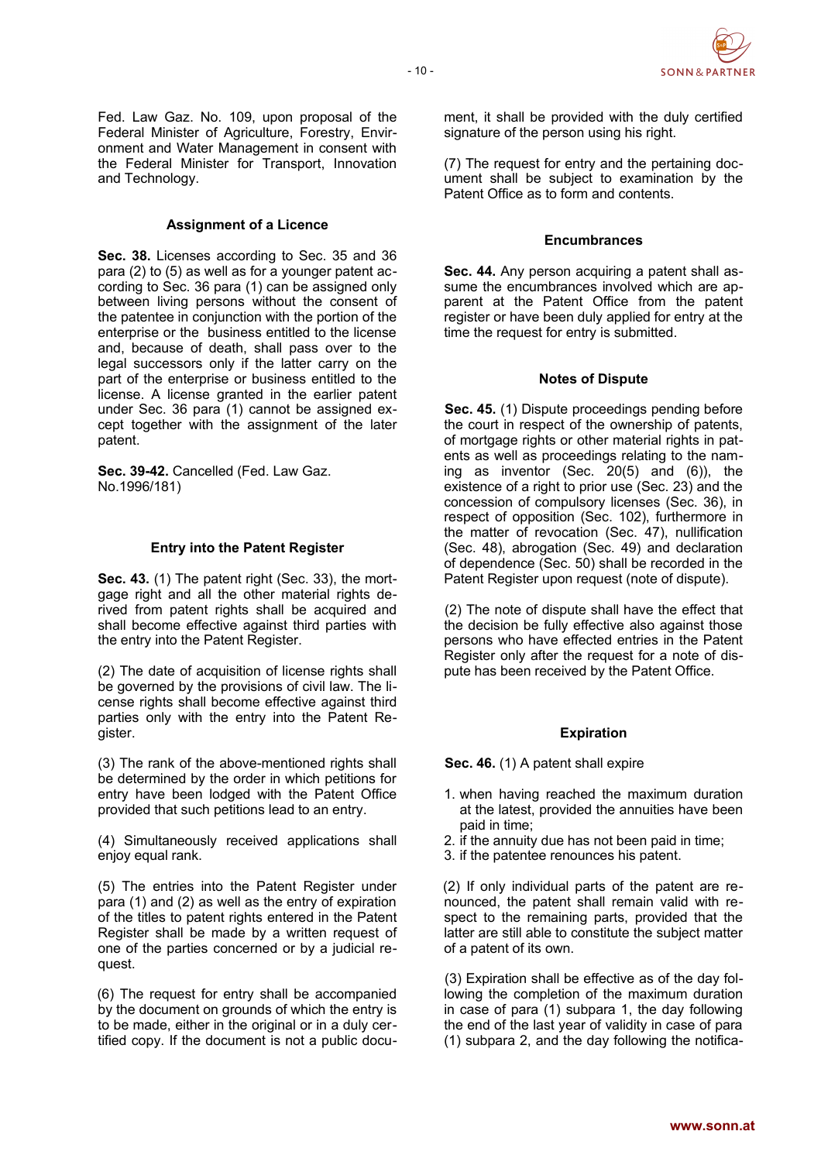

Fed. Law Gaz. No. 109, upon proposal of the Federal Minister of Agriculture, Forestry, Environment and Water Management in consent with the Federal Minister for Transport, Innovation and Technology.

# **Assignment of a Licence**

**Sec. 38.** Licenses according to Sec. 35 and 36 para (2) to (5) as well as for a younger patent according to Sec. 36 para (1) can be assigned only between living persons without the consent of the patentee in conjunction with the portion of the enterprise or the business entitled to the license and, because of death, shall pass over to the legal successors only if the latter carry on the part of the enterprise or business entitled to the license. A license granted in the earlier patent under Sec. 36 para (1) cannot be assigned except together with the assignment of the later patent.

**Sec. 39-42.** Cancelled (Fed. Law Gaz. No.1996/181)

#### **Entry into the Patent Register**

**Sec. 43.** (1) The patent right (Sec. 33), the mortgage right and all the other material rights derived from patent rights shall be acquired and shall become effective against third parties with the entry into the Patent Register.

(2) The date of acquisition of license rights shall be governed by the provisions of civil law. The license rights shall become effective against third parties only with the entry into the Patent Register.

(3) The rank of the above-mentioned rights shall be determined by the order in which petitions for entry have been lodged with the Patent Office provided that such petitions lead to an entry.

(4) Simultaneously received applications shall enjoy equal rank.

(5) The entries into the Patent Register under para (1) and (2) as well as the entry of expiration of the titles to patent rights entered in the Patent Register shall be made by a written request of one of the parties concerned or by a judicial request.

(6) The request for entry shall be accompanied by the document on grounds of which the entry is to be made, either in the original or in a duly certified copy. If the document is not a public document, it shall be provided with the duly certified signature of the person using his right.

(7) The request for entry and the pertaining document shall be subject to examination by the Patent Office as to form and contents.

#### **Encumbrances**

**Sec. 44.** Any person acquiring a patent shall assume the encumbrances involved which are apparent at the Patent Office from the patent register or have been duly applied for entry at the time the request for entry is submitted.

#### **Notes of Dispute**

**Sec. 45.** (1) Dispute proceedings pending before the court in respect of the ownership of patents, of mortgage rights or other material rights in patents as well as proceedings relating to the naming as inventor (Sec. 20(5) and (6)), the existence of a right to prior use (Sec. 23) and the concession of compulsory licenses (Sec. 36), in respect of opposition (Sec. 102), furthermore in the matter of revocation (Sec. 47), nullification (Sec. 48), abrogation (Sec. 49) and declaration of dependence (Sec. 50) shall be recorded in the Patent Register upon request (note of dispute).

(2) The note of dispute shall have the effect that the decision be fully effective also against those persons who have effected entries in the Patent Register only after the request for a note of dispute has been received by the Patent Office.

#### **Expiration**

**Sec. 46.** (1) A patent shall expire

- 1. when having reached the maximum duration at the latest, provided the annuities have been paid in time;
- 2. if the annuity due has not been paid in time;
- 3. if the patentee renounces his patent.

(2) If only individual parts of the patent are renounced, the patent shall remain valid with respect to the remaining parts, provided that the latter are still able to constitute the subject matter of a patent of its own.

(3) Expiration shall be effective as of the day following the completion of the maximum duration in case of para (1) subpara 1, the day following the end of the last year of validity in case of para (1) subpara 2, and the day following the notifica-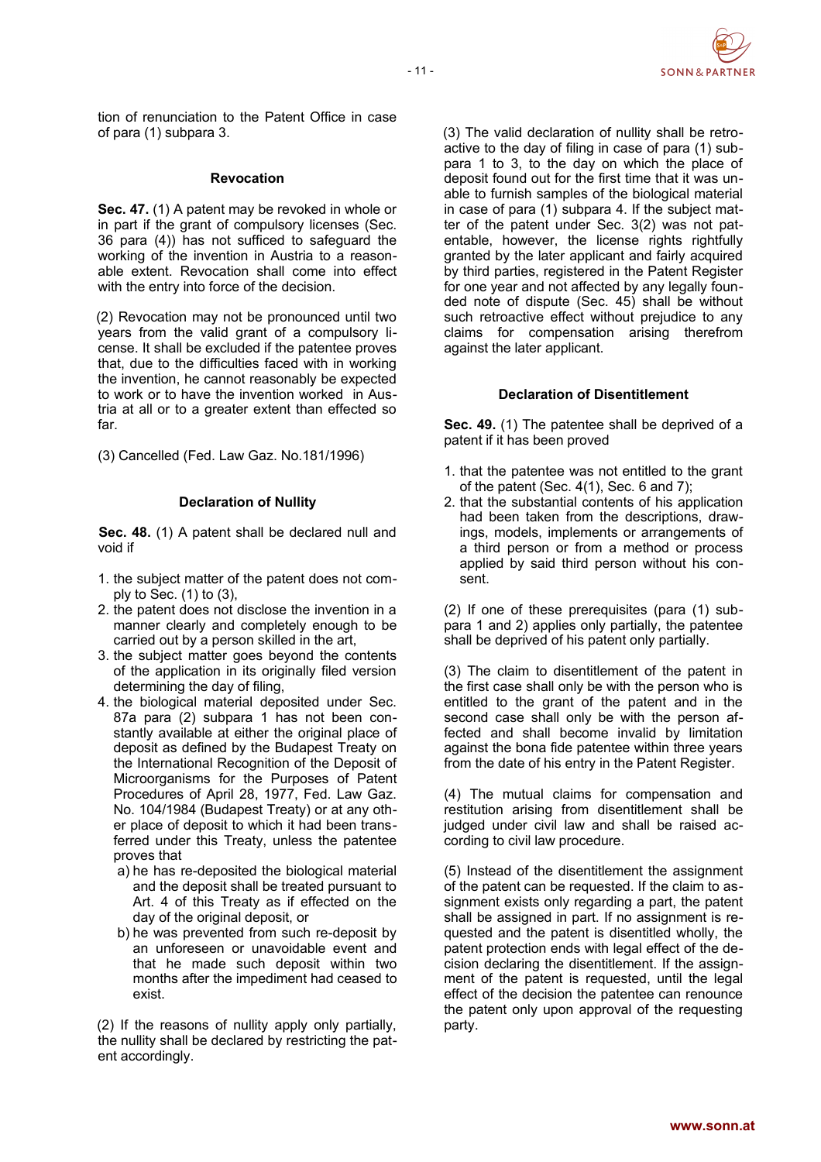

tion of renunciation to the Patent Office in case of para (1) subpara 3.

#### **Revocation**

**Sec. 47.** (1) A patent may be revoked in whole or in part if the grant of compulsory licenses (Sec. 36 para (4)) has not sufficed to safeguard the working of the invention in Austria to a reasonable extent. Revocation shall come into effect with the entry into force of the decision.

(2) Revocation may not be pronounced until two years from the valid grant of a compulsory license. It shall be excluded if the patentee proves that, due to the difficulties faced with in working the invention, he cannot reasonably be expected to work or to have the invention worked in Austria at all or to a greater extent than effected so far.

(3) Cancelled (Fed. Law Gaz. No.181/1996)

#### **Declaration of Nullity**

**Sec. 48.** (1) A patent shall be declared null and void if

- 1. the subject matter of the patent does not comply to Sec. (1) to (3),
- 2. the patent does not disclose the invention in a manner clearly and completely enough to be carried out by a person skilled in the art,
- 3. the subject matter goes beyond the contents of the application in its originally filed version determining the day of filing,
- 4. the biological material deposited under Sec. 87a para (2) subpara 1 has not been constantly available at either the original place of deposit as defined by the Budapest Treaty on the International Recognition of the Deposit of Microorganisms for the Purposes of Patent Procedures of April 28, 1977, Fed. Law Gaz. No. 104/1984 (Budapest Treaty) or at any other place of deposit to which it had been transferred under this Treaty, unless the patentee proves that
	- a) he has re-deposited the biological material and the deposit shall be treated pursuant to Art. 4 of this Treaty as if effected on the day of the original deposit, or
	- b) he was prevented from such re-deposit by an unforeseen or unavoidable event and that he made such deposit within two months after the impediment had ceased to exist.

(2) If the reasons of nullity apply only partially, the nullity shall be declared by restricting the patent accordingly.

(3) The valid declaration of nullity shall be retroactive to the day of filing in case of para (1) subpara 1 to 3, to the day on which the place of deposit found out for the first time that it was unable to furnish samples of the biological material in case of para (1) subpara 4. If the subject matter of the patent under Sec. 3(2) was not patentable, however, the license rights rightfully granted by the later applicant and fairly acquired by third parties, registered in the Patent Register for one year and not affected by any legally founded note of dispute (Sec. 45) shall be without such retroactive effect without prejudice to any claims for compensation arising therefrom against the later applicant.

#### **Declaration of Disentitlement**

**Sec. 49.** (1) The patentee shall be deprived of a patent if it has been proved

- 1. that the patentee was not entitled to the grant of the patent (Sec. 4(1), Sec. 6 and 7);
- 2. that the substantial contents of his application had been taken from the descriptions, drawings, models, implements or arrangements of a third person or from a method or process applied by said third person without his consent.

(2) If one of these prerequisites (para (1) subpara 1 and 2) applies only partially, the patentee shall be deprived of his patent only partially.

(3) The claim to disentitlement of the patent in the first case shall only be with the person who is entitled to the grant of the patent and in the second case shall only be with the person affected and shall become invalid by limitation against the bona fide patentee within three years from the date of his entry in the Patent Register.

(4) The mutual claims for compensation and restitution arising from disentitlement shall be judged under civil law and shall be raised according to civil law procedure.

(5) Instead of the disentitlement the assignment of the patent can be requested. If the claim to assignment exists only regarding a part, the patent shall be assigned in part. If no assignment is requested and the patent is disentitled wholly, the patent protection ends with legal effect of the decision declaring the disentitlement. If the assignment of the patent is requested, until the legal effect of the decision the patentee can renounce the patent only upon approval of the requesting party.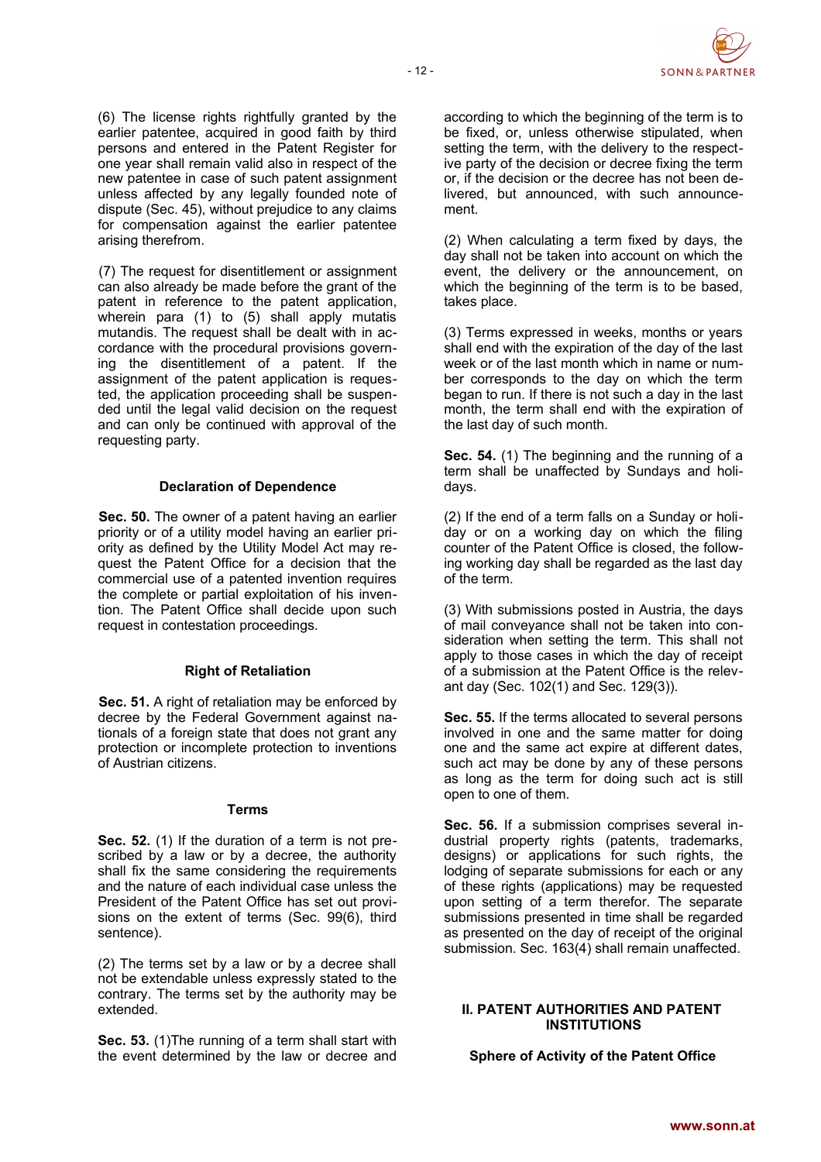

(6) The license rights rightfully granted by the earlier patentee, acquired in good faith by third persons and entered in the Patent Register for one year shall remain valid also in respect of the new patentee in case of such patent assignment unless affected by any legally founded note of dispute (Sec. 45), without prejudice to any claims for compensation against the earlier patentee arising therefrom.

(7) The request for disentitlement or assignment can also already be made before the grant of the patent in reference to the patent application, wherein para (1) to (5) shall apply mutatis mutandis. The request shall be dealt with in accordance with the procedural provisions governing the disentitlement of a patent. If the assignment of the patent application is requested, the application proceeding shall be suspended until the legal valid decision on the request and can only be continued with approval of the requesting party.

#### **Declaration of Dependence**

**Sec. 50.** The owner of a patent having an earlier priority or of a utility model having an earlier priority as defined by the Utility Model Act may request the Patent Office for a decision that the commercial use of a patented invention requires the complete or partial exploitation of his invention. The Patent Office shall decide upon such request in contestation proceedings.

### **Right of Retaliation**

**Sec. 51.** A right of retaliation may be enforced by decree by the Federal Government against nationals of a foreign state that does not grant any protection or incomplete protection to inventions of Austrian citizens.

#### **Terms**

**Sec. 52.** (1) If the duration of a term is not prescribed by a law or by a decree, the authority shall fix the same considering the requirements and the nature of each individual case unless the President of the Patent Office has set out provisions on the extent of terms (Sec. 99(6), third sentence).

(2) The terms set by a law or by a decree shall not be extendable unless expressly stated to the contrary. The terms set by the authority may be extended.

**Sec. 53.** (1)The running of a term shall start with the event determined by the law or decree and according to which the beginning of the term is to be fixed, or, unless otherwise stipulated, when setting the term, with the delivery to the respective party of the decision or decree fixing the term or, if the decision or the decree has not been delivered, but announced, with such announcement.

(2) When calculating a term fixed by days, the day shall not be taken into account on which the event, the delivery or the announcement, on which the beginning of the term is to be based, takes place.

(3) Terms expressed in weeks, months or years shall end with the expiration of the day of the last week or of the last month which in name or number corresponds to the day on which the term began to run. If there is not such a day in the last month, the term shall end with the expiration of the last day of such month.

**Sec. 54.** (1) The beginning and the running of a term shall be unaffected by Sundays and holidays.

(2) If the end of a term falls on a Sunday or holiday or on a working day on which the filing counter of the Patent Office is closed, the following working day shall be regarded as the last day of the term.

(3) With submissions posted in Austria, the days of mail conveyance shall not be taken into consideration when setting the term. This shall not apply to those cases in which the day of receipt of a submission at the Patent Office is the relevant day (Sec. 102(1) and Sec. 129(3)).

**Sec. 55.** If the terms allocated to several persons involved in one and the same matter for doing one and the same act expire at different dates, such act may be done by any of these persons as long as the term for doing such act is still open to one of them.

**Sec. 56.** If a submission comprises several industrial property rights (patents, trademarks, designs) or applications for such rights, the lodging of separate submissions for each or any of these rights (applications) may be requested upon setting of a term therefor. The separate submissions presented in time shall be regarded as presented on the day of receipt of the original submission. Sec. 163(4) shall remain unaffected.

#### **II. PATENT AUTHORITIES AND PATENT INSTITUTIONS**

**Sphere of Activity of the Patent Office**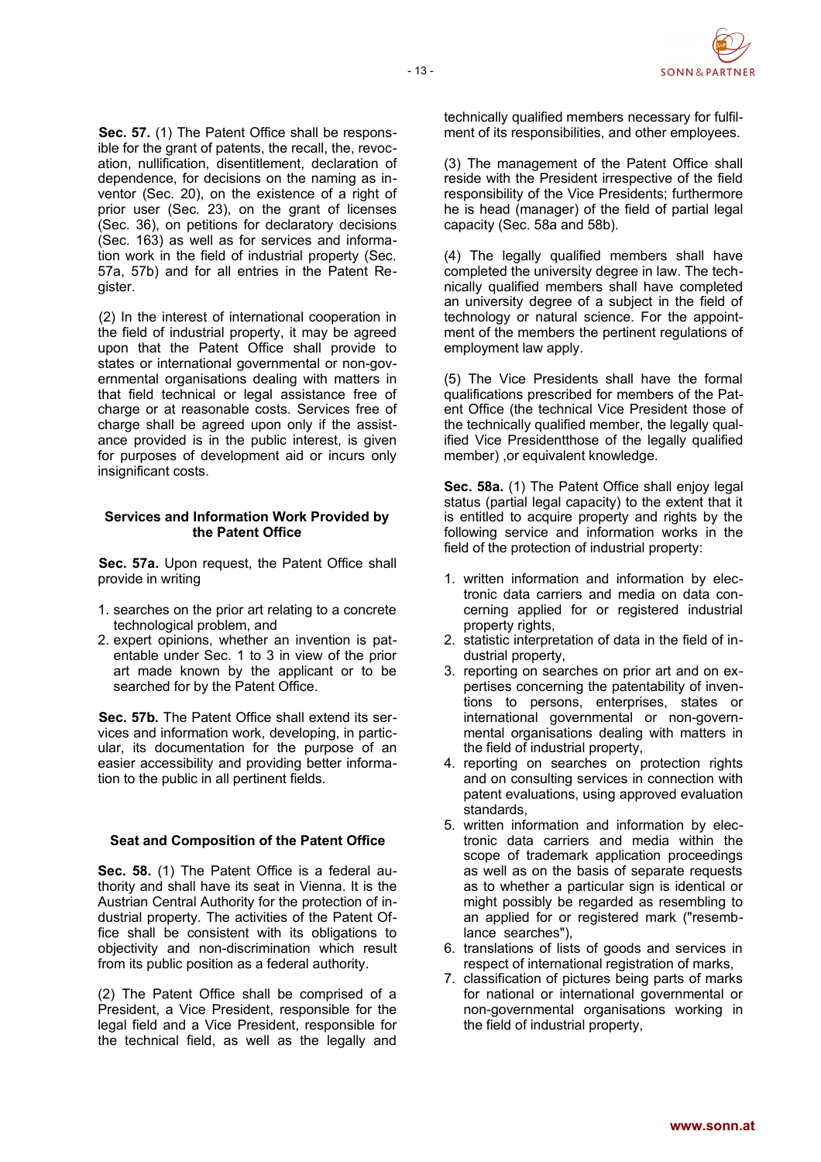

**Sec. 57.** (1) The Patent Office shall be responsible for the grant of patents, the recall, the, revocation, nullification, disentitlement, declaration of dependence, for decisions on the naming as inventor (Sec. 20), on the existence of a right of prior user (Sec. 23), on the grant of licenses (Sec. 36), on petitions for declaratory decisions (Sec. 163) as well as for services and information work in the field of industrial property (Sec. 57a, 57b) and for all entries in the Patent Register.

(2) In the interest of international cooperation in the field of industrial property, it may be agreed upon that the Patent Office shall provide to states or international governmental or non-governmental organisations dealing with matters in that field technical or legal assistance free of charge or at reasonable costs. Services free of charge shall be agreed upon only if the assistance provided is in the public interest, is given for purposes of development aid or incurs only insignificant costs.

#### **Services and Information Work Provided by the Patent Office**

**Sec. 57a.** Upon request, the Patent Office shall provide in writing

- 1. searches on the prior art relating to a concrete technological problem, and
- 2. expert opinions, whether an invention is patentable under Sec. 1 to 3 in view of the prior art made known by the applicant or to be searched for by the Patent Office.

**Sec. 57b.** The Patent Office shall extend its services and information work, developing, in particular, its documentation for the purpose of an easier accessibility and providing better information to the public in all pertinent fields.

### **Seat and Composition of the Patent Office**

**Sec. 58.** (1) The Patent Office is a federal authority and shall have its seat in Vienna. It is the Austrian Central Authority for the protection of industrial property. The activities of the Patent Office shall be consistent with its obligations to objectivity and non-discrimination which result from its public position as a federal authority.

(2) The Patent Office shall be comprised of a President, a Vice President, responsible for the legal field and a Vice President, responsible for the technical field, as well as the legally and

technically qualified members necessary for fulfilment of its responsibilities, and other employees.

(3) The management of the Patent Office shall reside with the President irrespective of the field responsibility of the Vice Presidents; furthermore he is head (manager) of the field of partial legal capacity (Sec. 58a and 58b).

(4) The legally qualified members shall have completed the university degree in law. The technically qualified members shall have completed an university degree of a subject in the field of technology or natural science. For the appointment of the members the pertinent regulations of employment law apply.

(5) The Vice Presidents shall have the formal qualifications prescribed for members of the Patent Office (the technical Vice President those of the technically qualified member, the legally qualified Vice Presidentthose of the legally qualified member) ,or equivalent knowledge.

**Sec. 58a.** (1) The Patent Office shall enjoy legal status (partial legal capacity) to the extent that it is entitled to acquire property and rights by the following service and information works in the field of the protection of industrial property:

- 1. written information and information by electronic data carriers and media on data concerning applied for or registered industrial property rights,
- 2. statistic interpretation of data in the field of industrial property,
- 3. reporting on searches on prior art and on expertises concerning the patentability of inventions to persons, enterprises, states or international governmental or non-governmental organisations dealing with matters in the field of industrial property,
- 4. reporting on searches on protection rights and on consulting services in connection with patent evaluations, using approved evaluation standards,
- 5. written information and information by electronic data carriers and media within the scope of trademark application proceedings as well as on the basis of separate requests as to whether a particular sign is identical or might possibly be regarded as resembling to an applied for or registered mark ("resemblance searches"),
- 6. translations of lists of goods and services in respect of international registration of marks,
- 7. classification of pictures being parts of marks for national or international governmental or non-governmental organisations working in the field of industrial property,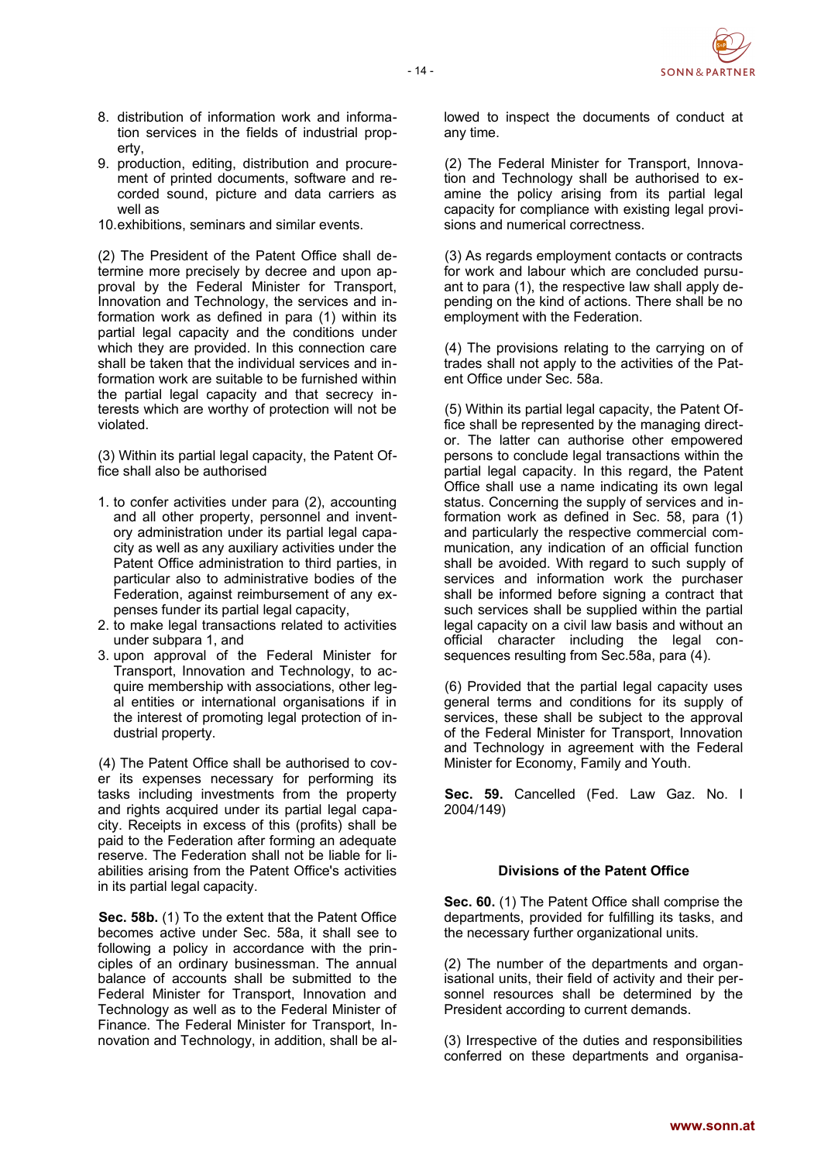

- 9. production, editing, distribution and procurement of printed documents, software and recorded sound, picture and data carriers as well as
- 10.exhibitions, seminars and similar events.

(2) The President of the Patent Office shall determine more precisely by decree and upon approval by the Federal Minister for Transport, Innovation and Technology, the services and information work as defined in para (1) within its partial legal capacity and the conditions under which they are provided. In this connection care shall be taken that the individual services and information work are suitable to be furnished within the partial legal capacity and that secrecy interests which are worthy of protection will not be violated.

(3) Within its partial legal capacity, the Patent Office shall also be authorised

- 1. to confer activities under para (2), accounting and all other property, personnel and inventory administration under its partial legal capacity as well as any auxiliary activities under the Patent Office administration to third parties, in particular also to administrative bodies of the Federation, against reimbursement of any expenses funder its partial legal capacity,
- 2. to make legal transactions related to activities under subpara 1, and
- 3. upon approval of the Federal Minister for Transport, Innovation and Technology, to acquire membership with associations, other legal entities or international organisations if in the interest of promoting legal protection of industrial property.

(4) The Patent Office shall be authorised to cover its expenses necessary for performing its tasks including investments from the property and rights acquired under its partial legal capacity. Receipts in excess of this (profits) shall be paid to the Federation after forming an adequate reserve. The Federation shall not be liable for liabilities arising from the Patent Office's activities in its partial legal capacity.

**Sec. 58b.** (1) To the extent that the Patent Office becomes active under Sec. 58a, it shall see to following a policy in accordance with the principles of an ordinary businessman. The annual balance of accounts shall be submitted to the Federal Minister for Transport, Innovation and Technology as well as to the Federal Minister of Finance. The Federal Minister for Transport, Innovation and Technology, in addition, shall be allowed to inspect the documents of conduct at any time.

(2) The Federal Minister for Transport, Innovation and Technology shall be authorised to examine the policy arising from its partial legal capacity for compliance with existing legal provisions and numerical correctness.

(3) As regards employment contacts or contracts for work and labour which are concluded pursuant to para (1), the respective law shall apply depending on the kind of actions. There shall be no employment with the Federation.

(4) The provisions relating to the carrying on of trades shall not apply to the activities of the Patent Office under Sec. 58a.

(5) Within its partial legal capacity, the Patent Office shall be represented by the managing director. The latter can authorise other empowered persons to conclude legal transactions within the partial legal capacity. In this regard, the Patent Office shall use a name indicating its own legal status. Concerning the supply of services and information work as defined in Sec. 58, para (1) and particularly the respective commercial communication, any indication of an official function shall be avoided. With regard to such supply of services and information work the purchaser shall be informed before signing a contract that such services shall be supplied within the partial legal capacity on a civil law basis and without an official character including the legal consequences resulting from Sec.58a, para (4).

(6) Provided that the partial legal capacity uses general terms and conditions for its supply of services, these shall be subject to the approval of the Federal Minister for Transport, Innovation and Technology in agreement with the Federal Minister for Economy, Family and Youth.

**Sec. 59.** Cancelled (Fed. Law Gaz. No. I 2004/149)

### **Divisions of the Patent Office**

**Sec. 60.** (1) The Patent Office shall comprise the departments, provided for fulfilling its tasks, and the necessary further organizational units.

(2) The number of the departments and organisational units, their field of activity and their personnel resources shall be determined by the President according to current demands.

(3) Irrespective of the duties and responsibilities conferred on these departments and organisa-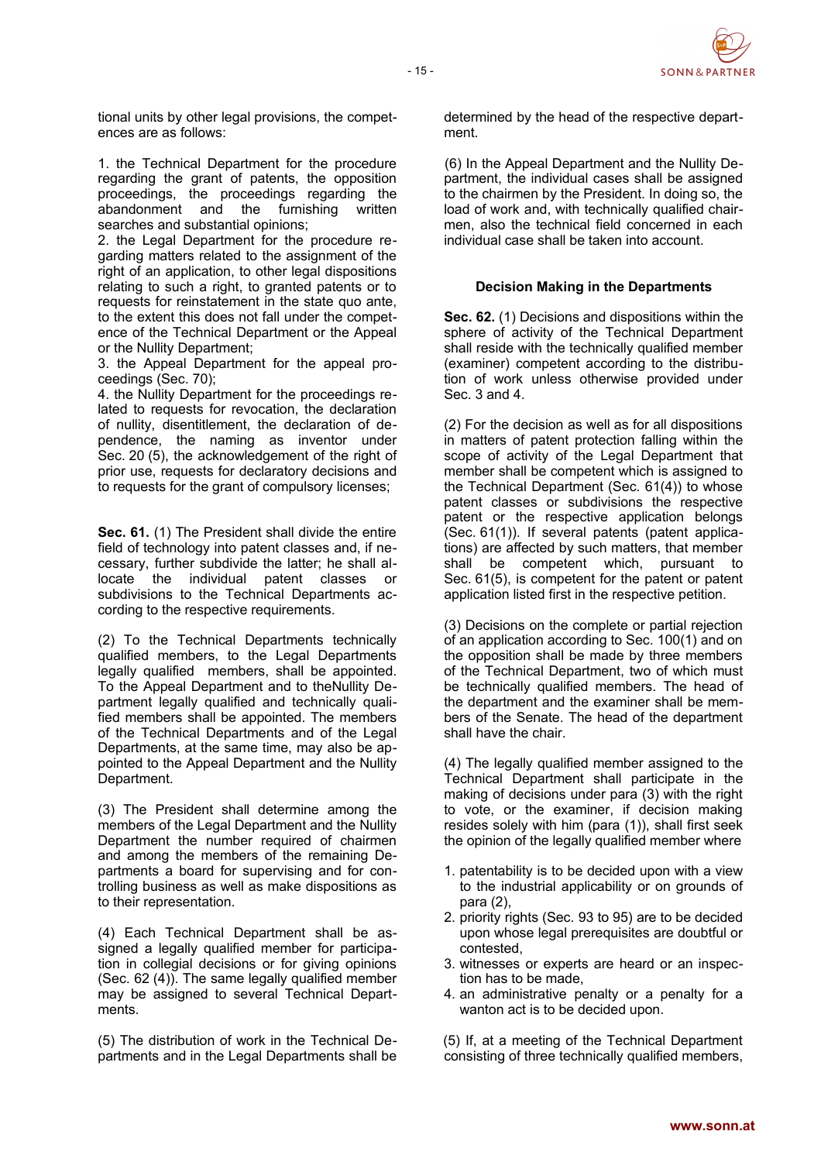

tional units by other legal provisions, the competences are as follows:

1. the Technical Department for the procedure regarding the grant of patents, the opposition proceedings, the proceedings regarding the abandonment and the furnishing written searches and substantial opinions;

2. the Legal Department for the procedure regarding matters related to the assignment of the right of an application, to other legal dispositions relating to such a right, to granted patents or to requests for reinstatement in the state quo ante, to the extent this does not fall under the competence of the Technical Department or the Appeal or the Nullity Department;

3. the Appeal Department for the appeal proceedings (Sec. 70);

4. the Nullity Department for the proceedings related to requests for revocation, the declaration of nullity, disentitlement, the declaration of dependence, the naming as inventor under Sec. 20 (5), the acknowledgement of the right of prior use, requests for declaratory decisions and to requests for the grant of compulsory licenses;

**Sec. 61.** (1) The President shall divide the entire field of technology into patent classes and, if necessary, further subdivide the latter; he shall allocate the individual patent classes or subdivisions to the Technical Departments according to the respective requirements.

(2) To the Technical Departments technically qualified members, to the Legal Departments legally qualified members, shall be appointed. To the Appeal Department and to theNullity Department legally qualified and technically qualified members shall be appointed. The members of the Technical Departments and of the Legal Departments, at the same time, may also be appointed to the Appeal Department and the Nullity Department.

(3) The President shall determine among the members of the Legal Department and the Nullity Department the number required of chairmen and among the members of the remaining Departments a board for supervising and for controlling business as well as make dispositions as to their representation.

(4) Each Technical Department shall be assigned a legally qualified member for participation in collegial decisions or for giving opinions (Sec. 62 (4)). The same legally qualified member may be assigned to several Technical Departments.

(5) The distribution of work in the Technical Departments and in the Legal Departments shall be determined by the head of the respective department.

(6) In the Appeal Department and the Nullity Department, the individual cases shall be assigned to the chairmen by the President. In doing so, the load of work and, with technically qualified chairmen, also the technical field concerned in each individual case shall be taken into account.

#### **Decision Making in the Departments**

**Sec. 62.** (1) Decisions and dispositions within the sphere of activity of the Technical Department shall reside with the technically qualified member (examiner) competent according to the distribution of work unless otherwise provided under Sec. 3 and 4.

(2) For the decision as well as for all dispositions in matters of patent protection falling within the scope of activity of the Legal Department that member shall be competent which is assigned to the Technical Department (Sec. 61(4)) to whose patent classes or subdivisions the respective patent or the respective application belongs (Sec. 61(1)). If several patents (patent applications) are affected by such matters, that member shall be competent which, pursuant to Sec. 61(5), is competent for the patent or patent application listed first in the respective petition.

(3) Decisions on the complete or partial rejection of an application according to Sec. 100(1) and on the opposition shall be made by three members of the Technical Department, two of which must be technically qualified members. The head of the department and the examiner shall be members of the Senate. The head of the department shall have the chair.

(4) The legally qualified member assigned to the Technical Department shall participate in the making of decisions under para (3) with the right to vote, or the examiner, if decision making resides solely with him (para (1)), shall first seek the opinion of the legally qualified member where

- 1. patentability is to be decided upon with a view to the industrial applicability or on grounds of para (2),
- 2. priority rights (Sec. 93 to 95) are to be decided upon whose legal prerequisites are doubtful or contested,
- 3. witnesses or experts are heard or an inspection has to be made,
- 4. an administrative penalty or a penalty for a wanton act is to be decided upon.

(5) If, at a meeting of the Technical Department consisting of three technically qualified members,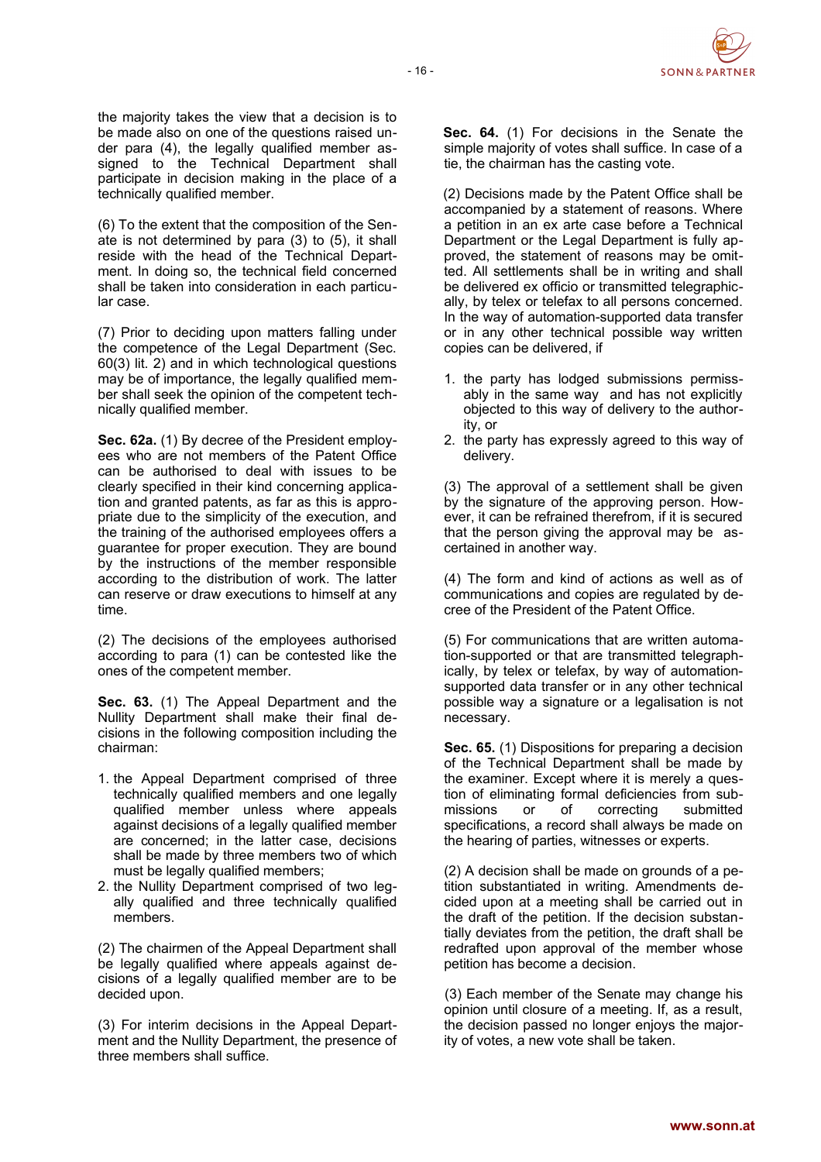

the majority takes the view that a decision is to be made also on one of the questions raised under para (4), the legally qualified member assigned to the Technical Department shall participate in decision making in the place of a technically qualified member.

(6) To the extent that the composition of the Senate is not determined by para (3) to (5), it shall reside with the head of the Technical Department. In doing so, the technical field concerned shall be taken into consideration in each particular case.

(7) Prior to deciding upon matters falling under the competence of the Legal Department (Sec. 60(3) lit. 2) and in which technological questions may be of importance, the legally qualified member shall seek the opinion of the competent technically qualified member.

**Sec. 62a.** (1) By decree of the President employees who are not members of the Patent Office can be authorised to deal with issues to be clearly specified in their kind concerning application and granted patents, as far as this is appropriate due to the simplicity of the execution, and the training of the authorised employees offers a guarantee for proper execution. They are bound by the instructions of the member responsible according to the distribution of work. The latter can reserve or draw executions to himself at any time.

(2) The decisions of the employees authorised according to para (1) can be contested like the ones of the competent member.

**Sec. 63.** (1) The Appeal Department and the Nullity Department shall make their final decisions in the following composition including the chairman:

- 1. the Appeal Department comprised of three technically qualified members and one legally qualified member unless where appeals against decisions of a legally qualified member are concerned; in the latter case, decisions shall be made by three members two of which must be legally qualified members;
- 2. the Nullity Department comprised of two legally qualified and three technically qualified members.

(2) The chairmen of the Appeal Department shall be legally qualified where appeals against decisions of a legally qualified member are to be decided upon.

(3) For interim decisions in the Appeal Department and the Nullity Department, the presence of three members shall suffice.

**Sec. 64.** (1) For decisions in the Senate the simple majority of votes shall suffice. In case of a tie, the chairman has the casting vote.

(2) Decisions made by the Patent Office shall be accompanied by a statement of reasons. Where a petition in an ex arte case before a Technical Department or the Legal Department is fully approved, the statement of reasons may be omitted. All settlements shall be in writing and shall be delivered ex officio or transmitted telegraphically, by telex or telefax to all persons concerned. In the way of automation-supported data transfer or in any other technical possible way written copies can be delivered, if

- 1. the party has lodged submissions permissably in the same way and has not explicitly objected to this way of delivery to the authority, or
- 2. the party has expressly agreed to this way of delivery.

(3) The approval of a settlement shall be given by the signature of the approving person. However, it can be refrained therefrom, if it is secured that the person giving the approval may be ascertained in another way.

(4) The form and kind of actions as well as of communications and copies are regulated by decree of the President of the Patent Office.

(5) For communications that are written automation-supported or that are transmitted telegraphically, by telex or telefax, by way of automationsupported data transfer or in any other technical possible way a signature or a legalisation is not necessary.

**Sec. 65.** (1) Dispositions for preparing a decision of the Technical Department shall be made by the examiner. Except where it is merely a question of eliminating formal deficiencies from submissions or of correcting submitted specifications, a record shall always be made on the hearing of parties, witnesses or experts.

(2) A decision shall be made on grounds of a petition substantiated in writing. Amendments decided upon at a meeting shall be carried out in the draft of the petition. If the decision substantially deviates from the petition, the draft shall be redrafted upon approval of the member whose petition has become a decision.

(3) Each member of the Senate may change his opinion until closure of a meeting. If, as a result, the decision passed no longer enjoys the majority of votes, a new vote shall be taken.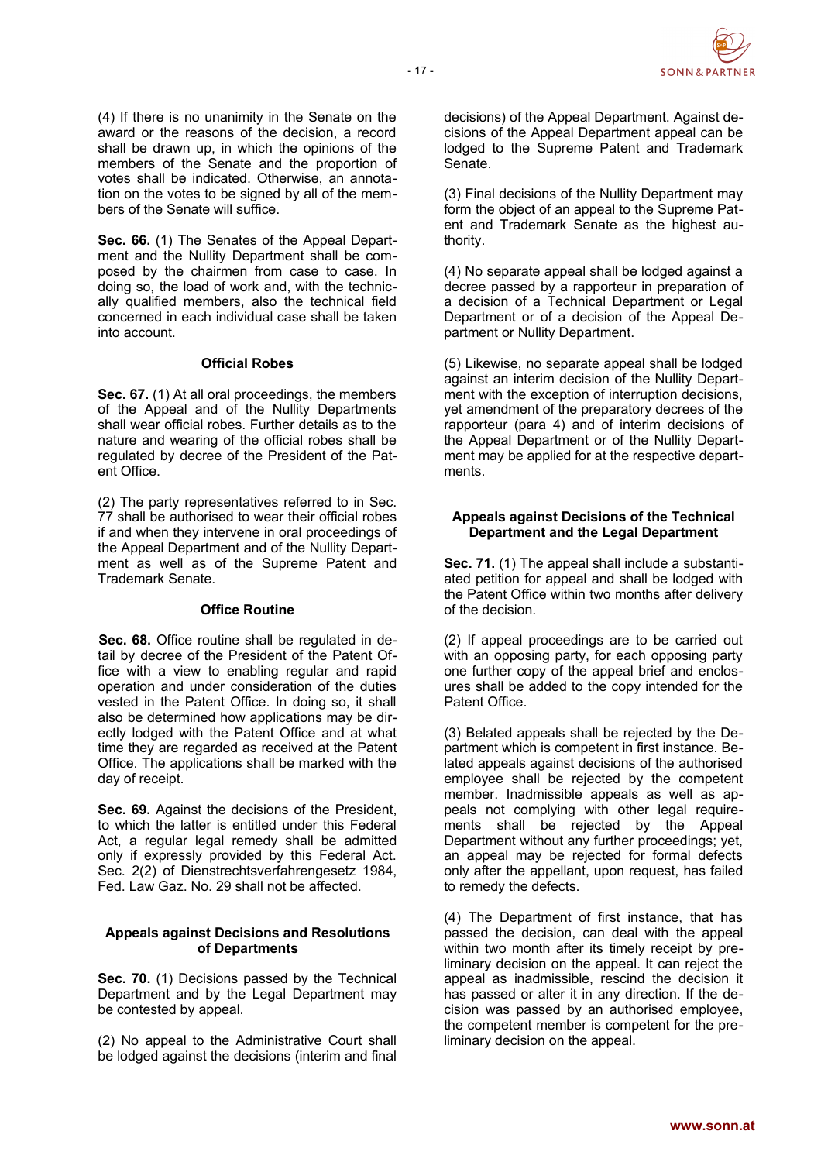

(4) If there is no unanimity in the Senate on the award or the reasons of the decision, a record shall be drawn up, in which the opinions of the members of the Senate and the proportion of votes shall be indicated. Otherwise, an annotation on the votes to be signed by all of the members of the Senate will suffice.

**Sec. 66.** (1) The Senates of the Appeal Department and the Nullity Department shall be composed by the chairmen from case to case. In doing so, the load of work and, with the technically qualified members, also the technical field concerned in each individual case shall be taken into account.

#### **Official Robes**

**Sec. 67.** (1) At all oral proceedings, the members of the Appeal and of the Nullity Departments shall wear official robes. Further details as to the nature and wearing of the official robes shall be regulated by decree of the President of the Patent Office.

(2) The party representatives referred to in Sec. 77 shall be authorised to wear their official robes if and when they intervene in oral proceedings of the Appeal Department and of the Nullity Department as well as of the Supreme Patent and Trademark Senate.

### **Office Routine**

**Sec. 68.** Office routine shall be regulated in detail by decree of the President of the Patent Office with a view to enabling regular and rapid operation and under consideration of the duties vested in the Patent Office. In doing so, it shall also be determined how applications may be directly lodged with the Patent Office and at what time they are regarded as received at the Patent Office. The applications shall be marked with the day of receipt.

**Sec. 69.** Against the decisions of the President, to which the latter is entitled under this Federal Act, a regular legal remedy shall be admitted only if expressly provided by this Federal Act. Sec. 2(2) of Dienstrechtsverfahrengesetz 1984, Fed. Law Gaz. No. 29 shall not be affected.

#### **Appeals against Decisions and Resolutions of Departments**

**Sec. 70.** (1) Decisions passed by the Technical Department and by the Legal Department may be contested by appeal.

(2) No appeal to the Administrative Court shall be lodged against the decisions (interim and final decisions) of the Appeal Department. Against decisions of the Appeal Department appeal can be lodged to the Supreme Patent and Trademark Senate.

(3) Final decisions of the Nullity Department may form the object of an appeal to the Supreme Patent and Trademark Senate as the highest authority.

(4) No separate appeal shall be lodged against a decree passed by a rapporteur in preparation of a decision of a Technical Department or Legal Department or of a decision of the Appeal Department or Nullity Department.

(5) Likewise, no separate appeal shall be lodged against an interim decision of the Nullity Department with the exception of interruption decisions, yet amendment of the preparatory decrees of the rapporteur (para 4) and of interim decisions of the Appeal Department or of the Nullity Department may be applied for at the respective departments.

#### **Appeals against Decisions of the Technical Department and the Legal Department**

**Sec. 71.** (1) The appeal shall include a substantiated petition for appeal and shall be lodged with the Patent Office within two months after delivery of the decision.

(2) If appeal proceedings are to be carried out with an opposing party, for each opposing party one further copy of the appeal brief and enclosures shall be added to the copy intended for the Patent Office.

(3) Belated appeals shall be rejected by the Department which is competent in first instance. Belated appeals against decisions of the authorised employee shall be rejected by the competent member. Inadmissible appeals as well as appeals not complying with other legal requirements shall be rejected by the Appeal Department without any further proceedings; yet, an appeal may be rejected for formal defects only after the appellant, upon request, has failed to remedy the defects.

(4) The Department of first instance, that has passed the decision, can deal with the appeal within two month after its timely receipt by preliminary decision on the appeal. It can reject the appeal as inadmissible, rescind the decision it has passed or alter it in any direction. If the decision was passed by an authorised employee, the competent member is competent for the preliminary decision on the appeal.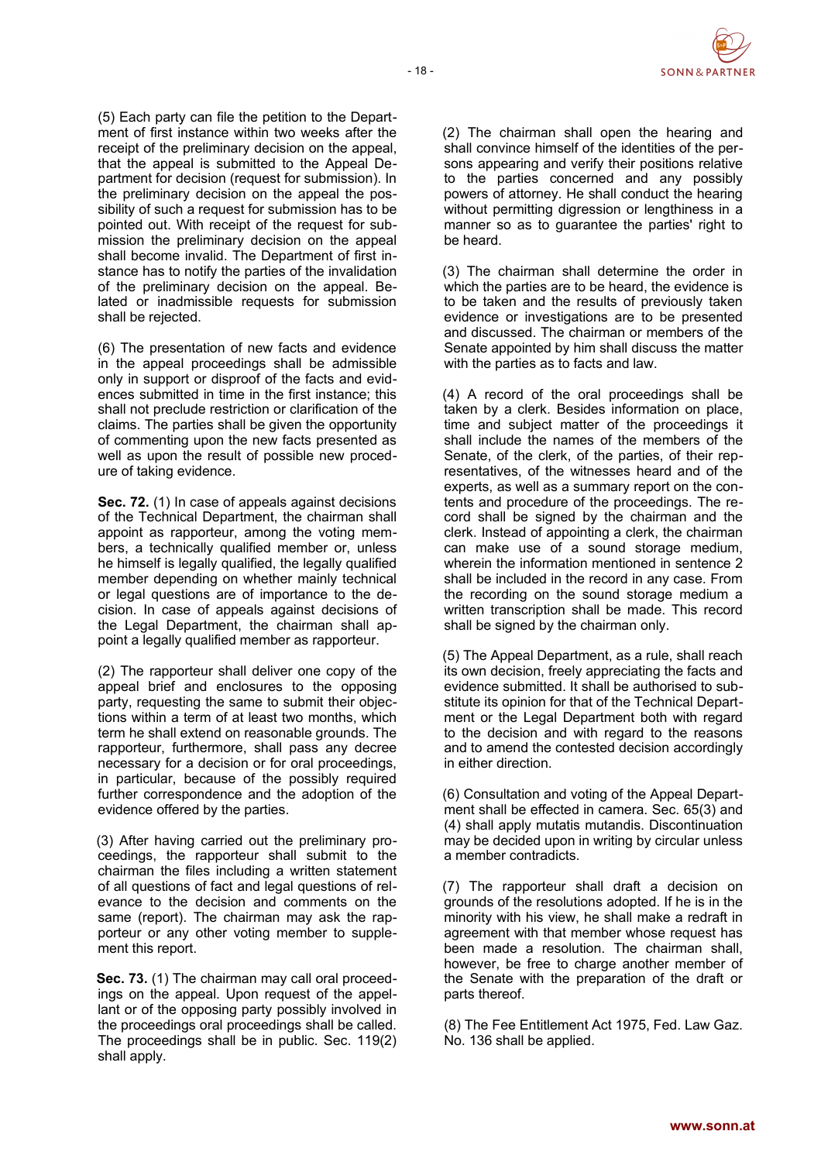

(5) Each party can file the petition to the Department of first instance within two weeks after the receipt of the preliminary decision on the appeal, that the appeal is submitted to the Appeal Department for decision (request for submission). In the preliminary decision on the appeal the possibility of such a request for submission has to be pointed out. With receipt of the request for submission the preliminary decision on the appeal shall become invalid. The Department of first instance has to notify the parties of the invalidation of the preliminary decision on the appeal. Belated or inadmissible requests for submission shall be rejected.

(6) The presentation of new facts and evidence in the appeal proceedings shall be admissible only in support or disproof of the facts and evidences submitted in time in the first instance; this shall not preclude restriction or clarification of the claims. The parties shall be given the opportunity of commenting upon the new facts presented as well as upon the result of possible new procedure of taking evidence.

**Sec. 72.** (1) In case of appeals against decisions of the Technical Department, the chairman shall appoint as rapporteur, among the voting members, a technically qualified member or, unless he himself is legally qualified, the legally qualified member depending on whether mainly technical or legal questions are of importance to the decision. In case of appeals against decisions of the Legal Department, the chairman shall appoint a legally qualified member as rapporteur.

(2) The rapporteur shall deliver one copy of the appeal brief and enclosures to the opposing party, requesting the same to submit their objections within a term of at least two months, which term he shall extend on reasonable grounds. The rapporteur, furthermore, shall pass any decree necessary for a decision or for oral proceedings, in particular, because of the possibly required further correspondence and the adoption of the evidence offered by the parties.

(3) After having carried out the preliminary proceedings, the rapporteur shall submit to the chairman the files including a written statement of all questions of fact and legal questions of relevance to the decision and comments on the same (report). The chairman may ask the rapporteur or any other voting member to supplement this report.

**Sec. 73.** (1) The chairman may call oral proceedings on the appeal. Upon request of the appellant or of the opposing party possibly involved in the proceedings oral proceedings shall be called. The proceedings shall be in public. Sec. 119(2) shall apply.

(2) The chairman shall open the hearing and shall convince himself of the identities of the persons appearing and verify their positions relative to the parties concerned and any possibly powers of attorney. He shall conduct the hearing without permitting digression or lengthiness in a manner so as to guarantee the parties' right to be heard.

(3) The chairman shall determine the order in which the parties are to be heard, the evidence is to be taken and the results of previously taken evidence or investigations are to be presented and discussed. The chairman or members of the Senate appointed by him shall discuss the matter with the parties as to facts and law.

(4) A record of the oral proceedings shall be taken by a clerk. Besides information on place, time and subject matter of the proceedings it shall include the names of the members of the Senate, of the clerk, of the parties, of their representatives, of the witnesses heard and of the experts, as well as a summary report on the contents and procedure of the proceedings. The record shall be signed by the chairman and the clerk. Instead of appointing a clerk, the chairman can make use of a sound storage medium, wherein the information mentioned in sentence 2 shall be included in the record in any case. From the recording on the sound storage medium a written transcription shall be made. This record shall be signed by the chairman only.

(5) The Appeal Department, as a rule, shall reach its own decision, freely appreciating the facts and evidence submitted. It shall be authorised to substitute its opinion for that of the Technical Department or the Legal Department both with regard to the decision and with regard to the reasons and to amend the contested decision accordingly in either direction.

(6) Consultation and voting of the Appeal Department shall be effected in camera. Sec. 65(3) and (4) shall apply mutatis mutandis. Discontinuation may be decided upon in writing by circular unless a member contradicts.

(7) The rapporteur shall draft a decision on grounds of the resolutions adopted. If he is in the minority with his view, he shall make a redraft in agreement with that member whose request has been made a resolution. The chairman shall, however, be free to charge another member of the Senate with the preparation of the draft or parts thereof.

(8) The Fee Entitlement Act 1975, Fed. Law Gaz. No. 136 shall be applied.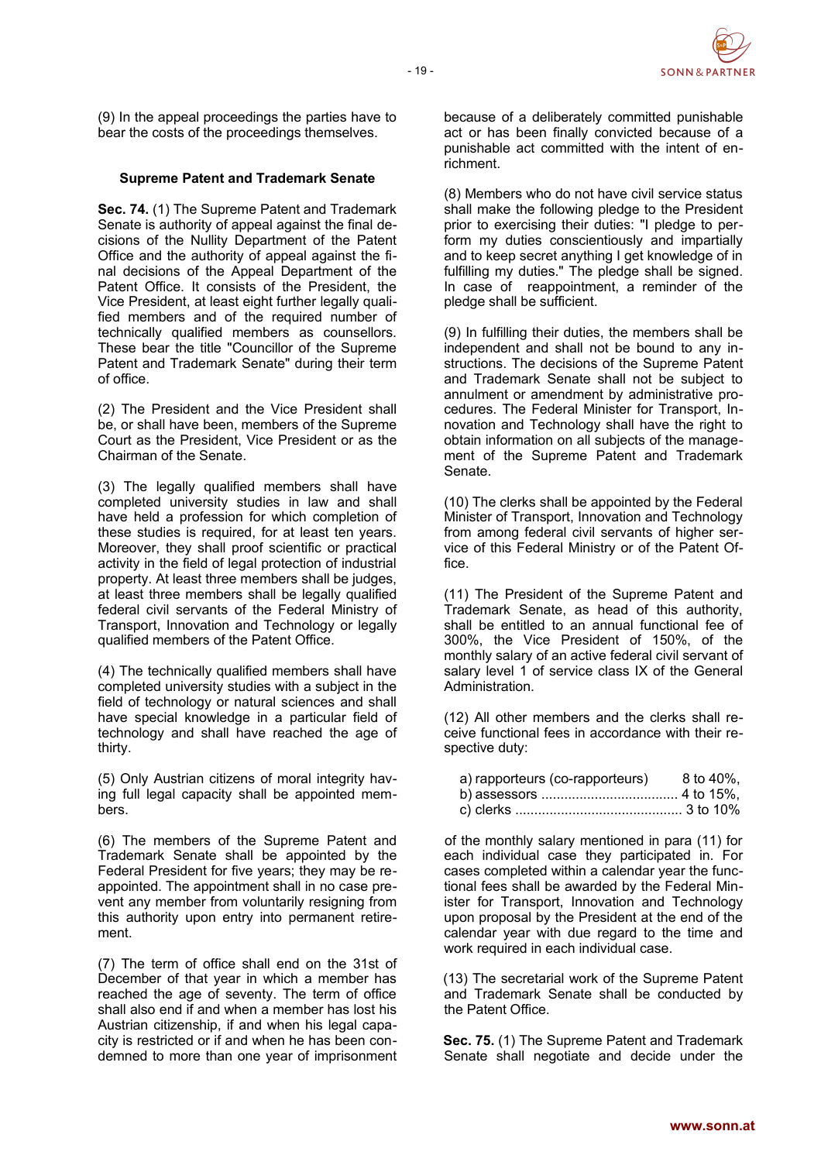

(9) In the appeal proceedings the parties have to bear the costs of the proceedings themselves.

#### **Supreme Patent and Trademark Senate**

**Sec. 74.** (1) The Supreme Patent and Trademark Senate is authority of appeal against the final decisions of the Nullity Department of the Patent Office and the authority of appeal against the final decisions of the Appeal Department of the Patent Office. It consists of the President, the Vice President, at least eight further legally qualified members and of the required number of technically qualified members as counsellors. These bear the title "Councillor of the Supreme Patent and Trademark Senate" during their term of office.

(2) The President and the Vice President shall be, or shall have been, members of the Supreme Court as the President, Vice President or as the Chairman of the Senate.

(3) The legally qualified members shall have completed university studies in law and shall have held a profession for which completion of these studies is required, for at least ten years. Moreover, they shall proof scientific or practical activity in the field of legal protection of industrial property. At least three members shall be judges, at least three members shall be legally qualified federal civil servants of the Federal Ministry of Transport, Innovation and Technology or legally qualified members of the Patent Office.

(4) The technically qualified members shall have completed university studies with a subject in the field of technology or natural sciences and shall have special knowledge in a particular field of technology and shall have reached the age of thirty.

(5) Only Austrian citizens of moral integrity having full legal capacity shall be appointed members.

(6) The members of the Supreme Patent and Trademark Senate shall be appointed by the Federal President for five years; they may be reappointed. The appointment shall in no case prevent any member from voluntarily resigning from this authority upon entry into permanent retirement.

(7) The term of office shall end on the 31st of December of that year in which a member has reached the age of seventy. The term of office shall also end if and when a member has lost his Austrian citizenship, if and when his legal capacity is restricted or if and when he has been condemned to more than one year of imprisonment because of a deliberately committed punishable act or has been finally convicted because of a punishable act committed with the intent of enrichment.

(8) Members who do not have civil service status shall make the following pledge to the President prior to exercising their duties: "I pledge to perform my duties conscientiously and impartially and to keep secret anything I get knowledge of in fulfilling my duties." The pledge shall be signed. In case of reappointment, a reminder of the pledge shall be sufficient.

(9) In fulfilling their duties, the members shall be independent and shall not be bound to any instructions. The decisions of the Supreme Patent and Trademark Senate shall not be subject to annulment or amendment by administrative procedures. The Federal Minister for Transport, Innovation and Technology shall have the right to obtain information on all subjects of the management of the Supreme Patent and Trademark Senate.

(10) The clerks shall be appointed by the Federal Minister of Transport, Innovation and Technology from among federal civil servants of higher service of this Federal Ministry or of the Patent Office.

(11) The President of the Supreme Patent and Trademark Senate, as head of this authority, shall be entitled to an annual functional fee of 300%, the Vice President of 150%, of the monthly salary of an active federal civil servant of salary level 1 of service class IX of the General Administration.

(12) All other members and the clerks shall receive functional fees in accordance with their respective duty:

| a) rapporteurs (co-rapporteurs) | 8 to 40%. |
|---------------------------------|-----------|
|                                 |           |
|                                 |           |

of the monthly salary mentioned in para (11) for each individual case they participated in. For cases completed within a calendar year the functional fees shall be awarded by the Federal Minister for Transport, Innovation and Technology upon proposal by the President at the end of the calendar year with due regard to the time and work required in each individual case.

(13) The secretarial work of the Supreme Patent and Trademark Senate shall be conducted by the Patent Office.

**Sec. 75.** (1) The Supreme Patent and Trademark Senate shall negotiate and decide under the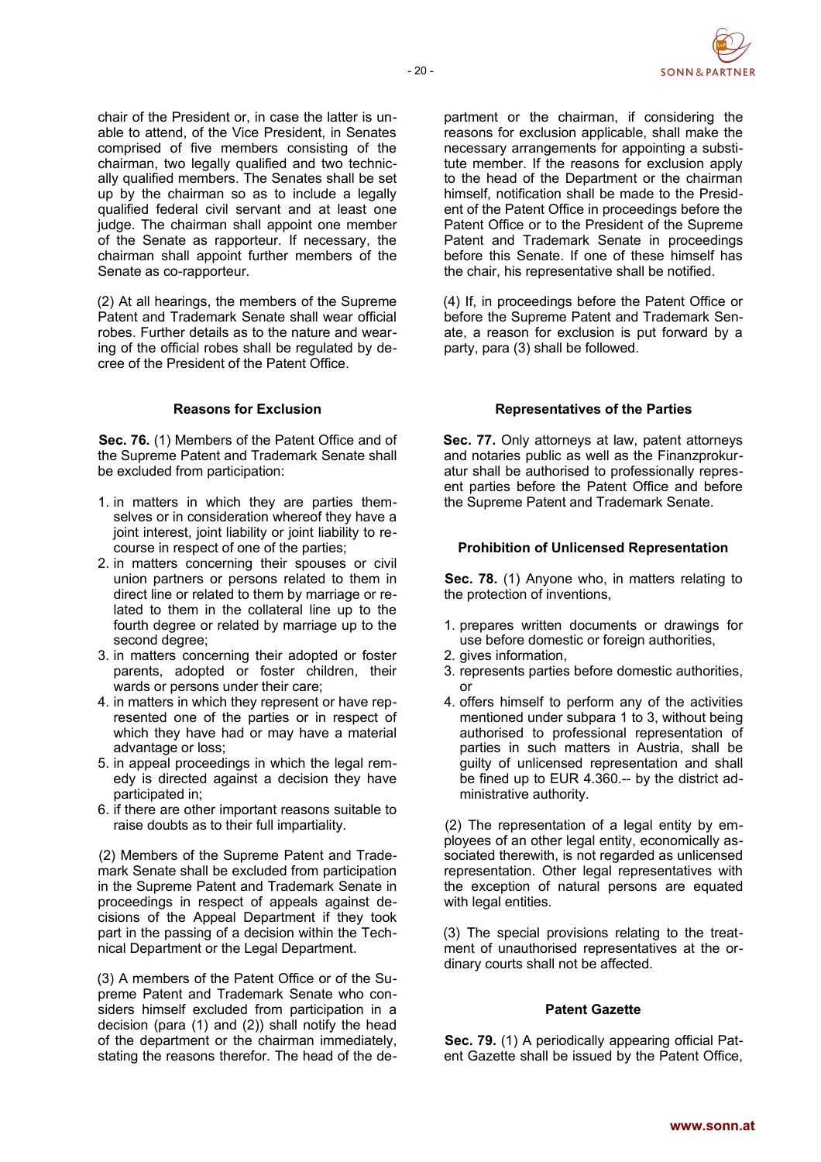

chair of the President or, in case the latter is unable to attend, of the Vice President, in Senates comprised of five members consisting of the chairman, two legally qualified and two technically qualified members. The Senates shall be set up by the chairman so as to include a legally qualified federal civil servant and at least one judge. The chairman shall appoint one member of the Senate as rapporteur. If necessary, the chairman shall appoint further members of the Senate as co-rapporteur.

(2) At all hearings, the members of the Supreme Patent and Trademark Senate shall wear official robes. Further details as to the nature and wearing of the official robes shall be regulated by decree of the President of the Patent Office.

#### **Reasons for Exclusion**

**Sec. 76.** (1) Members of the Patent Office and of the Supreme Patent and Trademark Senate shall be excluded from participation:

- 1. in matters in which they are parties themselves or in consideration whereof they have a joint interest, joint liability or joint liability to recourse in respect of one of the parties;
- 2. in matters concerning their spouses or civil union partners or persons related to them in direct line or related to them by marriage or related to them in the collateral line up to the fourth degree or related by marriage up to the second degree;
- 3. in matters concerning their adopted or foster parents, adopted or foster children, their wards or persons under their care;
- 4. in matters in which they represent or have represented one of the parties or in respect of which they have had or may have a material advantage or loss;
- 5. in appeal proceedings in which the legal remedy is directed against a decision they have participated in;
- 6. if there are other important reasons suitable to raise doubts as to their full impartiality.

(2) Members of the Supreme Patent and Trademark Senate shall be excluded from participation in the Supreme Patent and Trademark Senate in proceedings in respect of appeals against decisions of the Appeal Department if they took part in the passing of a decision within the Technical Department or the Legal Department.

(3) A members of the Patent Office or of the Supreme Patent and Trademark Senate who considers himself excluded from participation in a decision (para (1) and (2)) shall notify the head of the department or the chairman immediately, stating the reasons therefor. The head of the department or the chairman, if considering the reasons for exclusion applicable, shall make the necessary arrangements for appointing a substitute member. If the reasons for exclusion apply to the head of the Department or the chairman himself, notification shall be made to the President of the Patent Office in proceedings before the Patent Office or to the President of the Supreme Patent and Trademark Senate in proceedings before this Senate. If one of these himself has the chair, his representative shall be notified.

(4) If, in proceedings before the Patent Office or before the Supreme Patent and Trademark Senate, a reason for exclusion is put forward by a party, para (3) shall be followed.

#### **Representatives of the Parties**

**Sec. 77.** Only attorneys at law, patent attorneys and notaries public as well as the Finanzprokuratur shall be authorised to professionally represent parties before the Patent Office and before the Supreme Patent and Trademark Senate.

#### **Prohibition of Unlicensed Representation**

**Sec. 78.** (1) Anyone who, in matters relating to the protection of inventions,

- 1. prepares written documents or drawings for use before domestic or foreign authorities,
- 2. gives information,
- 3. represents parties before domestic authorities, or
- 4. offers himself to perform any of the activities mentioned under subpara 1 to 3, without being authorised to professional representation of parties in such matters in Austria, shall be guilty of unlicensed representation and shall be fined up to EUR 4.360.-- by the district administrative authority.

(2) The representation of a legal entity by employees of an other legal entity, economically associated therewith, is not regarded as unlicensed representation. Other legal representatives with the exception of natural persons are equated with legal entities.

(3) The special provisions relating to the treatment of unauthorised representatives at the ordinary courts shall not be affected.

### **Patent Gazette**

**Sec. 79.** (1) A periodically appearing official Patent Gazette shall be issued by the Patent Office,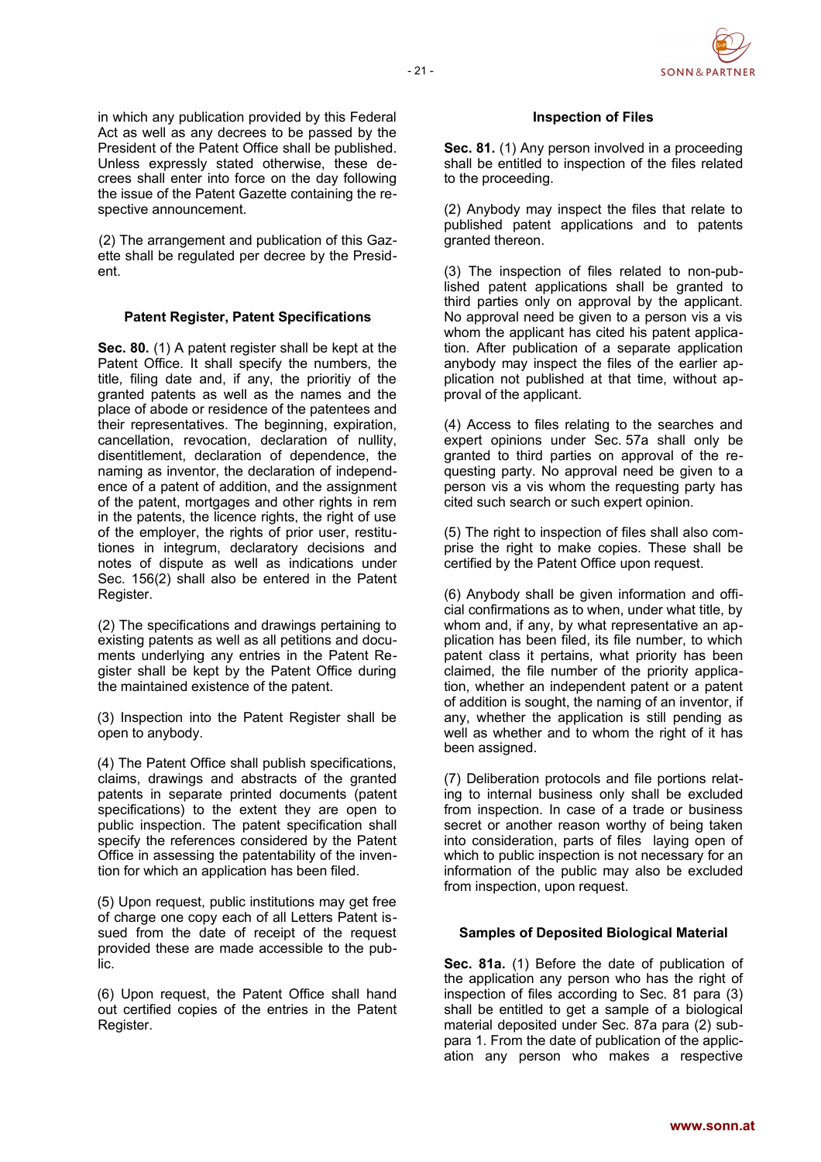in which any publication provided by this Federal Act as well as any decrees to be passed by the President of the Patent Office shall be published. Unless expressly stated otherwise, these decrees shall enter into force on the day following the issue of the Patent Gazette containing the respective announcement.

(2) The arrangement and publication of this Gazette shall be regulated per decree by the President.

# **Patent Register, Patent Specifications**

**Sec. 80.** (1) A patent register shall be kept at the Patent Office. It shall specify the numbers, the title, filing date and, if any, the prioritiy of the granted patents as well as the names and the place of abode or residence of the patentees and their representatives. The beginning, expiration, cancellation, revocation, declaration of nullity, disentitlement, declaration of dependence, the naming as inventor, the declaration of independence of a patent of addition, and the assignment of the patent, mortgages and other rights in rem in the patents, the licence rights, the right of use of the employer, the rights of prior user, restitutiones in integrum, declaratory decisions and notes of dispute as well as indications under Sec. 156(2) shall also be entered in the Patent Register.

(2) The specifications and drawings pertaining to existing patents as well as all petitions and documents underlying any entries in the Patent Register shall be kept by the Patent Office during the maintained existence of the patent.

(3) Inspection into the Patent Register shall be open to anybody.

(4) The Patent Office shall publish specifications, claims, drawings and abstracts of the granted patents in separate printed documents (patent specifications) to the extent they are open to public inspection. The patent specification shall specify the references considered by the Patent Office in assessing the patentability of the invention for which an application has been filed.

(5) Upon request, public institutions may get free of charge one copy each of all Letters Patent issued from the date of receipt of the request provided these are made accessible to the public.

(6) Upon request, the Patent Office shall hand out certified copies of the entries in the Patent Register.

# **Inspection of Files**

**Sec. 81.** (1) Any person involved in a proceeding shall be entitled to inspection of the files related to the proceeding.

(2) Anybody may inspect the files that relate to published patent applications and to patents granted thereon.

(3) The inspection of files related to non-published patent applications shall be granted to third parties only on approval by the applicant. No approval need be given to a person vis a vis whom the applicant has cited his patent application. After publication of a separate application anybody may inspect the files of the earlier application not published at that time, without approval of the applicant.

(4) Access to files relating to the searches and expert opinions under Sec. 57a shall only be granted to third parties on approval of the requesting party. No approval need be given to a person vis a vis whom the requesting party has cited such search or such expert opinion.

(5) The right to inspection of files shall also comprise the right to make copies. These shall be certified by the Patent Office upon request.

(6) Anybody shall be given information and official confirmations as to when, under what title, by whom and, if any, by what representative an application has been filed, its file number, to which patent class it pertains, what priority has been claimed, the file number of the priority application, whether an independent patent or a patent of addition is sought, the naming of an inventor, if any, whether the application is still pending as well as whether and to whom the right of it has been assigned.

(7) Deliberation protocols and file portions relating to internal business only shall be excluded from inspection. In case of a trade or business secret or another reason worthy of being taken into consideration, parts of files laying open of which to public inspection is not necessary for an information of the public may also be excluded from inspection, upon request.

### **Samples of Deposited Biological Material**

**Sec. 81a.** (1) Before the date of publication of the application any person who has the right of inspection of files according to Sec. 81 para (3) shall be entitled to get a sample of a biological material deposited under Sec. 87a para (2) subpara 1. From the date of publication of the application any person who makes a respective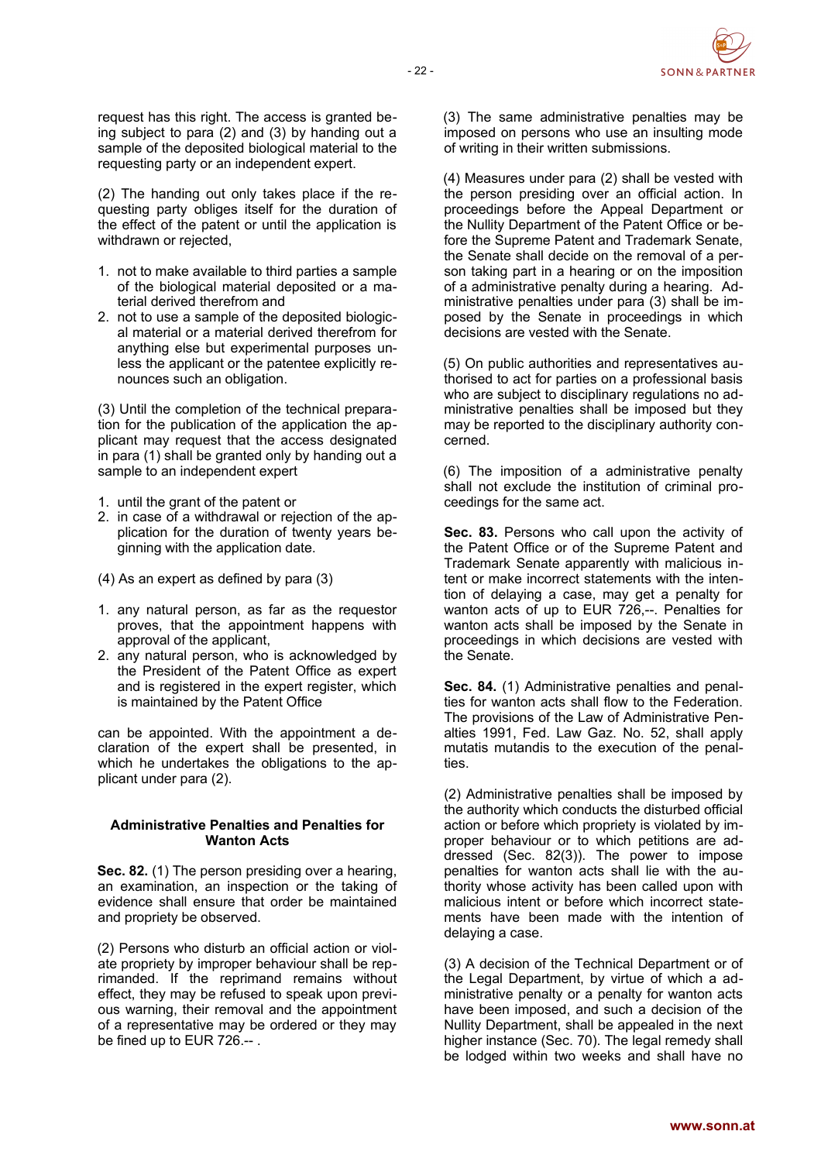

request has this right. The access is granted being subject to para (2) and (3) by handing out a sample of the deposited biological material to the requesting party or an independent expert.

(2) The handing out only takes place if the requesting party obliges itself for the duration of the effect of the patent or until the application is withdrawn or rejected,

- 1. not to make available to third parties a sample of the biological material deposited or a material derived therefrom and
- 2. not to use a sample of the deposited biological material or a material derived therefrom for anything else but experimental purposes unless the applicant or the patentee explicitly renounces such an obligation.

(3) Until the completion of the technical preparation for the publication of the application the applicant may request that the access designated in para (1) shall be granted only by handing out a sample to an independent expert

- 1. until the grant of the patent or
- 2. in case of a withdrawal or rejection of the application for the duration of twenty years beginning with the application date.
- (4) As an expert as defined by para (3)
- 1. any natural person, as far as the requestor proves, that the appointment happens with approval of the applicant,
- 2. any natural person, who is acknowledged by the President of the Patent Office as expert and is registered in the expert register, which is maintained by the Patent Office

can be appointed. With the appointment a declaration of the expert shall be presented, in which he undertakes the obligations to the applicant under para (2).

#### **Administrative Penalties and Penalties for Wanton Acts**

**Sec. 82.** (1) The person presiding over a hearing, an examination, an inspection or the taking of evidence shall ensure that order be maintained and propriety be observed.

(2) Persons who disturb an official action or violate propriety by improper behaviour shall be reprimanded. If the reprimand remains without effect, they may be refused to speak upon previous warning, their removal and the appointment of a representative may be ordered or they may be fined up to EUR 726.-- .

(3) The same administrative penalties may be imposed on persons who use an insulting mode of writing in their written submissions.

(4) Measures under para (2) shall be vested with the person presiding over an official action. In proceedings before the Appeal Department or the Nullity Department of the Patent Office or before the Supreme Patent and Trademark Senate, the Senate shall decide on the removal of a person taking part in a hearing or on the imposition of a administrative penalty during a hearing. Administrative penalties under para (3) shall be imposed by the Senate in proceedings in which decisions are vested with the Senate.

(5) On public authorities and representatives authorised to act for parties on a professional basis who are subject to disciplinary regulations no administrative penalties shall be imposed but they may be reported to the disciplinary authority concerned.

(6) The imposition of a administrative penalty shall not exclude the institution of criminal proceedings for the same act.

**Sec. 83.** Persons who call upon the activity of the Patent Office or of the Supreme Patent and Trademark Senate apparently with malicious intent or make incorrect statements with the intention of delaying a case, may get a penalty for wanton acts of up to EUR 726,--. Penalties for wanton acts shall be imposed by the Senate in proceedings in which decisions are vested with the Senate.

Sec. 84. (1) Administrative penalties and penalties for wanton acts shall flow to the Federation. The provisions of the Law of Administrative Penalties 1991, Fed. Law Gaz. No. 52, shall apply mutatis mutandis to the execution of the penalties.

(2) Administrative penalties shall be imposed by the authority which conducts the disturbed official action or before which propriety is violated by improper behaviour or to which petitions are addressed (Sec. 82(3)). The power to impose penalties for wanton acts shall lie with the authority whose activity has been called upon with malicious intent or before which incorrect statements have been made with the intention of delaying a case.

(3) A decision of the Technical Department or of the Legal Department, by virtue of which a administrative penalty or a penalty for wanton acts have been imposed, and such a decision of the Nullity Department, shall be appealed in the next higher instance (Sec. 70). The legal remedy shall be lodged within two weeks and shall have no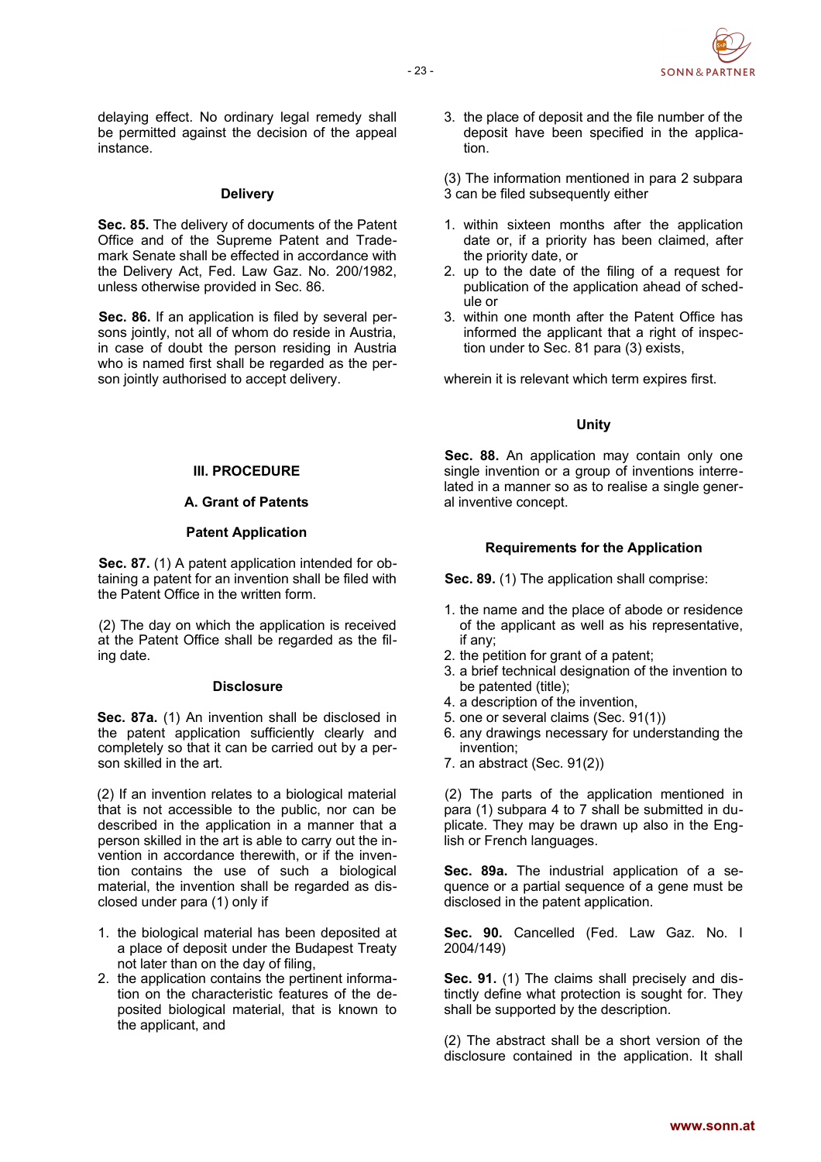delaying effect. No ordinary legal remedy shall be permitted against the decision of the appeal instance.

#### **Delivery**

**Sec. 85.** The delivery of documents of the Patent Office and of the Supreme Patent and Trademark Senate shall be effected in accordance with the Delivery Act, Fed. Law Gaz. No. 200/1982, unless otherwise provided in Sec. 86.

**Sec. 86.** If an application is filed by several persons jointly, not all of whom do reside in Austria, in case of doubt the person residing in Austria who is named first shall be regarded as the person jointly authorised to accept delivery.

**III. PROCEDURE**

#### **A. Grant of Patents**

#### **Patent Application**

**Sec. 87.** (1) A patent application intended for obtaining a patent for an invention shall be filed with the Patent Office in the written form.

(2) The day on which the application is received at the Patent Office shall be regarded as the filing date.

#### **Disclosure**

**Sec. 87a.** (1) An invention shall be disclosed in the patent application sufficiently clearly and completely so that it can be carried out by a person skilled in the art.

(2) If an invention relates to a biological material that is not accessible to the public, nor can be described in the application in a manner that a person skilled in the art is able to carry out the invention in accordance therewith, or if the invention contains the use of such a biological material, the invention shall be regarded as disclosed under para (1) only if

- 1. the biological material has been deposited at a place of deposit under the Budapest Treaty not later than on the day of filing,
- 2. the application contains the pertinent information on the characteristic features of the deposited biological material, that is known to the applicant, and

3. the place of deposit and the file number of the deposit have been specified in the application.

(3) The information mentioned in para 2 subpara 3 can be filed subsequently either

- 1. within sixteen months after the application date or, if a priority has been claimed, after the priority date, or
- 2. up to the date of the filing of a request for publication of the application ahead of schedule or
- 3. within one month after the Patent Office has informed the applicant that a right of inspection under to Sec. 81 para (3) exists,

wherein it is relevant which term expires first.

#### **Unity**

**Sec. 88.** An application may contain only one single invention or a group of inventions interrelated in a manner so as to realise a single general inventive concept.

#### **Requirements for the Application**

**Sec. 89.** (1) The application shall comprise:

- 1. the name and the place of abode or residence of the applicant as well as his representative, if any;
- 2. the petition for grant of a patent;
- 3. a brief technical designation of the invention to be patented (title);
- 4. a description of the invention,
- 5. one or several claims (Sec. 91(1))
- 6. any drawings necessary for understanding the invention;
- 7. an abstract (Sec. 91(2))

(2) The parts of the application mentioned in para (1) subpara 4 to 7 shall be submitted in duplicate. They may be drawn up also in the English or French languages.

**Sec. 89a.** The industrial application of a sequence or a partial sequence of a gene must be disclosed in the patent application.

Sec. 90. Cancelled (Fed. Law Gaz. No. I 2004/149)

**Sec. 91.** (1) The claims shall precisely and distinctly define what protection is sought for. They shall be supported by the description.

(2) The abstract shall be a short version of the disclosure contained in the application. It shall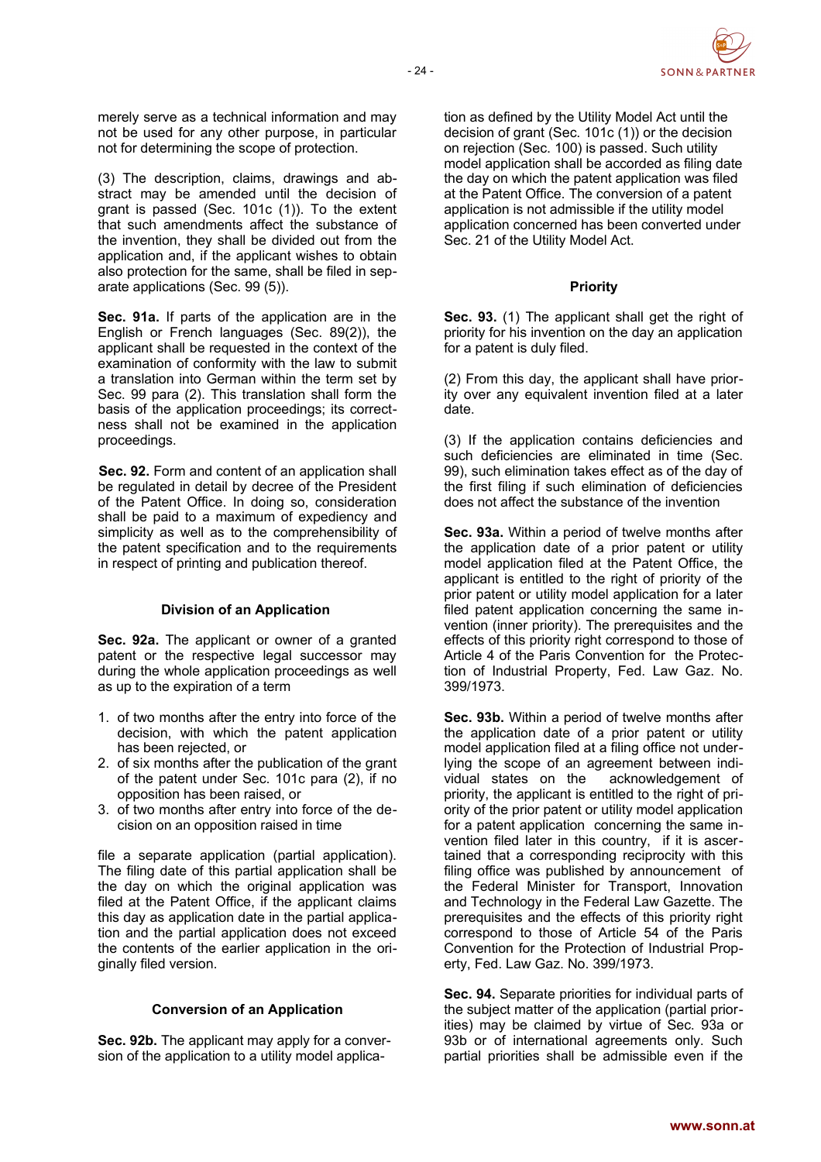

merely serve as a technical information and may not be used for any other purpose, in particular not for determining the scope of protection.

(3) The description, claims, drawings and abstract may be amended until the decision of grant is passed (Sec. 101c (1)). To the extent that such amendments affect the substance of the invention, they shall be divided out from the application and, if the applicant wishes to obtain also protection for the same, shall be filed in separate applications (Sec. 99 (5)).

**Sec. 91a.** If parts of the application are in the English or French languages (Sec. 89(2)), the applicant shall be requested in the context of the examination of conformity with the law to submit a translation into German within the term set by Sec. 99 para (2). This translation shall form the basis of the application proceedings; its correctness shall not be examined in the application proceedings.

**Sec. 92.** Form and content of an application shall be regulated in detail by decree of the President of the Patent Office. In doing so, consideration shall be paid to a maximum of expediency and simplicity as well as to the comprehensibility of the patent specification and to the requirements in respect of printing and publication thereof.

### **Division of an Application**

**Sec. 92a.** The applicant or owner of a granted patent or the respective legal successor may during the whole application proceedings as well as up to the expiration of a term

- 1. of two months after the entry into force of the decision, with which the patent application has been rejected, or
- 2. of six months after the publication of the grant of the patent under Sec. 101c para (2), if no opposition has been raised, or
- 3. of two months after entry into force of the decision on an opposition raised in time

file a separate application (partial application). The filing date of this partial application shall be the day on which the original application was filed at the Patent Office, if the applicant claims this day as application date in the partial application and the partial application does not exceed the contents of the earlier application in the originally filed version.

# **Conversion of an Application**

**Sec. 92b.** The applicant may apply for a conversion of the application to a utility model application as defined by the Utility Model Act until the decision of grant (Sec. 101c (1)) or the decision on rejection (Sec. 100) is passed. Such utility model application shall be accorded as filing date the day on which the patent application was filed at the Patent Office. The conversion of a patent application is not admissible if the utility model application concerned has been converted under Sec. 21 of the Utility Model Act.

# **Priority**

**Sec. 93.** (1) The applicant shall get the right of priority for his invention on the day an application for a patent is duly filed.

(2) From this day, the applicant shall have priority over any equivalent invention filed at a later date.

(3) If the application contains deficiencies and such deficiencies are eliminated in time (Sec. 99), such elimination takes effect as of the day of the first filing if such elimination of deficiencies does not affect the substance of the invention

**Sec. 93a.** Within a period of twelve months after the application date of a prior patent or utility model application filed at the Patent Office, the applicant is entitled to the right of priority of the prior patent or utility model application for a later filed patent application concerning the same invention (inner priority). The prerequisites and the effects of this priority right correspond to those of Article 4 of the Paris Convention for the Protection of Industrial Property, Fed. Law Gaz. No. 399/1973.

**Sec. 93b.** Within a period of twelve months after the application date of a prior patent or utility model application filed at a filing office not underlying the scope of an agreement between individual states on the acknowledgement of priority, the applicant is entitled to the right of priority of the prior patent or utility model application for a patent application concerning the same invention filed later in this country, if it is ascertained that a corresponding reciprocity with this filing office was published by announcement of the Federal Minister for Transport, Innovation and Technology in the Federal Law Gazette. The prerequisites and the effects of this priority right correspond to those of Article 54 of the Paris Convention for the Protection of Industrial Property, Fed. Law Gaz. No. 399/1973.

**Sec. 94.** Separate priorities for individual parts of the subject matter of the application (partial priorities) may be claimed by virtue of Sec. 93a or 93b or of international agreements only. Such partial priorities shall be admissible even if the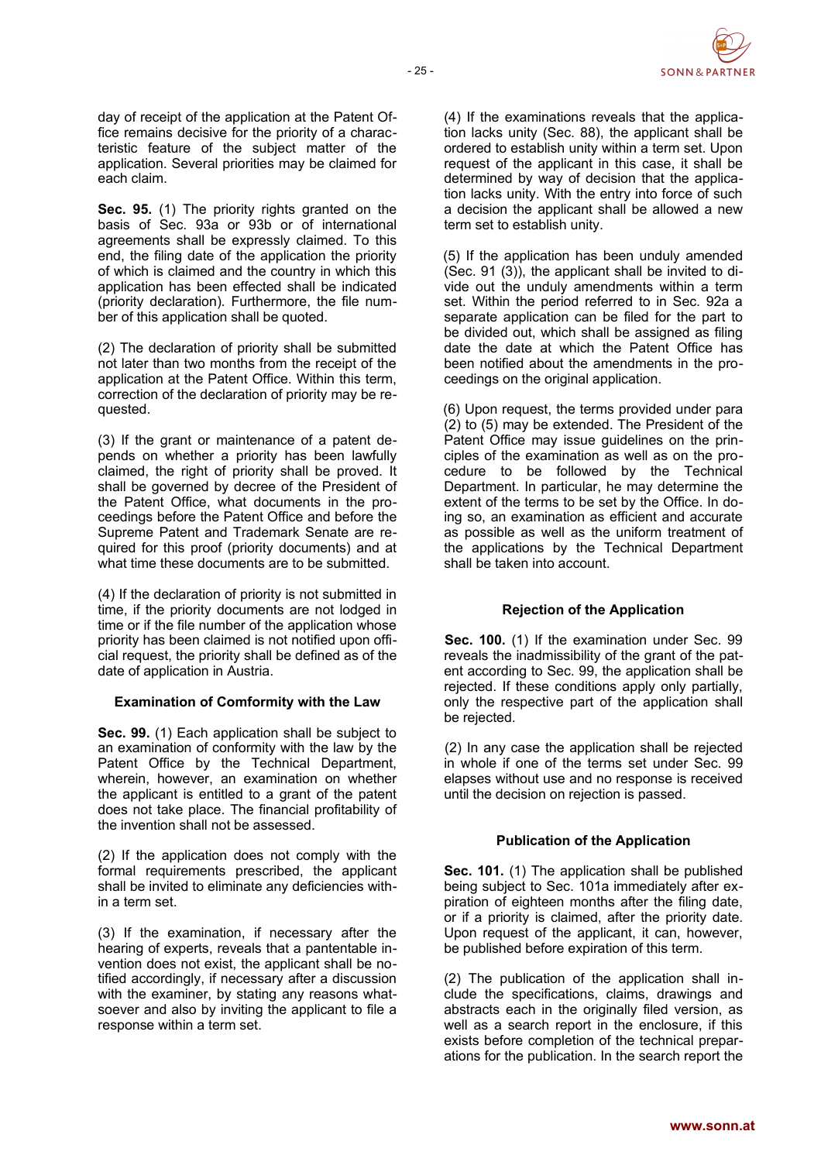

day of receipt of the application at the Patent Office remains decisive for the priority of a characteristic feature of the subject matter of the application. Several priorities may be claimed for each claim.

**Sec. 95.** (1) The priority rights granted on the basis of Sec. 93a or 93b or of international agreements shall be expressly claimed. To this end, the filing date of the application the priority of which is claimed and the country in which this application has been effected shall be indicated (priority declaration). Furthermore, the file number of this application shall be quoted.

(2) The declaration of priority shall be submitted not later than two months from the receipt of the application at the Patent Office. Within this term, correction of the declaration of priority may be requested.

(3) If the grant or maintenance of a patent depends on whether a priority has been lawfully claimed, the right of priority shall be proved. It shall be governed by decree of the President of the Patent Office, what documents in the proceedings before the Patent Office and before the Supreme Patent and Trademark Senate are required for this proof (priority documents) and at what time these documents are to be submitted.

(4) If the declaration of priority is not submitted in time, if the priority documents are not lodged in time or if the file number of the application whose priority has been claimed is not notified upon official request, the priority shall be defined as of the date of application in Austria.

### **Examination of Comformity with the Law**

**Sec. 99.** (1) Each application shall be subject to an examination of conformity with the law by the Patent Office by the Technical Department, wherein, however, an examination on whether the applicant is entitled to a grant of the patent does not take place. The financial profitability of the invention shall not be assessed.

(2) If the application does not comply with the formal requirements prescribed, the applicant shall be invited to eliminate any deficiencies within a term set.

(3) If the examination, if necessary after the hearing of experts, reveals that a pantentable invention does not exist, the applicant shall be notified accordingly, if necessary after a discussion with the examiner, by stating any reasons whatsoever and also by inviting the applicant to file a response within a term set.

(4) If the examinations reveals that the application lacks unity (Sec. 88), the applicant shall be ordered to establish unity within a term set. Upon request of the applicant in this case, it shall be determined by way of decision that the application lacks unity. With the entry into force of such a decision the applicant shall be allowed a new term set to establish unity.

(5) If the application has been unduly amended (Sec. 91 (3)), the applicant shall be invited to divide out the unduly amendments within a term set. Within the period referred to in Sec. 92a a separate application can be filed for the part to be divided out, which shall be assigned as filing date the date at which the Patent Office has been notified about the amendments in the proceedings on the original application.

(6) Upon request, the terms provided under para (2) to (5) may be extended. The President of the Patent Office may issue guidelines on the principles of the examination as well as on the procedure to be followed by the Technical Department. In particular, he may determine the extent of the terms to be set by the Office. In doing so, an examination as efficient and accurate as possible as well as the uniform treatment of the applications by the Technical Department shall be taken into account.

### **Rejection of the Application**

**Sec. 100.** (1) If the examination under Sec. 99 reveals the inadmissibility of the grant of the patent according to Sec. 99, the application shall be rejected. If these conditions apply only partially, only the respective part of the application shall be rejected.

(2) In any case the application shall be rejected in whole if one of the terms set under Sec. 99 elapses without use and no response is received until the decision on rejection is passed.

# **Publication of the Application**

**Sec. 101.** (1) The application shall be published being subject to Sec. 101a immediately after expiration of eighteen months after the filing date, or if a priority is claimed, after the priority date. Upon request of the applicant, it can, however, be published before expiration of this term.

(2) The publication of the application shall include the specifications, claims, drawings and abstracts each in the originally filed version, as well as a search report in the enclosure, if this exists before completion of the technical preparations for the publication. In the search report the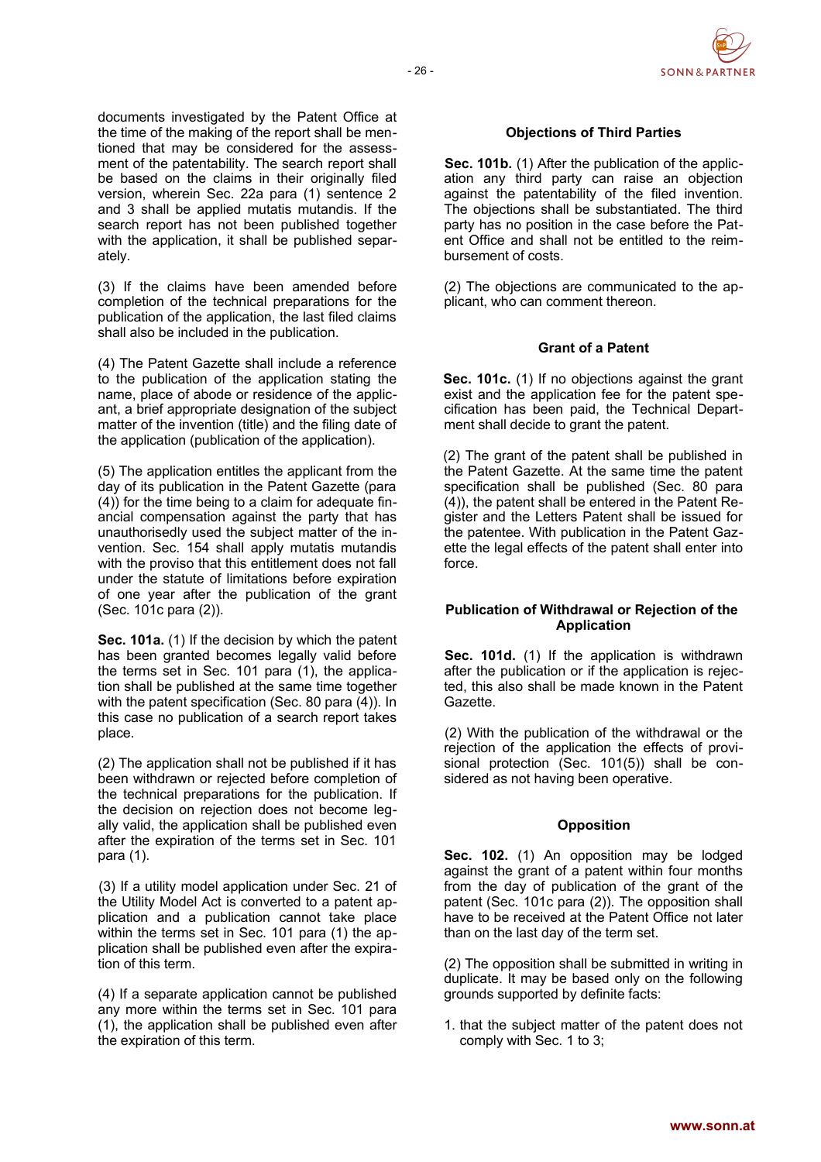**SONN&PARTNER** 

documents investigated by the Patent Office at the time of the making of the report shall be mentioned that may be considered for the assessment of the patentability. The search report shall be based on the claims in their originally filed version, wherein Sec. 22a para (1) sentence 2 and 3 shall be applied mutatis mutandis. If the search report has not been published together with the application, it shall be published separately.

(3) If the claims have been amended before completion of the technical preparations for the publication of the application, the last filed claims shall also be included in the publication.

(4) The Patent Gazette shall include a reference to the publication of the application stating the name, place of abode or residence of the applicant, a brief appropriate designation of the subject matter of the invention (title) and the filing date of the application (publication of the application).

(5) The application entitles the applicant from the day of its publication in the Patent Gazette (para (4)) for the time being to a claim for adequate financial compensation against the party that has unauthorisedly used the subject matter of the invention. Sec. 154 shall apply mutatis mutandis with the proviso that this entitlement does not fall under the statute of limitations before expiration of one year after the publication of the grant (Sec. 101c para (2)).

**Sec. 101a.** (1) If the decision by which the patent has been granted becomes legally valid before the terms set in Sec. 101 para (1), the application shall be published at the same time together with the patent specification (Sec. 80 para  $(4)$ ). In this case no publication of a search report takes place.

(2) The application shall not be published if it has been withdrawn or rejected before completion of the technical preparations for the publication. If the decision on rejection does not become legally valid, the application shall be published even after the expiration of the terms set in Sec. 101 para (1).

(3) If a utility model application under Sec. 21 of the Utility Model Act is converted to a patent application and a publication cannot take place within the terms set in Sec. 101 para (1) the application shall be published even after the expiration of this term.

(4) If a separate application cannot be published any more within the terms set in Sec. 101 para (1), the application shall be published even after the expiration of this term.

# **Objections of Third Parties**

**Sec. 101b.** (1) After the publication of the application any third party can raise an objection against the patentability of the filed invention. The objections shall be substantiated. The third party has no position in the case before the Patent Office and shall not be entitled to the reimbursement of costs.

(2) The objections are communicated to the applicant, who can comment thereon.

#### **Grant of a Patent**

**Sec. 101c.** (1) If no objections against the grant exist and the application fee for the patent specification has been paid, the Technical Department shall decide to grant the patent.

(2) The grant of the patent shall be published in the Patent Gazette. At the same time the patent specification shall be published (Sec. 80 para (4)), the patent shall be entered in the Patent Register and the Letters Patent shall be issued for the patentee. With publication in the Patent Gazette the legal effects of the patent shall enter into force.

### **Publication of Withdrawal or Rejection of the Application**

**Sec. 101d.** (1) If the application is withdrawn after the publication or if the application is rejected, this also shall be made known in the Patent Gazette.

(2) With the publication of the withdrawal or the rejection of the application the effects of provisional protection (Sec. 101(5)) shall be considered as not having been operative.

#### **Opposition**

**Sec. 102.** (1) An opposition may be lodged against the grant of a patent within four months from the day of publication of the grant of the patent (Sec. 101c para (2)). The opposition shall have to be received at the Patent Office not later than on the last day of the term set.

(2) The opposition shall be submitted in writing in duplicate. It may be based only on the following grounds supported by definite facts:

1. that the subject matter of the patent does not comply with Sec. 1 to 3;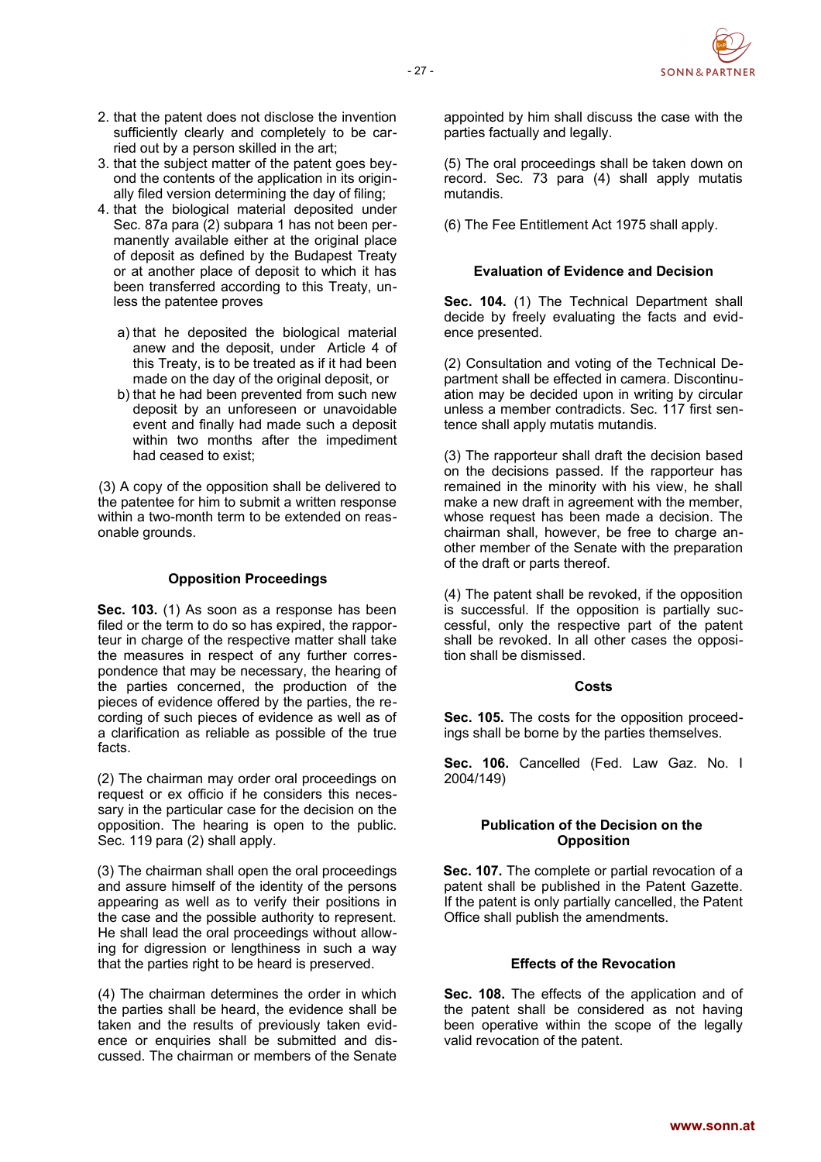

- 2. that the patent does not disclose the invention sufficiently clearly and completely to be carried out by a person skilled in the art;
- 3. that the subject matter of the patent goes beyond the contents of the application in its originally filed version determining the day of filing;
- 4. that the biological material deposited under Sec. 87a para (2) subpara 1 has not been permanently available either at the original place of deposit as defined by the Budapest Treaty or at another place of deposit to which it has been transferred according to this Treaty, unless the patentee proves
	- a) that he deposited the biological material anew and the deposit, under Article 4 of this Treaty, is to be treated as if it had been made on the day of the original deposit, or
	- b) that he had been prevented from such new deposit by an unforeseen or unavoidable event and finally had made such a deposit within two months after the impediment had ceased to exist;

(3) A copy of the opposition shall be delivered to the patentee for him to submit a written response within a two-month term to be extended on reasonable grounds.

# **Opposition Proceedings**

**Sec. 103.** (1) As soon as a response has been filed or the term to do so has expired, the rapporteur in charge of the respective matter shall take the measures in respect of any further correspondence that may be necessary, the hearing of the parties concerned, the production of the pieces of evidence offered by the parties, the recording of such pieces of evidence as well as of a clarification as reliable as possible of the true facts.

(2) The chairman may order oral proceedings on request or ex officio if he considers this necessary in the particular case for the decision on the opposition. The hearing is open to the public. Sec. 119 para (2) shall apply.

(3) The chairman shall open the oral proceedings and assure himself of the identity of the persons appearing as well as to verify their positions in the case and the possible authority to represent. He shall lead the oral proceedings without allowing for digression or lengthiness in such a way that the parties right to be heard is preserved.

(4) The chairman determines the order in which the parties shall be heard, the evidence shall be taken and the results of previously taken evidence or enquiries shall be submitted and discussed. The chairman or members of the Senate

appointed by him shall discuss the case with the parties factually and legally.

(5) The oral proceedings shall be taken down on record. Sec. 73 para (4) shall apply mutatis mutandis.

(6) The Fee Entitlement Act 1975 shall apply.

# **Evaluation of Evidence and Decision**

**Sec. 104.** (1) The Technical Department shall decide by freely evaluating the facts and evidence presented.

(2) Consultation and voting of the Technical Department shall be effected in camera. Discontinuation may be decided upon in writing by circular unless a member contradicts. Sec. 117 first sentence shall apply mutatis mutandis.

(3) The rapporteur shall draft the decision based on the decisions passed. If the rapporteur has remained in the minority with his view, he shall make a new draft in agreement with the member, whose request has been made a decision. The chairman shall, however, be free to charge another member of the Senate with the preparation of the draft or parts thereof.

(4) The patent shall be revoked, if the opposition is successful. If the opposition is partially successful, only the respective part of the patent shall be revoked. In all other cases the opposition shall be dismissed.

### **Costs**

**Sec. 105.** The costs for the opposition proceedings shall be borne by the parties themselves.

**Sec. 106.** Cancelled (Fed. Law Gaz. No. I 2004/149)

### **Publication of the Decision on the Opposition**

**Sec. 107.** The complete or partial revocation of a patent shall be published in the Patent Gazette. If the patent is only partially cancelled, the Patent Office shall publish the amendments.

### **Effects of the Revocation**

**Sec. 108.** The effects of the application and of the patent shall be considered as not having been operative within the scope of the legally valid revocation of the patent.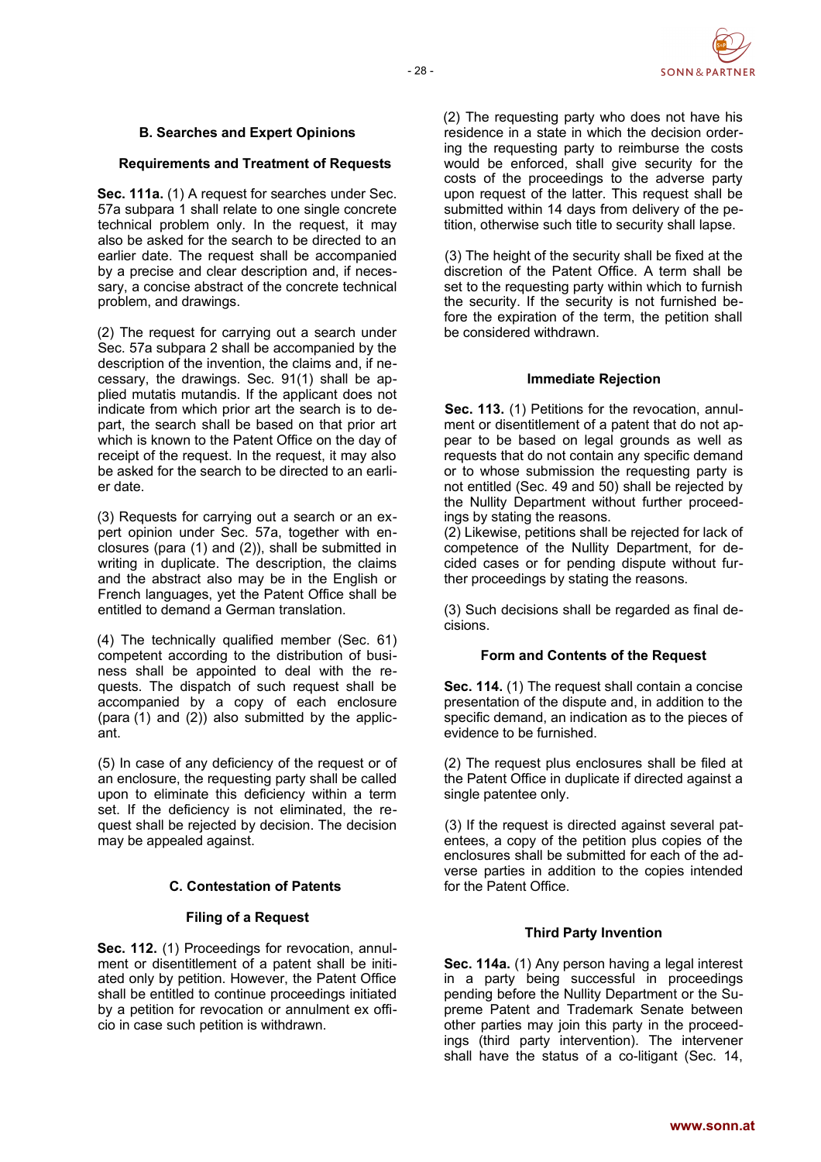

# **B. Searches and Expert Opinions**

#### **Requirements and Treatment of Requests**

**Sec. 111a.** (1) A request for searches under Sec. 57a subpara 1 shall relate to one single concrete technical problem only. In the request, it may also be asked for the search to be directed to an earlier date. The request shall be accompanied by a precise and clear description and, if necessary, a concise abstract of the concrete technical problem, and drawings.

(2) The request for carrying out a search under Sec. 57a subpara 2 shall be accompanied by the description of the invention, the claims and, if necessary, the drawings. Sec. 91(1) shall be applied mutatis mutandis. If the applicant does not indicate from which prior art the search is to depart, the search shall be based on that prior art which is known to the Patent Office on the day of receipt of the request. In the request, it may also be asked for the search to be directed to an earlier date.

(3) Requests for carrying out a search or an expert opinion under Sec. 57a, together with enclosures (para (1) and (2)), shall be submitted in writing in duplicate. The description, the claims and the abstract also may be in the English or French languages, yet the Patent Office shall be entitled to demand a German translation.

(4) The technically qualified member (Sec. 61) competent according to the distribution of business shall be appointed to deal with the requests. The dispatch of such request shall be accompanied by a copy of each enclosure (para  $(1)$  and  $(2)$ ) also submitted by the applicant.

(5) In case of any deficiency of the request or of an enclosure, the requesting party shall be called upon to eliminate this deficiency within a term set. If the deficiency is not eliminated, the request shall be rejected by decision. The decision may be appealed against.

### **C. Contestation of Patents**

### **Filing of a Request**

**Sec. 112.** (1) Proceedings for revocation, annulment or disentitlement of a patent shall be initiated only by petition. However, the Patent Office shall be entitled to continue proceedings initiated by a petition for revocation or annulment ex officio in case such petition is withdrawn.

(2) The requesting party who does not have his residence in a state in which the decision ordering the requesting party to reimburse the costs would be enforced, shall give security for the costs of the proceedings to the adverse party upon request of the latter. This request shall be submitted within 14 days from delivery of the petition, otherwise such title to security shall lapse.

(3) The height of the security shall be fixed at the discretion of the Patent Office. A term shall be set to the requesting party within which to furnish the security. If the security is not furnished before the expiration of the term, the petition shall be considered withdrawn.

#### **Immediate Rejection**

**Sec. 113.** (1) Petitions for the revocation, annulment or disentitlement of a patent that do not appear to be based on legal grounds as well as requests that do not contain any specific demand or to whose submission the requesting party is not entitled (Sec. 49 and 50) shall be rejected by the Nullity Department without further proceedings by stating the reasons.

(2) Likewise, petitions shall be rejected for lack of competence of the Nullity Department, for decided cases or for pending dispute without further proceedings by stating the reasons.

(3) Such decisions shall be regarded as final decisions.

#### **Form and Contents of the Request**

**Sec. 114.** (1) The request shall contain a concise presentation of the dispute and, in addition to the specific demand, an indication as to the pieces of evidence to be furnished.

(2) The request plus enclosures shall be filed at the Patent Office in duplicate if directed against a single patentee only.

(3) If the request is directed against several patentees, a copy of the petition plus copies of the enclosures shall be submitted for each of the adverse parties in addition to the copies intended for the Patent Office.

#### **Third Party Invention**

**Sec. 114a.** (1) Any person having a legal interest in a party being successful in proceedings pending before the Nullity Department or the Supreme Patent and Trademark Senate between other parties may join this party in the proceedings (third party intervention). The intervener shall have the status of a co-litigant (Sec. 14,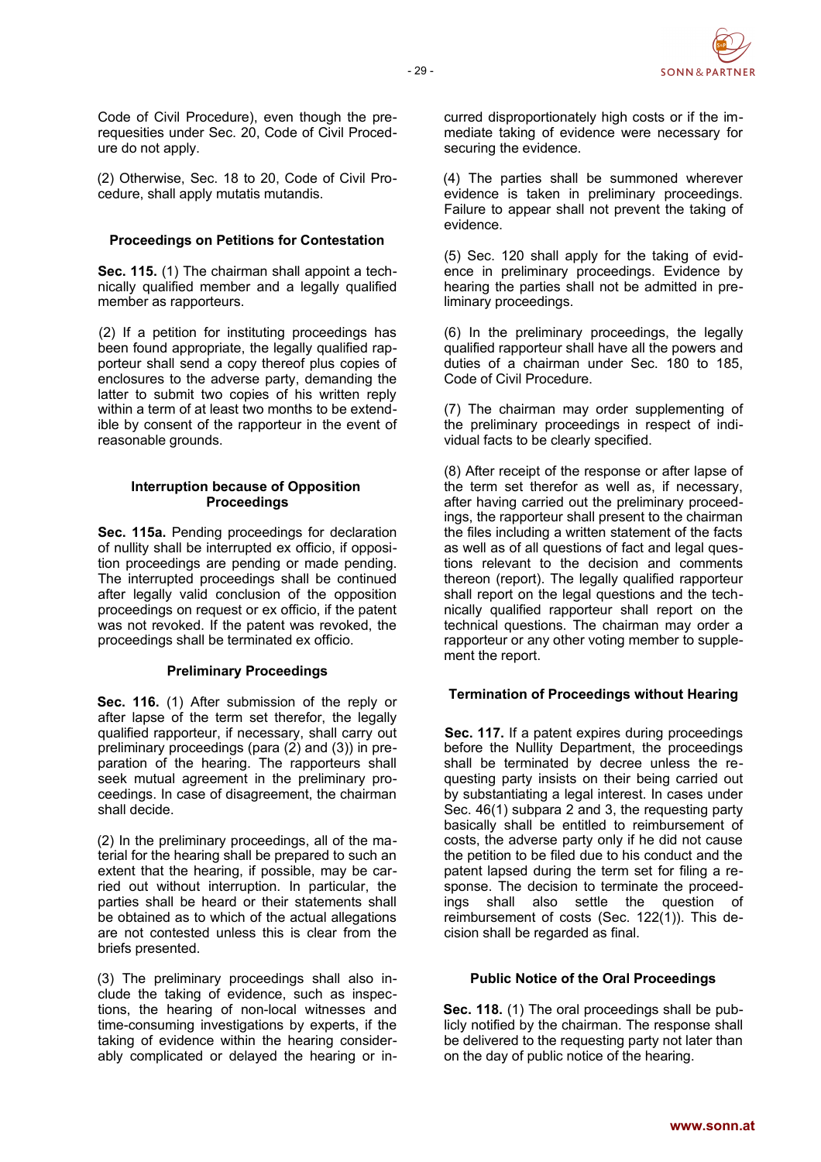

Code of Civil Procedure), even though the prerequesities under Sec. 20, Code of Civil Procedure do not apply.

(2) Otherwise, Sec. 18 to 20, Code of Civil Procedure, shall apply mutatis mutandis.

### **Proceedings on Petitions for Contestation**

**Sec. 115.** (1) The chairman shall appoint a technically qualified member and a legally qualified member as rapporteurs.

(2) If a petition for instituting proceedings has been found appropriate, the legally qualified rapporteur shall send a copy thereof plus copies of enclosures to the adverse party, demanding the latter to submit two copies of his written reply within a term of at least two months to be extendible by consent of the rapporteur in the event of reasonable grounds.

#### **Interruption because of Opposition Proceedings**

**Sec. 115a.** Pending proceedings for declaration of nullity shall be interrupted ex officio, if opposition proceedings are pending or made pending. The interrupted proceedings shall be continued after legally valid conclusion of the opposition proceedings on request or ex officio, if the patent was not revoked. If the patent was revoked, the proceedings shall be terminated ex officio.

### **Preliminary Proceedings**

**Sec. 116.** (1) After submission of the reply or after lapse of the term set therefor, the legally qualified rapporteur, if necessary, shall carry out preliminary proceedings (para (2) and (3)) in preparation of the hearing. The rapporteurs shall seek mutual agreement in the preliminary proceedings. In case of disagreement, the chairman shall decide.

(2) In the preliminary proceedings, all of the material for the hearing shall be prepared to such an extent that the hearing, if possible, may be carried out without interruption. In particular, the parties shall be heard or their statements shall be obtained as to which of the actual allegations are not contested unless this is clear from the briefs presented.

(3) The preliminary proceedings shall also include the taking of evidence, such as inspections, the hearing of non-local witnesses and time-consuming investigations by experts, if the taking of evidence within the hearing considerably complicated or delayed the hearing or incurred disproportionately high costs or if the immediate taking of evidence were necessary for securing the evidence.

(4) The parties shall be summoned wherever evidence is taken in preliminary proceedings. Failure to appear shall not prevent the taking of evidence.

(5) Sec. 120 shall apply for the taking of evidence in preliminary proceedings. Evidence by hearing the parties shall not be admitted in preliminary proceedings.

(6) In the preliminary proceedings, the legally qualified rapporteur shall have all the powers and duties of a chairman under Sec. 180 to 185, Code of Civil Procedure.

(7) The chairman may order supplementing of the preliminary proceedings in respect of individual facts to be clearly specified.

(8) After receipt of the response or after lapse of the term set therefor as well as, if necessary, after having carried out the preliminary proceedings, the rapporteur shall present to the chairman the files including a written statement of the facts as well as of all questions of fact and legal questions relevant to the decision and comments thereon (report). The legally qualified rapporteur shall report on the legal questions and the technically qualified rapporteur shall report on the technical questions. The chairman may order a rapporteur or any other voting member to supplement the report.

### **Termination of Proceedings without Hearing**

**Sec. 117.** If a patent expires during proceedings before the Nullity Department, the proceedings shall be terminated by decree unless the requesting party insists on their being carried out by substantiating a legal interest. In cases under Sec. 46(1) subpara 2 and 3, the requesting party basically shall be entitled to reimbursement of costs, the adverse party only if he did not cause the petition to be filed due to his conduct and the patent lapsed during the term set for filing a response. The decision to terminate the proceedings shall also settle the question of reimbursement of costs (Sec. 122(1)). This decision shall be regarded as final.

### **Public Notice of the Oral Proceedings**

**Sec. 118.** (1) The oral proceedings shall be publicly notified by the chairman. The response shall be delivered to the requesting party not later than on the day of public notice of the hearing.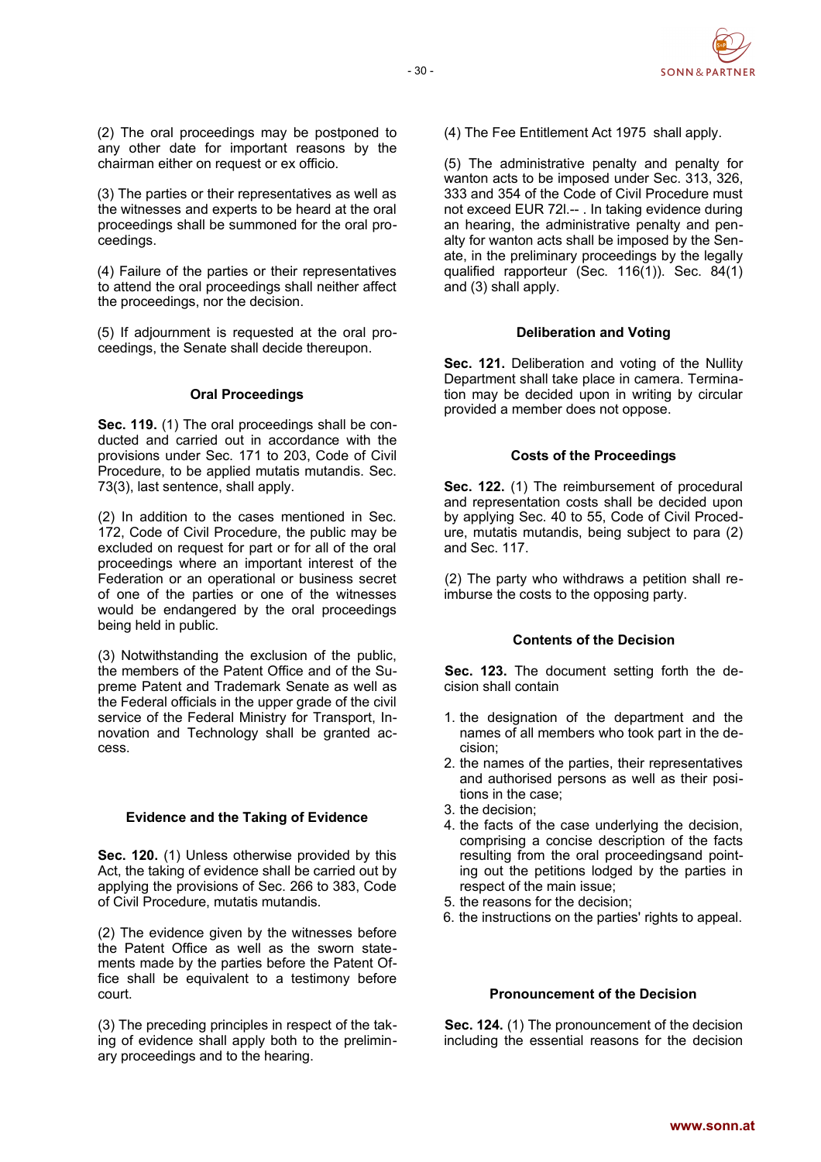

(2) The oral proceedings may be postponed to any other date for important reasons by the chairman either on request or ex officio.

(3) The parties or their representatives as well as the witnesses and experts to be heard at the oral proceedings shall be summoned for the oral proceedings.

(4) Failure of the parties or their representatives to attend the oral proceedings shall neither affect the proceedings, nor the decision.

(5) If adjournment is requested at the oral proceedings, the Senate shall decide thereupon.

### **Oral Proceedings**

**Sec. 119.** (1) The oral proceedings shall be conducted and carried out in accordance with the provisions under Sec. 171 to 203, Code of Civil Procedure, to be applied mutatis mutandis. Sec. 73(3), last sentence, shall apply.

(2) In addition to the cases mentioned in Sec. 172, Code of Civil Procedure, the public may be excluded on request for part or for all of the oral proceedings where an important interest of the Federation or an operational or business secret of one of the parties or one of the witnesses would be endangered by the oral proceedings being held in public.

(3) Notwithstanding the exclusion of the public, the members of the Patent Office and of the Supreme Patent and Trademark Senate as well as the Federal officials in the upper grade of the civil service of the Federal Ministry for Transport, Innovation and Technology shall be granted access.

### **Evidence and the Taking of Evidence**

**Sec. 120.** (1) Unless otherwise provided by this Act, the taking of evidence shall be carried out by applying the provisions of Sec. 266 to 383, Code of Civil Procedure, mutatis mutandis.

(2) The evidence given by the witnesses before the Patent Office as well as the sworn statements made by the parties before the Patent Office shall be equivalent to a testimony before court.

(3) The preceding principles in respect of the taking of evidence shall apply both to the preliminary proceedings and to the hearing.

(4) The Fee Entitlement Act 1975 shall apply.

(5) The administrative penalty and penalty for wanton acts to be imposed under Sec. 313, 326. 333 and 354 of the Code of Civil Procedure must not exceed EUR 72l.-- . In taking evidence during an hearing, the administrative penalty and penalty for wanton acts shall be imposed by the Senate, in the preliminary proceedings by the legally qualified rapporteur (Sec. 116(1)). Sec. 84(1) and (3) shall apply.

# **Deliberation and Voting**

**Sec. 121.** Deliberation and voting of the Nullity Department shall take place in camera. Termination may be decided upon in writing by circular provided a member does not oppose.

# **Costs of the Proceedings**

**Sec. 122.** (1) The reimbursement of procedural and representation costs shall be decided upon by applying Sec. 40 to 55, Code of Civil Procedure, mutatis mutandis, being subject to para (2) and Sec. 117.

(2) The party who withdraws a petition shall reimburse the costs to the opposing party.

### **Contents of the Decision**

**Sec. 123.** The document setting forth the decision shall contain

- 1. the designation of the department and the names of all members who took part in the decision;
- 2. the names of the parties, their representatives and authorised persons as well as their positions in the case;
- 3. the decision;
- 4. the facts of the case underlying the decision, comprising a concise description of the facts resulting from the oral proceedingsand pointing out the petitions lodged by the parties in respect of the main issue;
- 5. the reasons for the decision;
- 6. the instructions on the parties' rights to appeal.

### **Pronouncement of the Decision**

**Sec. 124.** (1) The pronouncement of the decision including the essential reasons for the decision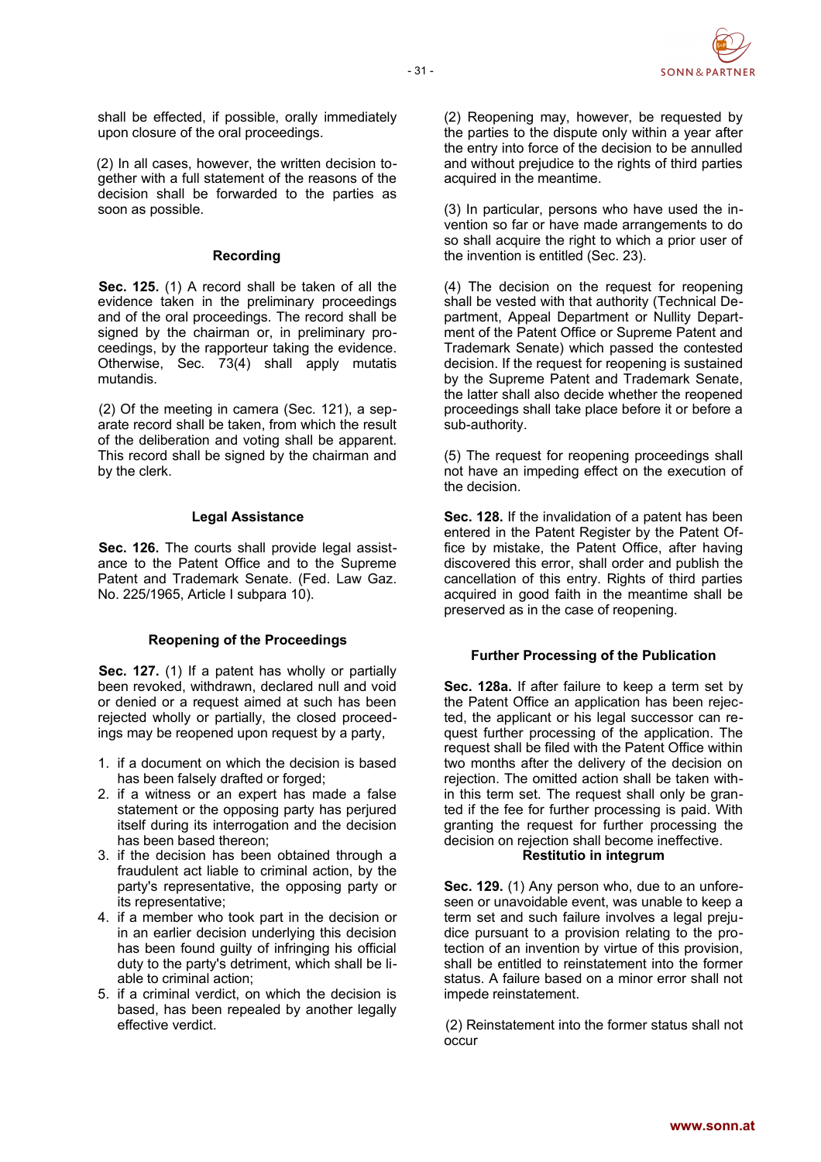

shall be effected, if possible, orally immediately upon closure of the oral proceedings.

(2) In all cases, however, the written decision together with a full statement of the reasons of the decision shall be forwarded to the parties as soon as possible.

#### **Recording**

**Sec. 125.** (1) A record shall be taken of all the evidence taken in the preliminary proceedings and of the oral proceedings. The record shall be signed by the chairman or, in preliminary proceedings, by the rapporteur taking the evidence. Otherwise, Sec. 73(4) shall apply mutatis mutandis.

(2) Of the meeting in camera (Sec. 121), a separate record shall be taken, from which the result of the deliberation and voting shall be apparent. This record shall be signed by the chairman and by the clerk.

#### **Legal Assistance**

**Sec. 126.** The courts shall provide legal assistance to the Patent Office and to the Supreme Patent and Trademark Senate. (Fed. Law Gaz. No. 225/1965, Article I subpara 10).

#### **Reopening of the Proceedings**

**Sec. 127.** (1) If a patent has wholly or partially been revoked, withdrawn, declared null and void or denied or a request aimed at such has been rejected wholly or partially, the closed proceedings may be reopened upon request by a party,

- 1. if a document on which the decision is based has been falsely drafted or forged:
- 2. if a witness or an expert has made a false statement or the opposing party has perjured itself during its interrogation and the decision has been based thereon;
- 3. if the decision has been obtained through a fraudulent act liable to criminal action, by the party's representative, the opposing party or its representative;
- 4. if a member who took part in the decision or in an earlier decision underlying this decision has been found guilty of infringing his official duty to the party's detriment, which shall be liable to criminal action;
- 5. if a criminal verdict, on which the decision is based, has been repealed by another legally effective verdict.

(2) Reopening may, however, be requested by the parties to the dispute only within a year after the entry into force of the decision to be annulled and without prejudice to the rights of third parties acquired in the meantime.

(3) In particular, persons who have used the invention so far or have made arrangements to do so shall acquire the right to which a prior user of the invention is entitled (Sec. 23).

(4) The decision on the request for reopening shall be vested with that authority (Technical Department, Appeal Department or Nullity Department of the Patent Office or Supreme Patent and Trademark Senate) which passed the contested decision. If the request for reopening is sustained by the Supreme Patent and Trademark Senate, the latter shall also decide whether the reopened proceedings shall take place before it or before a sub-authority.

(5) The request for reopening proceedings shall not have an impeding effect on the execution of the decision.

**Sec. 128.** If the invalidation of a patent has been entered in the Patent Register by the Patent Office by mistake, the Patent Office, after having discovered this error, shall order and publish the cancellation of this entry. Rights of third parties acquired in good faith in the meantime shall be preserved as in the case of reopening.

#### **Further Processing of the Publication**

**Sec. 128a.** If after failure to keep a term set by the Patent Office an application has been rejected, the applicant or his legal successor can request further processing of the application. The request shall be filed with the Patent Office within two months after the delivery of the decision on rejection. The omitted action shall be taken within this term set. The request shall only be granted if the fee for further processing is paid. With granting the request for further processing the decision on rejection shall become ineffective.

#### **Restitutio in integrum**

**Sec. 129.** (1) Any person who, due to an unforeseen or unavoidable event, was unable to keep a term set and such failure involves a legal prejudice pursuant to a provision relating to the protection of an invention by virtue of this provision, shall be entitled to reinstatement into the former status. A failure based on a minor error shall not impede reinstatement.

(2) Reinstatement into the former status shall not occur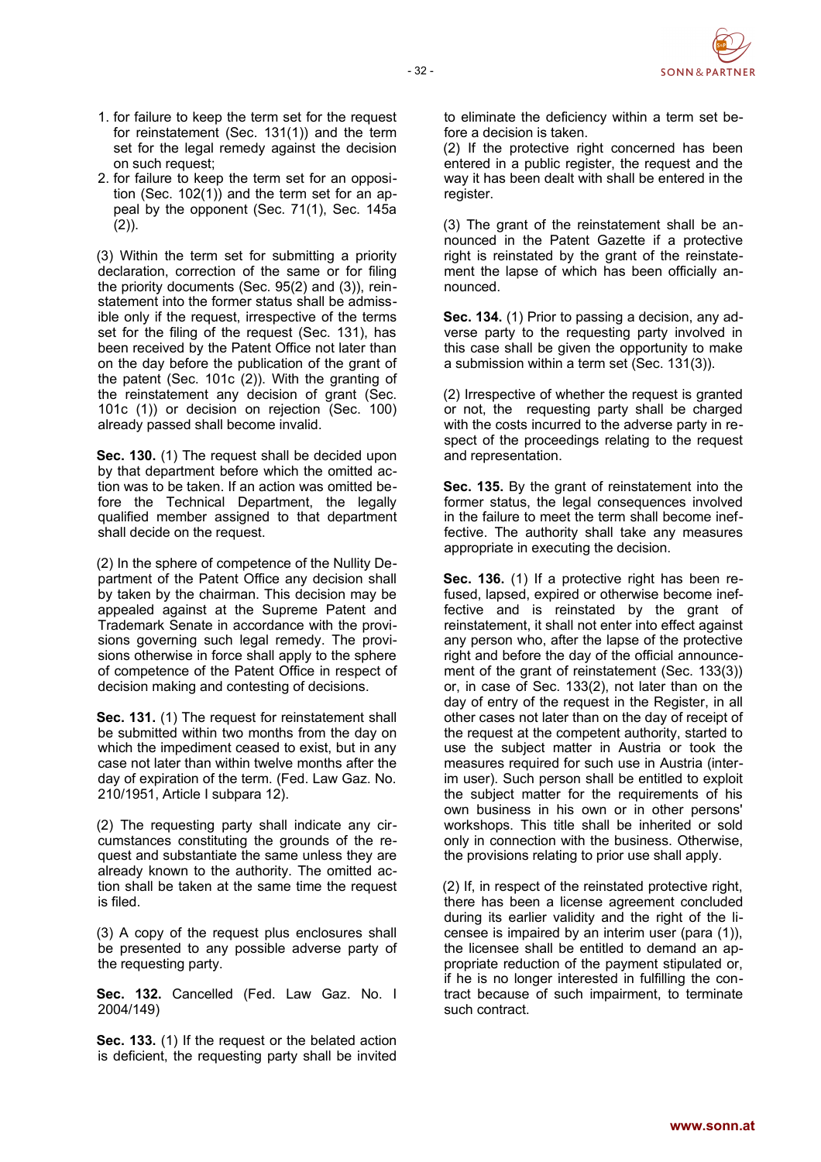

- 1. for failure to keep the term set for the request for reinstatement (Sec. 131(1)) and the term
- set for the legal remedy against the decision on such request; 2. for failure to keep the term set for an opposi-
- tion (Sec. 102(1)) and the term set for an appeal by the opponent (Sec. 71(1), Sec. 145a  $(2)$ ).

(3) Within the term set for submitting a priority declaration, correction of the same or for filing the priority documents (Sec. 95(2) and (3)), reinstatement into the former status shall be admissible only if the request, irrespective of the terms set for the filing of the request (Sec. 131), has been received by the Patent Office not later than on the day before the publication of the grant of the patent (Sec. 101c (2)). With the granting of the reinstatement any decision of grant (Sec. 101c (1)) or decision on rejection (Sec. 100) already passed shall become invalid.

**Sec. 130.** (1) The request shall be decided upon by that department before which the omitted action was to be taken. If an action was omitted before the Technical Department, the legally qualified member assigned to that department shall decide on the request.

(2) In the sphere of competence of the Nullity Department of the Patent Office any decision shall by taken by the chairman. This decision may be appealed against at the Supreme Patent and Trademark Senate in accordance with the provisions governing such legal remedy. The provisions otherwise in force shall apply to the sphere of competence of the Patent Office in respect of decision making and contesting of decisions.

**Sec. 131.** (1) The request for reinstatement shall be submitted within two months from the day on which the impediment ceased to exist, but in any case not later than within twelve months after the day of expiration of the term. (Fed. Law Gaz. No. 210/1951, Article I subpara 12).

(2) The requesting party shall indicate any circumstances constituting the grounds of the request and substantiate the same unless they are already known to the authority. The omitted action shall be taken at the same time the request is filed.

(3) A copy of the request plus enclosures shall be presented to any possible adverse party of the requesting party.

**Sec. 132.** Cancelled (Fed. Law Gaz. No. I 2004/149)

**Sec. 133.** (1) If the request or the belated action is deficient, the requesting party shall be invited to eliminate the deficiency within a term set before a decision is taken.

(2) If the protective right concerned has been entered in a public register, the request and the way it has been dealt with shall be entered in the register.

(3) The grant of the reinstatement shall be announced in the Patent Gazette if a protective right is reinstated by the grant of the reinstatement the lapse of which has been officially announced.

**Sec. 134.** (1) Prior to passing a decision, any adverse party to the requesting party involved in this case shall be given the opportunity to make a submission within a term set (Sec. 131(3)).

(2) Irrespective of whether the request is granted or not, the requesting party shall be charged with the costs incurred to the adverse party in respect of the proceedings relating to the request and representation.

**Sec. 135.** By the grant of reinstatement into the former status, the legal consequences involved in the failure to meet the term shall become ineffective. The authority shall take any measures appropriate in executing the decision.

**Sec. 136.** (1) If a protective right has been refused, lapsed, expired or otherwise become ineffective and is reinstated by the grant of reinstatement, it shall not enter into effect against any person who, after the lapse of the protective right and before the day of the official announcement of the grant of reinstatement (Sec. 133(3)) or, in case of Sec. 133(2), not later than on the day of entry of the request in the Register, in all other cases not later than on the day of receipt of the request at the competent authority, started to use the subject matter in Austria or took the measures required for such use in Austria (interim user). Such person shall be entitled to exploit the subject matter for the requirements of his own business in his own or in other persons' workshops. This title shall be inherited or sold only in connection with the business. Otherwise, the provisions relating to prior use shall apply.

(2) If, in respect of the reinstated protective right, there has been a license agreement concluded during its earlier validity and the right of the licensee is impaired by an interim user (para (1)), the licensee shall be entitled to demand an appropriate reduction of the payment stipulated or, if he is no longer interested in fulfilling the contract because of such impairment, to terminate such contract.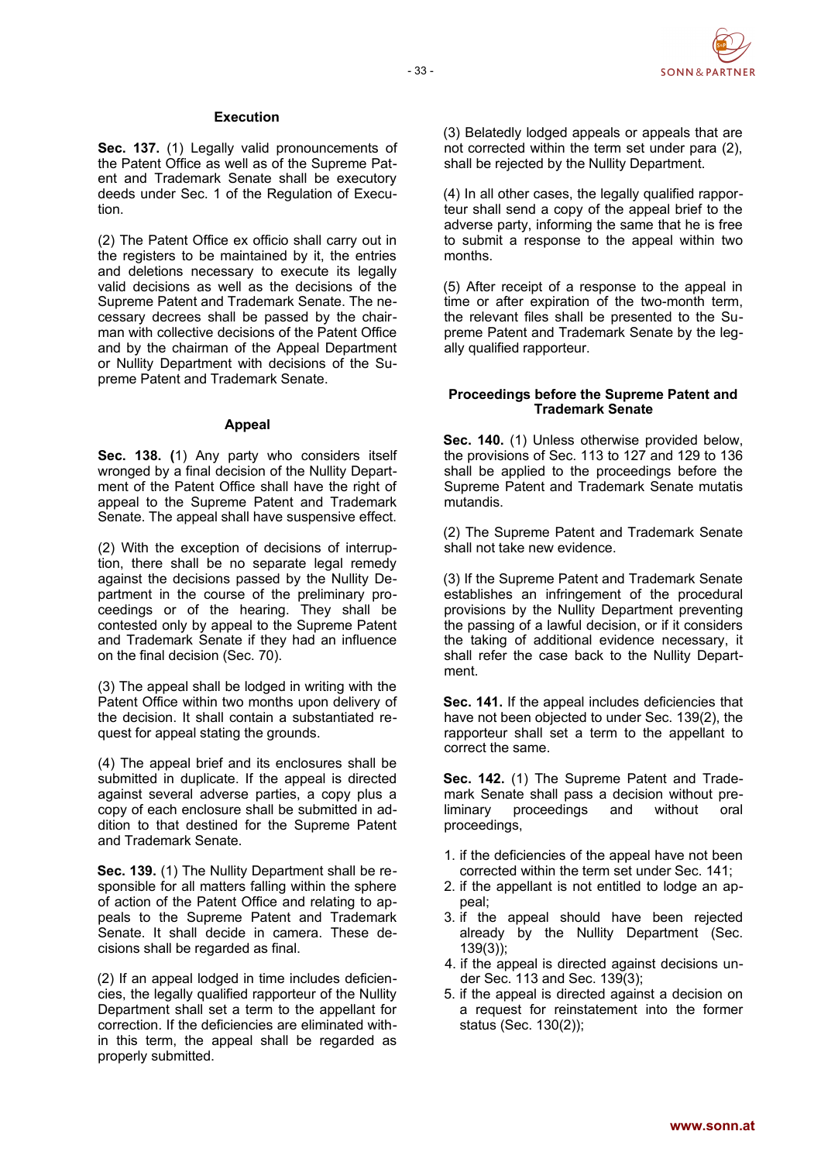

### **Execution**

**Sec. 137.** (1) Legally valid pronouncements of the Patent Office as well as of the Supreme Patent and Trademark Senate shall be executory deeds under Sec. 1 of the Regulation of Execution.

(2) The Patent Office ex officio shall carry out in the registers to be maintained by it, the entries and deletions necessary to execute its legally valid decisions as well as the decisions of the Supreme Patent and Trademark Senate. The necessary decrees shall be passed by the chairman with collective decisions of the Patent Office and by the chairman of the Appeal Department or Nullity Department with decisions of the Supreme Patent and Trademark Senate.

#### **Appeal**

**Sec. 138. (**1) Any party who considers itself wronged by a final decision of the Nullity Department of the Patent Office shall have the right of appeal to the Supreme Patent and Trademark Senate. The appeal shall have suspensive effect.

(2) With the exception of decisions of interruption, there shall be no separate legal remedy against the decisions passed by the Nullity Department in the course of the preliminary proceedings or of the hearing. They shall be contested only by appeal to the Supreme Patent and Trademark Senate if they had an influence on the final decision (Sec. 70).

(3) The appeal shall be lodged in writing with the Patent Office within two months upon delivery of the decision. It shall contain a substantiated request for appeal stating the grounds.

(4) The appeal brief and its enclosures shall be submitted in duplicate. If the appeal is directed against several adverse parties, a copy plus a copy of each enclosure shall be submitted in addition to that destined for the Supreme Patent and Trademark Senate.

**Sec. 139.** (1) The Nullity Department shall be responsible for all matters falling within the sphere of action of the Patent Office and relating to appeals to the Supreme Patent and Trademark Senate. It shall decide in camera. These decisions shall be regarded as final.

(2) If an appeal lodged in time includes deficiencies, the legally qualified rapporteur of the Nullity Department shall set a term to the appellant for correction. If the deficiencies are eliminated within this term, the appeal shall be regarded as properly submitted.

(3) Belatedly lodged appeals or appeals that are not corrected within the term set under para (2), shall be rejected by the Nullity Department.

(4) In all other cases, the legally qualified rapporteur shall send a copy of the appeal brief to the adverse party, informing the same that he is free to submit a response to the appeal within two months.

(5) After receipt of a response to the appeal in time or after expiration of the two-month term, the relevant files shall be presented to the Supreme Patent and Trademark Senate by the legally qualified rapporteur.

# **Proceedings before the Supreme Patent and Trademark Senate**

**Sec. 140.** (1) Unless otherwise provided below, the provisions of Sec. 113 to 127 and 129 to 136 shall be applied to the proceedings before the Supreme Patent and Trademark Senate mutatis mutandis.

(2) The Supreme Patent and Trademark Senate shall not take new evidence.

(3) If the Supreme Patent and Trademark Senate establishes an infringement of the procedural provisions by the Nullity Department preventing the passing of a lawful decision, or if it considers the taking of additional evidence necessary, it shall refer the case back to the Nullity Department.

**Sec. 141.** If the appeal includes deficiencies that have not been objected to under Sec. 139(2), the rapporteur shall set a term to the appellant to correct the same.

**Sec. 142.** (1) The Supreme Patent and Trademark Senate shall pass a decision without preliminary proceedings and without oral proceedings,

- 1. if the deficiencies of the appeal have not been corrected within the term set under Sec. 141;
- 2. if the appellant is not entitled to lodge an appeal;
- 3. if the appeal should have been rejected already by the Nullity Department (Sec. 139(3));
- 4. if the appeal is directed against decisions under Sec. 113 and Sec. 139(3);
- 5. if the appeal is directed against a decision on a request for reinstatement into the former status (Sec. 130(2));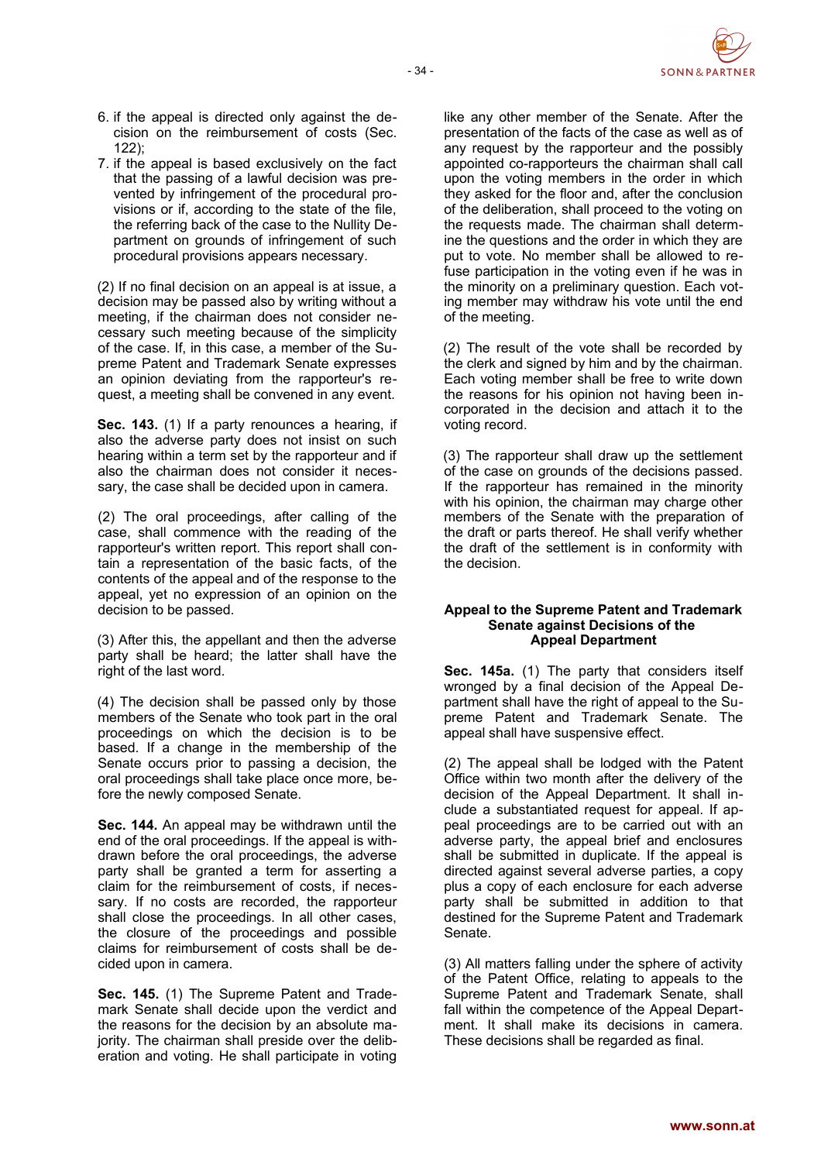

- 6. if the appeal is directed only against the decision on the reimbursement of costs (Sec. 122);
- 7. if the appeal is based exclusively on the fact that the passing of a lawful decision was prevented by infringement of the procedural provisions or if, according to the state of the file, the referring back of the case to the Nullity Department on grounds of infringement of such procedural provisions appears necessary.

(2) If no final decision on an appeal is at issue, a decision may be passed also by writing without a meeting, if the chairman does not consider necessary such meeting because of the simplicity of the case. If, in this case, a member of the Supreme Patent and Trademark Senate expresses an opinion deviating from the rapporteur's request, a meeting shall be convened in any event.

**Sec. 143.** (1) If a party renounces a hearing, if also the adverse party does not insist on such hearing within a term set by the rapporteur and if also the chairman does not consider it necessary, the case shall be decided upon in camera.

(2) The oral proceedings, after calling of the case, shall commence with the reading of the rapporteur's written report. This report shall contain a representation of the basic facts, of the contents of the appeal and of the response to the appeal, yet no expression of an opinion on the decision to be passed.

(3) After this, the appellant and then the adverse party shall be heard; the latter shall have the right of the last word.

(4) The decision shall be passed only by those members of the Senate who took part in the oral proceedings on which the decision is to be based. If a change in the membership of the Senate occurs prior to passing a decision, the oral proceedings shall take place once more, before the newly composed Senate.

**Sec. 144.** An appeal may be withdrawn until the end of the oral proceedings. If the appeal is withdrawn before the oral proceedings, the adverse party shall be granted a term for asserting a claim for the reimbursement of costs, if necessary. If no costs are recorded, the rapporteur shall close the proceedings. In all other cases, the closure of the proceedings and possible claims for reimbursement of costs shall be decided upon in camera.

**Sec. 145.** (1) The Supreme Patent and Trademark Senate shall decide upon the verdict and the reasons for the decision by an absolute majority. The chairman shall preside over the deliberation and voting. He shall participate in voting

like any other member of the Senate. After the presentation of the facts of the case as well as of any request by the rapporteur and the possibly appointed co-rapporteurs the chairman shall call upon the voting members in the order in which they asked for the floor and, after the conclusion of the deliberation, shall proceed to the voting on the requests made. The chairman shall determine the questions and the order in which they are put to vote. No member shall be allowed to refuse participation in the voting even if he was in the minority on a preliminary question. Each voting member may withdraw his vote until the end of the meeting.

(2) The result of the vote shall be recorded by the clerk and signed by him and by the chairman. Each voting member shall be free to write down the reasons for his opinion not having been incorporated in the decision and attach it to the voting record.

(3) The rapporteur shall draw up the settlement of the case on grounds of the decisions passed. If the rapporteur has remained in the minority with his opinion, the chairman may charge other members of the Senate with the preparation of the draft or parts thereof. He shall verify whether the draft of the settlement is in conformity with the decision.

### **Appeal to the Supreme Patent and Trademark Senate against Decisions of the Appeal Department**

**Sec. 145a.** (1) The party that considers itself wronged by a final decision of the Appeal Department shall have the right of appeal to the Supreme Patent and Trademark Senate. The appeal shall have suspensive effect.

(2) The appeal shall be lodged with the Patent Office within two month after the delivery of the decision of the Appeal Department. It shall include a substantiated request for appeal. If appeal proceedings are to be carried out with an adverse party, the appeal brief and enclosures shall be submitted in duplicate. If the appeal is directed against several adverse parties, a copy plus a copy of each enclosure for each adverse party shall be submitted in addition to that destined for the Supreme Patent and Trademark Senate.

(3) All matters falling under the sphere of activity of the Patent Office, relating to appeals to the Supreme Patent and Trademark Senate, shall fall within the competence of the Appeal Department. It shall make its decisions in camera. These decisions shall be regarded as final.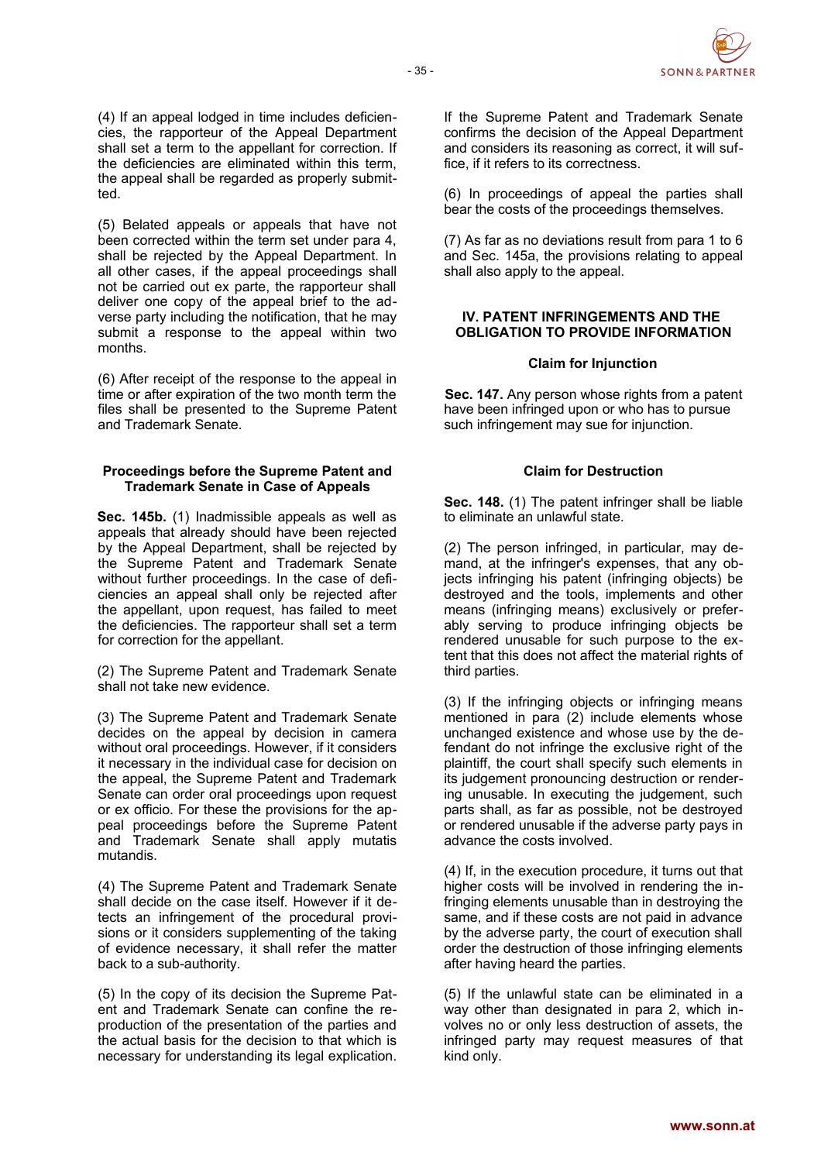

(4) If an appeal lodged in time includes deficiencies, the rapporteur of the Appeal Department shall set a term to the appellant for correction. If the deficiencies are eliminated within this term, the appeal shall be regarded as properly submitted.

(5) Belated appeals or appeals that have not been corrected within the term set under para 4, shall be rejected by the Appeal Department. In all other cases, if the appeal proceedings shall not be carried out ex parte, the rapporteur shall deliver one copy of the appeal brief to the adverse party including the notification, that he may submit a response to the appeal within two months.

(6) After receipt of the response to the appeal in time or after expiration of the two month term the files shall be presented to the Supreme Patent and Trademark Senate.

### **Proceedings before the Supreme Patent and Trademark Senate in Case of Appeals**

**Sec. 145b.** (1) Inadmissible appeals as well as appeals that already should have been rejected by the Appeal Department, shall be rejected by the Supreme Patent and Trademark Senate without further proceedings. In the case of deficiencies an appeal shall only be rejected after the appellant, upon request, has failed to meet the deficiencies. The rapporteur shall set a term for correction for the appellant.

(2) The Supreme Patent and Trademark Senate shall not take new evidence.

(3) The Supreme Patent and Trademark Senate decides on the appeal by decision in camera without oral proceedings. However, if it considers it necessary in the individual case for decision on the appeal, the Supreme Patent and Trademark Senate can order oral proceedings upon request or ex officio. For these the provisions for the appeal proceedings before the Supreme Patent and Trademark Senate shall apply mutatis mutandis.

(4) The Supreme Patent and Trademark Senate shall decide on the case itself. However if it detects an infringement of the procedural provisions or it considers supplementing of the taking of evidence necessary, it shall refer the matter back to a sub-authority.

(5) In the copy of its decision the Supreme Patent and Trademark Senate can confine the reproduction of the presentation of the parties and the actual basis for the decision to that which is necessary for understanding its legal explication.

If the Supreme Patent and Trademark Senate confirms the decision of the Appeal Department and considers its reasoning as correct, it will suffice, if it refers to its correctness.

(6) In proceedings of appeal the parties shall bear the costs of the proceedings themselves.

(7) As far as no deviations result from para 1 to 6 and Sec. 145a, the provisions relating to appeal shall also apply to the appeal.

# **IV. PATENT INFRINGEMENTS AND THE OBLIGATION TO PROVIDE INFORMATION**

### **Claim for Injunction**

**Sec. 147.** Any person whose rights from a patent have been infringed upon or who has to pursue such infringement may sue for injunction.

### **Claim for Destruction**

**Sec. 148.** (1) The patent infringer shall be liable to eliminate an unlawful state.

(2) The person infringed, in particular, may demand, at the infringer's expenses, that any objects infringing his patent (infringing objects) be destroyed and the tools, implements and other means (infringing means) exclusively or preferably serving to produce infringing objects be rendered unusable for such purpose to the extent that this does not affect the material rights of third parties.

(3) If the infringing objects or infringing means mentioned in para (2) include elements whose unchanged existence and whose use by the defendant do not infringe the exclusive right of the plaintiff, the court shall specify such elements in its judgement pronouncing destruction or rendering unusable. In executing the judgement, such parts shall, as far as possible, not be destroyed or rendered unusable if the adverse party pays in advance the costs involved.

(4) If, in the execution procedure, it turns out that higher costs will be involved in rendering the infringing elements unusable than in destroying the same, and if these costs are not paid in advance by the adverse party, the court of execution shall order the destruction of those infringing elements after having heard the parties.

(5) If the unlawful state can be eliminated in a way other than designated in para 2, which involves no or only less destruction of assets, the infringed party may request measures of that kind only.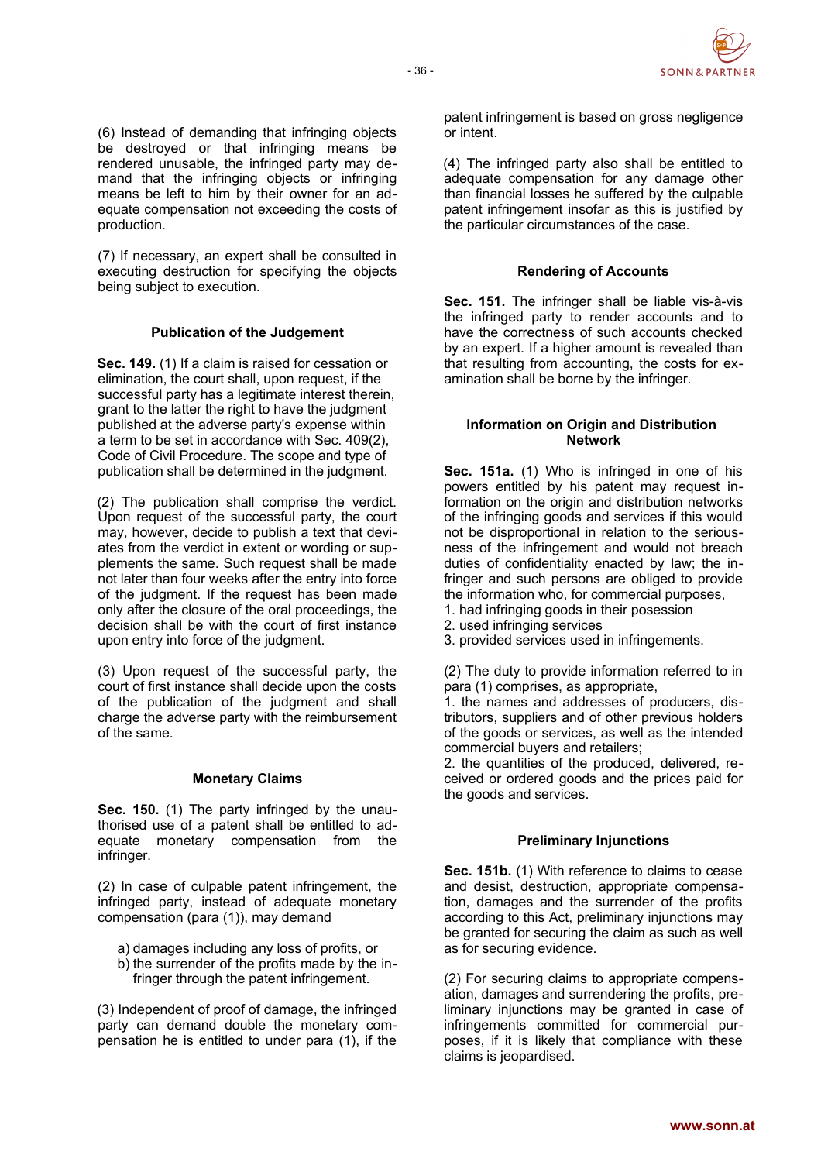

(6) Instead of demanding that infringing objects be destroyed or that infringing means be rendered unusable, the infringed party may demand that the infringing objects or infringing means be left to him by their owner for an adequate compensation not exceeding the costs of production.

(7) If necessary, an expert shall be consulted in executing destruction for specifying the objects being subject to execution.

### **Publication of the Judgement**

**Sec. 149.** (1) If a claim is raised for cessation or elimination, the court shall, upon request, if the successful party has a legitimate interest therein, grant to the latter the right to have the judgment published at the adverse party's expense within a term to be set in accordance with Sec. 409(2), Code of Civil Procedure. The scope and type of publication shall be determined in the judgment.

(2) The publication shall comprise the verdict. Upon request of the successful party, the court may, however, decide to publish a text that deviates from the verdict in extent or wording or supplements the same. Such request shall be made not later than four weeks after the entry into force of the judgment. If the request has been made only after the closure of the oral proceedings, the decision shall be with the court of first instance upon entry into force of the judgment.

(3) Upon request of the successful party, the court of first instance shall decide upon the costs of the publication of the judgment and shall charge the adverse party with the reimbursement of the same.

### **Monetary Claims**

**Sec. 150.** (1) The party infringed by the unauthorised use of a patent shall be entitled to adequate monetary compensation from the infringer.

(2) In case of culpable patent infringement, the infringed party, instead of adequate monetary compensation (para (1)), may demand

- a) damages including any loss of profits, or
- b) the surrender of the profits made by the infringer through the patent infringement.

(3) Independent of proof of damage, the infringed party can demand double the monetary compensation he is entitled to under para (1), if the patent infringement is based on gross negligence or intent.

(4) The infringed party also shall be entitled to adequate compensation for any damage other than financial losses he suffered by the culpable patent infringement insofar as this is justified by the particular circumstances of the case.

#### **Rendering of Accounts**

**Sec. 151.** The infringer shall be liable vis-à-vis the infringed party to render accounts and to have the correctness of such accounts checked by an expert. If a higher amount is revealed than that resulting from accounting, the costs for examination shall be borne by the infringer.

### **Information on Origin and Distribution Network**

**Sec. 151a.** (1) Who is infringed in one of his powers entitled by his patent may request information on the origin and distribution networks of the infringing goods and services if this would not be disproportional in relation to the seriousness of the infringement and would not breach duties of confidentiality enacted by law; the infringer and such persons are obliged to provide the information who, for commercial purposes,

- 1. had infringing goods in their posession
- 2. used infringing services
- 3. provided services used in infringements.

(2) The duty to provide information referred to in para (1) comprises, as appropriate,

1. the names and addresses of producers, distributors, suppliers and of other previous holders of the goods or services, as well as the intended commercial buyers and retailers;

2. the quantities of the produced, delivered, received or ordered goods and the prices paid for the goods and services.

### **Preliminary Injunctions**

**Sec. 151b.** (1) With reference to claims to cease and desist, destruction, appropriate compensation, damages and the surrender of the profits according to this Act, preliminary injunctions may be granted for securing the claim as such as well as for securing evidence.

(2) For securing claims to appropriate compensation, damages and surrendering the profits, preliminary injunctions may be granted in case of infringements committed for commercial purposes, if it is likely that compliance with these claims is jeopardised.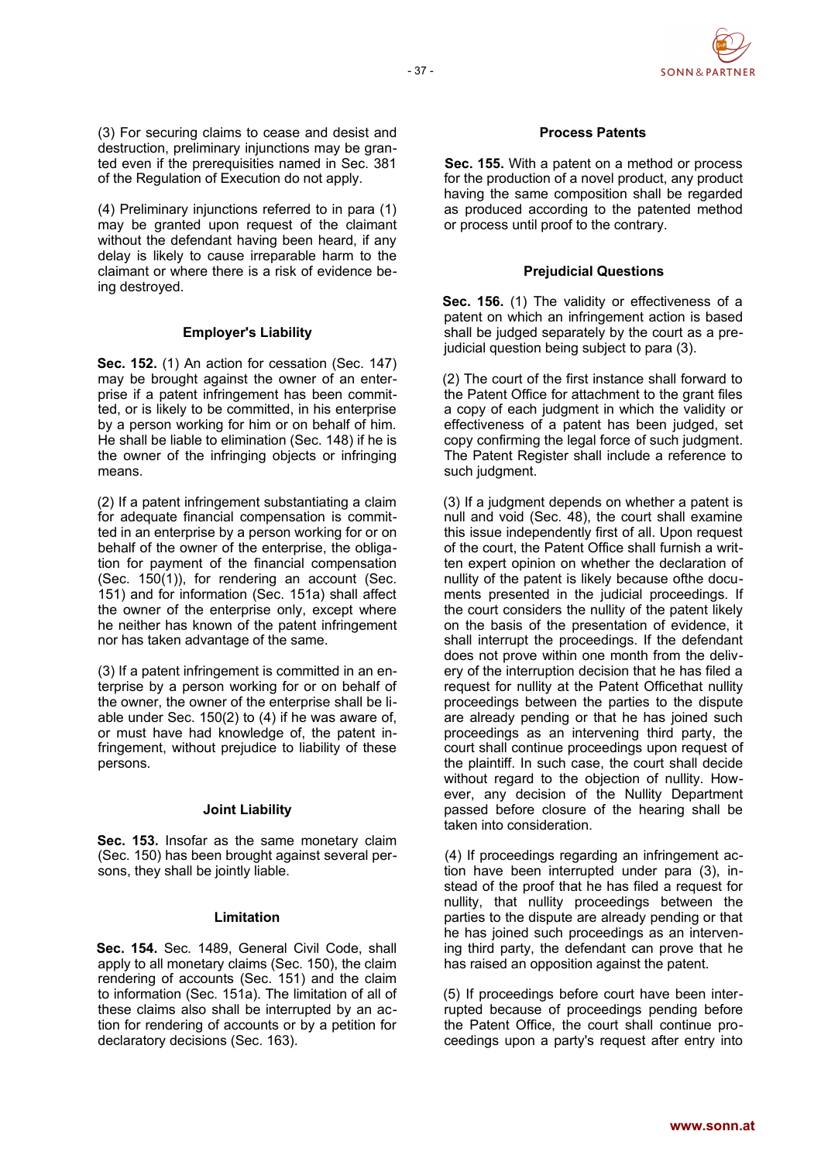

(3) For securing claims to cease and desist and destruction, preliminary injunctions may be granted even if the prerequisities named in Sec. 381 of the Regulation of Execution do not apply.

(4) Preliminary injunctions referred to in para (1) may be granted upon request of the claimant without the defendant having been heard, if any delay is likely to cause irreparable harm to the claimant or where there is a risk of evidence being destroyed.

### **Employer's Liability**

**Sec. 152.** (1) An action for cessation (Sec. 147) may be brought against the owner of an enterprise if a patent infringement has been committed, or is likely to be committed, in his enterprise by a person working for him or on behalf of him. He shall be liable to elimination (Sec. 148) if he is the owner of the infringing objects or infringing means.

(2) If a patent infringement substantiating a claim for adequate financial compensation is committed in an enterprise by a person working for or on behalf of the owner of the enterprise, the obligation for payment of the financial compensation (Sec. 150(1)), for rendering an account (Sec. 151) and for information (Sec. 151a) shall affect the owner of the enterprise only, except where he neither has known of the patent infringement nor has taken advantage of the same.

(3) If a patent infringement is committed in an enterprise by a person working for or on behalf of the owner, the owner of the enterprise shall be liable under Sec. 150(2) to (4) if he was aware of, or must have had knowledge of, the patent infringement, without prejudice to liability of these persons.

### **Joint Liability**

**Sec. 153.** Insofar as the same monetary claim (Sec. 150) has been brought against several persons, they shall be jointly liable.

### **Limitation**

**Sec. 154.** Sec. 1489, General Civil Code, shall apply to all monetary claims (Sec. 150), the claim rendering of accounts (Sec. 151) and the claim to information (Sec. 151a). The limitation of all of these claims also shall be interrupted by an action for rendering of accounts or by a petition for declaratory decisions (Sec. 163).

# **Process Patents**

**Sec. 155.** With a patent on a method or process for the production of a novel product, any product having the same composition shall be regarded as produced according to the patented method or process until proof to the contrary.

# **Prejudicial Questions**

**Sec. 156.** (1) The validity or effectiveness of a patent on which an infringement action is based shall be judged separately by the court as a prejudicial question being subject to para (3).

(2) The court of the first instance shall forward to the Patent Office for attachment to the grant files a copy of each judgment in which the validity or effectiveness of a patent has been judged, set copy confirming the legal force of such judgment. The Patent Register shall include a reference to such judgment.

(3) If a judgment depends on whether a patent is null and void (Sec. 48), the court shall examine this issue independently first of all. Upon request of the court, the Patent Office shall furnish a written expert opinion on whether the declaration of nullity of the patent is likely because ofthe documents presented in the judicial proceedings. If the court considers the nullity of the patent likely on the basis of the presentation of evidence, it shall interrupt the proceedings. If the defendant does not prove within one month from the delivery of the interruption decision that he has filed a request for nullity at the Patent Officethat nullity proceedings between the parties to the dispute are already pending or that he has joined such proceedings as an intervening third party, the court shall continue proceedings upon request of the plaintiff. In such case, the court shall decide without regard to the objection of nullity. However, any decision of the Nullity Department passed before closure of the hearing shall be taken into consideration.

(4) If proceedings regarding an infringement action have been interrupted under para (3), instead of the proof that he has filed a request for nullity, that nullity proceedings between the parties to the dispute are already pending or that he has joined such proceedings as an intervening third party, the defendant can prove that he has raised an opposition against the patent.

(5) If proceedings before court have been interrupted because of proceedings pending before the Patent Office, the court shall continue proceedings upon a party's request after entry into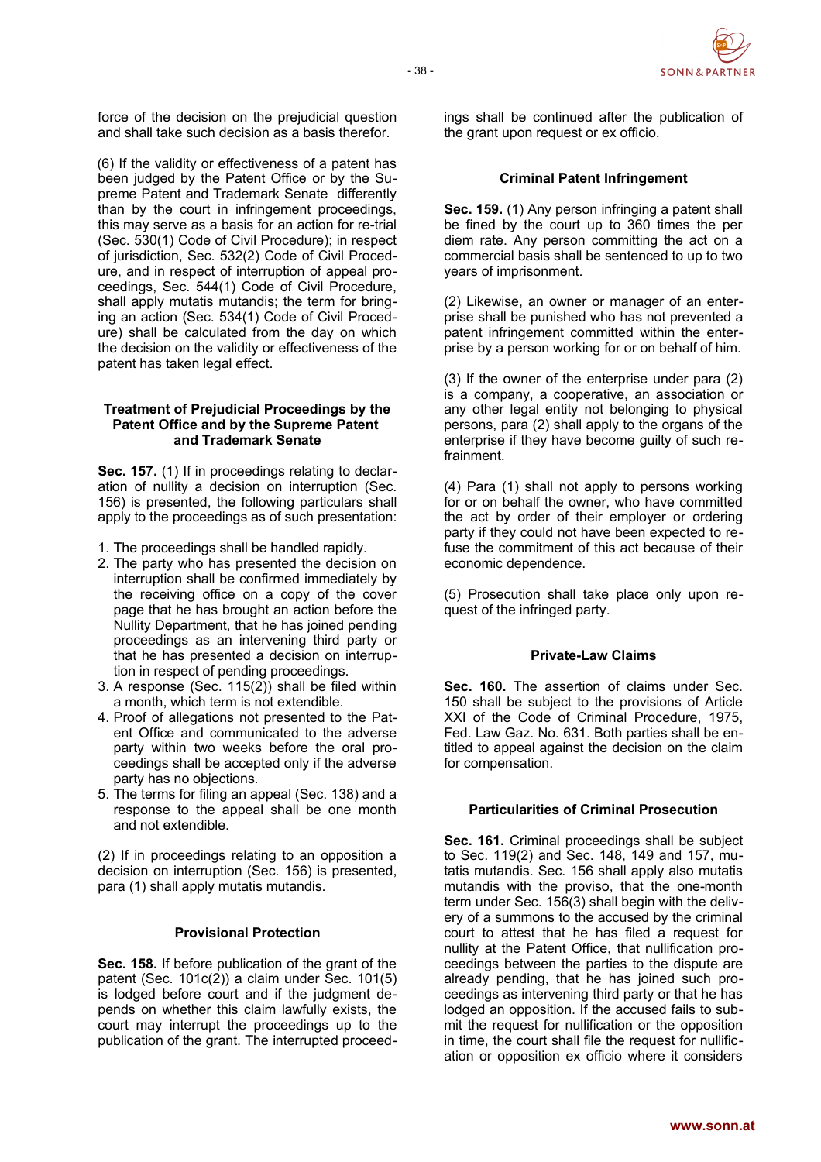

force of the decision on the prejudicial question and shall take such decision as a basis therefor.

(6) If the validity or effectiveness of a patent has been judged by the Patent Office or by the Supreme Patent and Trademark Senate differently than by the court in infringement proceedings, this may serve as a basis for an action for re-trial (Sec. 530(1) Code of Civil Procedure); in respect of jurisdiction, Sec. 532(2) Code of Civil Procedure, and in respect of interruption of appeal proceedings, Sec. 544(1) Code of Civil Procedure, shall apply mutatis mutandis; the term for bringing an action (Sec. 534(1) Code of Civil Procedure) shall be calculated from the day on which the decision on the validity or effectiveness of the patent has taken legal effect.

#### **Treatment of Prejudicial Proceedings by the Patent Office and by the Supreme Patent and Trademark Senate**

**Sec. 157.** (1) If in proceedings relating to declaration of nullity a decision on interruption (Sec. 156) is presented, the following particulars shall apply to the proceedings as of such presentation:

- 1. The proceedings shall be handled rapidly.
- 2. The party who has presented the decision on interruption shall be confirmed immediately by the receiving office on a copy of the cover page that he has brought an action before the Nullity Department, that he has joined pending proceedings as an intervening third party or that he has presented a decision on interruption in respect of pending proceedings.
- 3. A response (Sec. 115(2)) shall be filed within a month, which term is not extendible.
- 4. Proof of allegations not presented to the Patent Office and communicated to the adverse party within two weeks before the oral proceedings shall be accepted only if the adverse party has no objections.
- 5. The terms for filing an appeal (Sec. 138) and a response to the appeal shall be one month and not extendible.

(2) If in proceedings relating to an opposition a decision on interruption (Sec. 156) is presented, para (1) shall apply mutatis mutandis.

#### **Provisional Protection**

**Sec. 158.** If before publication of the grant of the patent (Sec. 101c(2)) a claim under Sec. 101(5) is lodged before court and if the judgment depends on whether this claim lawfully exists, the court may interrupt the proceedings up to the publication of the grant. The interrupted proceedings shall be continued after the publication of the grant upon request or ex officio.

#### **Criminal Patent Infringement**

**Sec. 159.** (1) Any person infringing a patent shall be fined by the court up to 360 times the per diem rate. Any person committing the act on a commercial basis shall be sentenced to up to two years of imprisonment.

(2) Likewise, an owner or manager of an enterprise shall be punished who has not prevented a patent infringement committed within the enterprise by a person working for or on behalf of him.

(3) If the owner of the enterprise under para (2) is a company, a cooperative, an association or any other legal entity not belonging to physical persons, para (2) shall apply to the organs of the enterprise if they have become guilty of such refrainment.

(4) Para (1) shall not apply to persons working for or on behalf the owner, who have committed the act by order of their employer or ordering party if they could not have been expected to refuse the commitment of this act because of their economic dependence.

(5) Prosecution shall take place only upon request of the infringed party.

#### **Private-Law Claims**

**Sec. 160.** The assertion of claims under Sec. 150 shall be subject to the provisions of Article XXI of the Code of Criminal Procedure, 1975, Fed. Law Gaz. No. 631. Both parties shall be entitled to appeal against the decision on the claim for compensation.

#### **Particularities of Criminal Prosecution**

**Sec. 161.** Criminal proceedings shall be subject to Sec. 119(2) and Sec. 148, 149 and 157, mutatis mutandis. Sec. 156 shall apply also mutatis mutandis with the proviso, that the one-month term under Sec. 156(3) shall begin with the delivery of a summons to the accused by the criminal court to attest that he has filed a request for nullity at the Patent Office, that nullification proceedings between the parties to the dispute are already pending, that he has joined such proceedings as intervening third party or that he has lodged an opposition. If the accused fails to submit the request for nullification or the opposition in time, the court shall file the request for nullification or opposition ex officio where it considers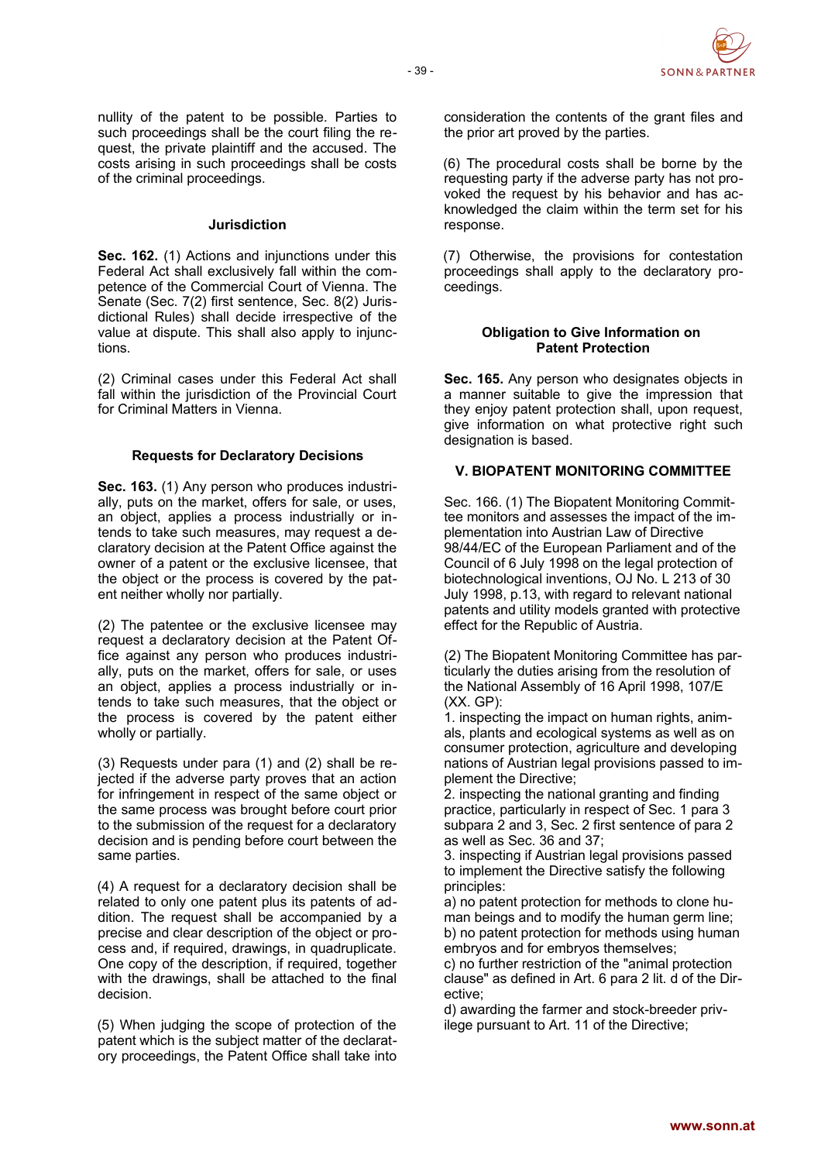

nullity of the patent to be possible. Parties to such proceedings shall be the court filing the request, the private plaintiff and the accused. The costs arising in such proceedings shall be costs of the criminal proceedings.

#### **Jurisdiction**

**Sec. 162.** (1) Actions and injunctions under this Federal Act shall exclusively fall within the competence of the Commercial Court of Vienna. The Senate (Sec. 7(2) first sentence, Sec. 8(2) Jurisdictional Rules) shall decide irrespective of the value at dispute. This shall also apply to injunctions.

(2) Criminal cases under this Federal Act shall fall within the jurisdiction of the Provincial Court for Criminal Matters in Vienna.

#### **Requests for Declaratory Decisions**

**Sec. 163.** (1) Any person who produces industrially, puts on the market, offers for sale, or uses, an object, applies a process industrially or intends to take such measures, may request a declaratory decision at the Patent Office against the owner of a patent or the exclusive licensee, that the object or the process is covered by the patent neither wholly nor partially.

(2) The patentee or the exclusive licensee may request a declaratory decision at the Patent Office against any person who produces industrially, puts on the market, offers for sale, or uses an object, applies a process industrially or intends to take such measures, that the object or the process is covered by the patent either wholly or partially.

(3) Requests under para (1) and (2) shall be rejected if the adverse party proves that an action for infringement in respect of the same object or the same process was brought before court prior to the submission of the request for a declaratory decision and is pending before court between the same parties.

(4) A request for a declaratory decision shall be related to only one patent plus its patents of addition. The request shall be accompanied by a precise and clear description of the object or process and, if required, drawings, in quadruplicate. One copy of the description, if required, together with the drawings, shall be attached to the final decision.

(5) When judging the scope of protection of the patent which is the subject matter of the declaratory proceedings, the Patent Office shall take into consideration the contents of the grant files and the prior art proved by the parties.

(6) The procedural costs shall be borne by the requesting party if the adverse party has not provoked the request by his behavior and has acknowledged the claim within the term set for his response.

(7) Otherwise, the provisions for contestation proceedings shall apply to the declaratory proceedings.

#### **Obligation to Give Information on Patent Protection**

**Sec. 165.** Any person who designates objects in a manner suitable to give the impression that they enjoy patent protection shall, upon request, give information on what protective right such designation is based.

### **V. BIOPATENT MONITORING COMMITTEE**

Sec. 166. (1) The Biopatent Monitoring Committee monitors and assesses the impact of the implementation into Austrian Law of Directive 98/44/EC of the European Parliament and of the Council of 6 July 1998 on the legal protection of biotechnological inventions, OJ No. L 213 of 30 July 1998, p.13, with regard to relevant national patents and utility models granted with protective effect for the Republic of Austria.

(2) The Biopatent Monitoring Committee has particularly the duties arising from the resolution of the National Assembly of 16 April 1998, 107/E (XX. GP):

1. inspecting the impact on human rights, animals, plants and ecological systems as well as on consumer protection, agriculture and developing nations of Austrian legal provisions passed to implement the Directive;

2. inspecting the national granting and finding practice, particularly in respect of Sec. 1 para 3 subpara 2 and 3, Sec. 2 first sentence of para 2 as well as Sec. 36 and 37;

3. inspecting if Austrian legal provisions passed to implement the Directive satisfy the following principles:

a) no patent protection for methods to clone human beings and to modify the human germ line; b) no patent protection for methods using human embryos and for embryos themselves;

c) no further restriction of the "animal protection clause" as defined in Art. 6 para 2 lit. d of the Directive;

d) awarding the farmer and stock-breeder privilege pursuant to Art. 11 of the Directive;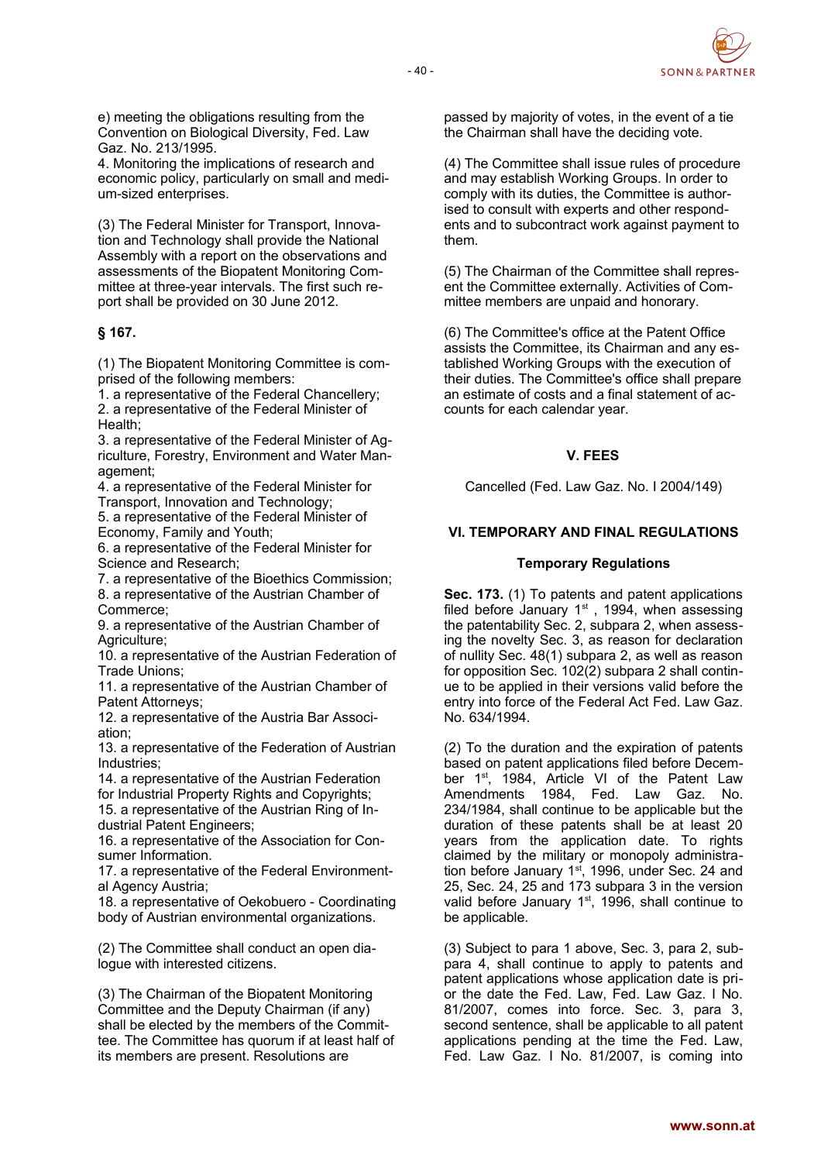

e) meeting the obligations resulting from the Convention on Biological Diversity, Fed. Law Gaz. No. 213/1995.

4. Monitoring the implications of research and economic policy, particularly on small and medium-sized enterprises.

(3) The Federal Minister for Transport, Innovation and Technology shall provide the National Assembly with a report on the observations and assessments of the Biopatent Monitoring Committee at three-year intervals. The first such report shall be provided on 30 June 2012.

### **§ 167.**

(1) The Biopatent Monitoring Committee is comprised of the following members:

1. a representative of the Federal Chancellery; 2. a representative of the Federal Minister of Health;

3. a representative of the Federal Minister of Agriculture, Forestry, Environment and Water Management;

4. a representative of the Federal Minister for Transport, Innovation and Technology;

5. a representative of the Federal Minister of Economy, Family and Youth;

6. a representative of the Federal Minister for Science and Research;

7. a representative of the Bioethics Commission;

8. a representative of the Austrian Chamber of Commerce;

9. a representative of the Austrian Chamber of Agriculture;

10. a representative of the Austrian Federation of Trade Unions;

11. a representative of the Austrian Chamber of Patent Attorneys;

12. a representative of the Austria Bar Association;

13. a representative of the Federation of Austrian Industries;

14. a representative of the Austrian Federation for Industrial Property Rights and Copyrights;

15. a representative of the Austrian Ring of Industrial Patent Engineers;

16. a representative of the Association for Consumer Information.

17. a representative of the Federal Environmental Agency Austria;

18. a representative of Oekobuero - Coordinating body of Austrian environmental organizations.

(2) The Committee shall conduct an open dialogue with interested citizens.

(3) The Chairman of the Biopatent Monitoring Committee and the Deputy Chairman (if any) shall be elected by the members of the Committee. The Committee has quorum if at least half of its members are present. Resolutions are

passed by majority of votes, in the event of a tie the Chairman shall have the deciding vote.

(4) The Committee shall issue rules of procedure and may establish Working Groups. In order to comply with its duties, the Committee is authorised to consult with experts and other respondents and to subcontract work against payment to them.

(5) The Chairman of the Committee shall represent the Committee externally. Activities of Committee members are unpaid and honorary.

(6) The Committee's office at the Patent Office assists the Committee, its Chairman and any established Working Groups with the execution of their duties. The Committee's office shall prepare an estimate of costs and a final statement of accounts for each calendar year.

### **V. FEES**

Cancelled (Fed. Law Gaz. No. I 2004/149)

### **VI. TEMPORARY AND FINAL REGULATIONS**

#### **Temporary Regulations**

**Sec. 173.** (1) To patents and patent applications filed before January  $1<sup>st</sup>$ , 1994, when assessing the patentability Sec. 2, subpara 2, when assessing the novelty Sec. 3, as reason for declaration of nullity Sec. 48(1) subpara 2, as well as reason for opposition Sec. 102(2) subpara 2 shall continue to be applied in their versions valid before the entry into force of the Federal Act Fed. Law Gaz. No. 634/1994.

(2) To the duration and the expiration of patents based on patent applications filed before December 1<sup>st</sup>, 1984, Article VI of the Patent Law Amendments 1984, Fed. Law Gaz. No. 234/1984, shall continue to be applicable but the duration of these patents shall be at least 20 years from the application date. To rights claimed by the military or monopoly administration before January  $1<sup>st</sup>$ , 1996, under Sec. 24 and 25, Sec. 24, 25 and 173 subpara 3 in the version valid before January  $1<sup>st</sup>$ , 1996, shall continue to be applicable.

(3) Subject to para 1 above, Sec. 3, para 2, subpara 4, shall continue to apply to patents and patent applications whose application date is prior the date the Fed. Law, Fed. Law Gaz. I No. 81/2007, comes into force. Sec. 3, para 3, second sentence, shall be applicable to all patent applications pending at the time the Fed. Law, Fed. Law Gaz. I No. 81/2007, is coming into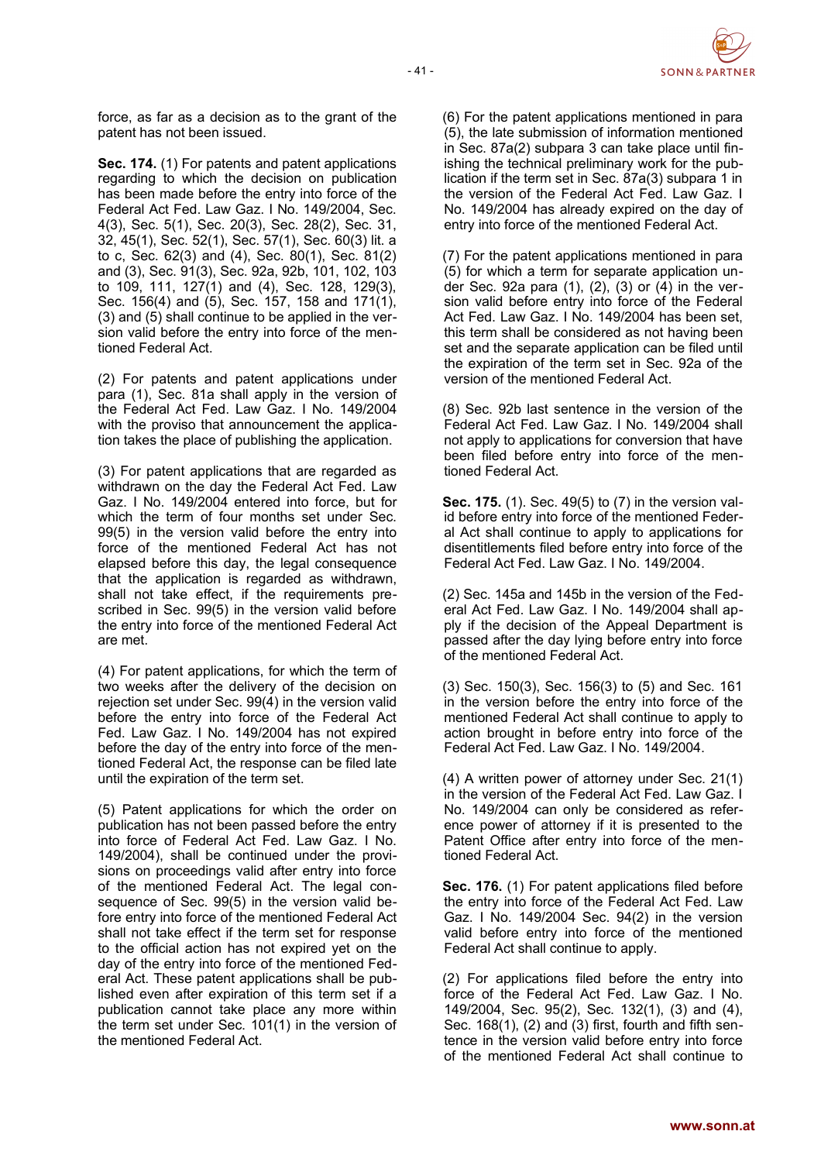

force, as far as a decision as to the grant of the patent has not been issued.

**Sec. 174.** (1) For patents and patent applications regarding to which the decision on publication has been made before the entry into force of the Federal Act Fed. Law Gaz. I No. 149/2004, Sec. 4(3), Sec. 5(1), Sec. 20(3), Sec. 28(2), Sec. 31, 32, 45(1), Sec. 52(1), Sec. 57(1), Sec. 60(3) lit. a to c, Sec. 62(3) and (4), Sec. 80(1), Sec. 81(2) and (3), Sec. 91(3), Sec. 92a, 92b, 101, 102, 103 to 109, 111, 127(1) and (4), Sec. 128, 129(3), Sec. 156(4) and (5), Sec. 157, 158 and 171(1), (3) and (5) shall continue to be applied in the version valid before the entry into force of the mentioned Federal Act.

(2) For patents and patent applications under para (1), Sec. 81a shall apply in the version of the Federal Act Fed. Law Gaz. I No. 149/2004 with the proviso that announcement the application takes the place of publishing the application.

(3) For patent applications that are regarded as withdrawn on the day the Federal Act Fed. Law Gaz. I No. 149/2004 entered into force, but for which the term of four months set under Sec. 99(5) in the version valid before the entry into force of the mentioned Federal Act has not elapsed before this day, the legal consequence that the application is regarded as withdrawn, shall not take effect, if the requirements prescribed in Sec. 99(5) in the version valid before the entry into force of the mentioned Federal Act are met.

(4) For patent applications, for which the term of two weeks after the delivery of the decision on rejection set under Sec. 99(4) in the version valid before the entry into force of the Federal Act Fed. Law Gaz. I No. 149/2004 has not expired before the day of the entry into force of the mentioned Federal Act, the response can be filed late until the expiration of the term set.

(5) Patent applications for which the order on publication has not been passed before the entry into force of Federal Act Fed. Law Gaz. I No. 149/2004), shall be continued under the provisions on proceedings valid after entry into force of the mentioned Federal Act. The legal consequence of Sec. 99(5) in the version valid before entry into force of the mentioned Federal Act shall not take effect if the term set for response to the official action has not expired yet on the day of the entry into force of the mentioned Federal Act. These patent applications shall be published even after expiration of this term set if a publication cannot take place any more within the term set under Sec. 101(1) in the version of the mentioned Federal Act.

(6) For the patent applications mentioned in para (5), the late submission of information mentioned in Sec. 87a(2) subpara 3 can take place until finishing the technical preliminary work for the publication if the term set in Sec. 87a(3) subpara 1 in the version of the Federal Act Fed. Law Gaz. I No. 149/2004 has already expired on the day of entry into force of the mentioned Federal Act.

(7) For the patent applications mentioned in para (5) for which a term for separate application under Sec. 92a para (1), (2), (3) or (4) in the version valid before entry into force of the Federal Act Fed. Law Gaz. I No. 149/2004 has been set, this term shall be considered as not having been set and the separate application can be filed until the expiration of the term set in Sec. 92a of the version of the mentioned Federal Act.

(8) Sec. 92b last sentence in the version of the Federal Act Fed. Law Gaz. I No. 149/2004 shall not apply to applications for conversion that have been filed before entry into force of the mentioned Federal Act.

**Sec. 175.** (1). Sec. 49(5) to (7) in the version valid before entry into force of the mentioned Federal Act shall continue to apply to applications for disentitlements filed before entry into force of the Federal Act Fed. Law Gaz. I No. 149/2004.

(2) Sec. 145a and 145b in the version of the Federal Act Fed. Law Gaz. I No. 149/2004 shall apply if the decision of the Appeal Department is passed after the day lying before entry into force of the mentioned Federal Act.

(3) Sec. 150(3), Sec. 156(3) to (5) and Sec. 161 in the version before the entry into force of the mentioned Federal Act shall continue to apply to action brought in before entry into force of the Federal Act Fed. Law Gaz. I No. 149/2004.

(4) A written power of attorney under Sec. 21(1) in the version of the Federal Act Fed. Law Gaz. I No. 149/2004 can only be considered as reference power of attorney if it is presented to the Patent Office after entry into force of the mentioned Federal Act.

**Sec. 176.** (1) For patent applications filed before the entry into force of the Federal Act Fed. Law Gaz. I No. 149/2004 Sec. 94(2) in the version valid before entry into force of the mentioned Federal Act shall continue to apply.

(2) For applications filed before the entry into force of the Federal Act Fed. Law Gaz. I No. 149/2004, Sec. 95(2), Sec. 132(1), (3) and (4), Sec. 168(1), (2) and (3) first, fourth and fifth sentence in the version valid before entry into force of the mentioned Federal Act shall continue to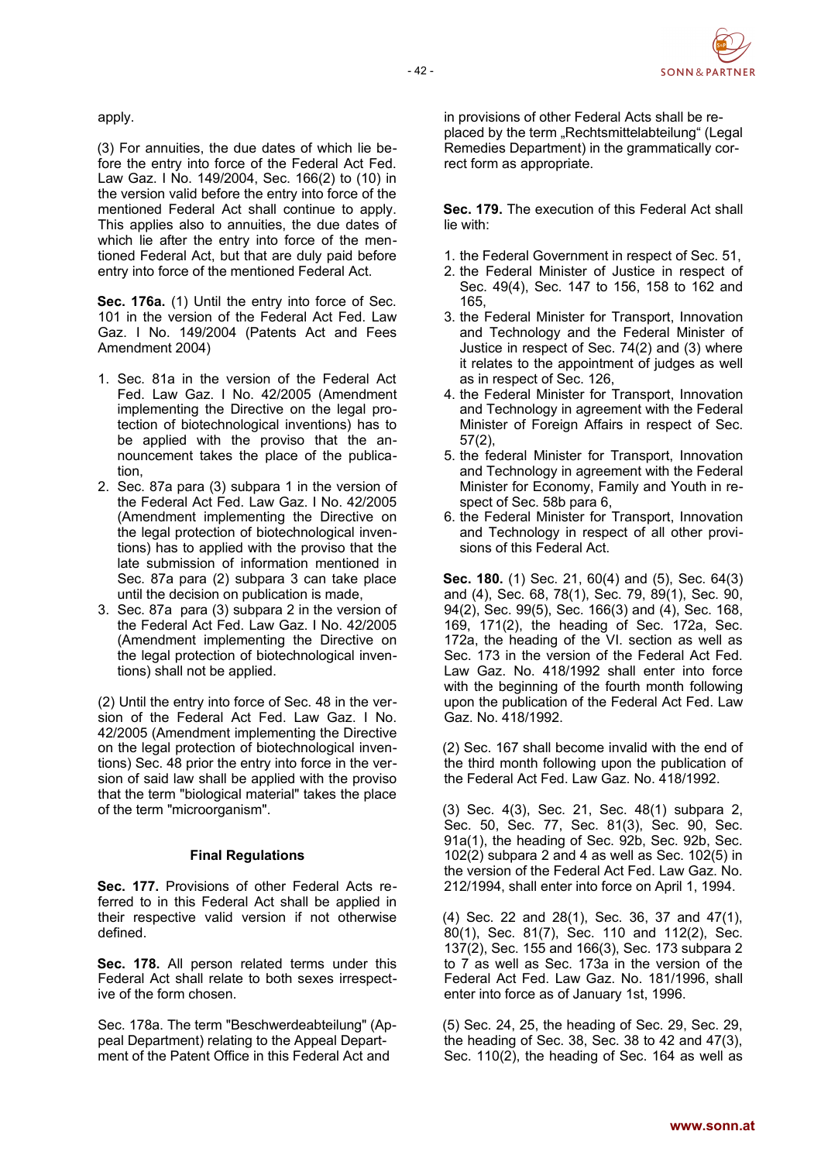

apply.

(3) For annuities, the due dates of which lie before the entry into force of the Federal Act Fed. Law Gaz. I No. 149/2004, Sec. 166(2) to (10) in the version valid before the entry into force of the mentioned Federal Act shall continue to apply. This applies also to annuities, the due dates of which lie after the entry into force of the mentioned Federal Act, but that are duly paid before entry into force of the mentioned Federal Act.

**Sec. 176a.** (1) Until the entry into force of Sec. 101 in the version of the Federal Act Fed. Law Gaz. I No. 149/2004 (Patents Act and Fees Amendment 2004)

- 1. Sec. 81a in the version of the Federal Act Fed. Law Gaz. I No. 42/2005 (Amendment implementing the Directive on the legal protection of biotechnological inventions) has to be applied with the proviso that the announcement takes the place of the publication,
- 2. Sec. 87a para (3) subpara 1 in the version of the Federal Act Fed. Law Gaz. I No. 42/2005 (Amendment implementing the Directive on the legal protection of biotechnological inventions) has to applied with the proviso that the late submission of information mentioned in Sec. 87a para (2) subpara 3 can take place until the decision on publication is made,
- 3. Sec. 87a para (3) subpara 2 in the version of the Federal Act Fed. Law Gaz. I No. 42/2005 (Amendment implementing the Directive on the legal protection of biotechnological inventions) shall not be applied.

(2) Until the entry into force of Sec. 48 in the version of the Federal Act Fed. Law Gaz. I No. 42/2005 (Amendment implementing the Directive on the legal protection of biotechnological inventions) Sec. 48 prior the entry into force in the version of said law shall be applied with the proviso that the term "biological material" takes the place of the term "microorganism".

### **Final Regulations**

**Sec. 177.** Provisions of other Federal Acts referred to in this Federal Act shall be applied in their respective valid version if not otherwise defined.

**Sec. 178.** All person related terms under this Federal Act shall relate to both sexes irrespective of the form chosen.

Sec. 178a. The term "Beschwerdeabteilung" (Appeal Department) relating to the Appeal Department of the Patent Office in this Federal Act and

in provisions of other Federal Acts shall be replaced by the term "Rechtsmittelabteilung" (Legal Remedies Department) in the grammatically correct form as appropriate.

**Sec. 179.** The execution of this Federal Act shall lie with:

- 1. the Federal Government in respect of Sec. 51,
- 2. the Federal Minister of Justice in respect of Sec. 49(4), Sec. 147 to 156, 158 to 162 and 165,
- 3. the Federal Minister for Transport, Innovation and Technology and the Federal Minister of Justice in respect of Sec. 74(2) and (3) where it relates to the appointment of judges as well as in respect of Sec. 126,
- 4. the Federal Minister for Transport, Innovation and Technology in agreement with the Federal Minister of Foreign Affairs in respect of Sec. 57(2),
- 5. the federal Minister for Transport, Innovation and Technology in agreement with the Federal Minister for Economy, Family and Youth in respect of Sec. 58b para 6,
- 6. the Federal Minister for Transport, Innovation and Technology in respect of all other provisions of this Federal Act.

**Sec. 180.** (1) Sec. 21, 60(4) and (5), Sec. 64(3) and (4), Sec. 68, 78(1), Sec. 79, 89(1), Sec. 90, 94(2), Sec. 99(5), Sec. 166(3) and (4), Sec. 168, 169, 171(2), the heading of Sec. 172a, Sec. 172a, the heading of the VI. section as well as Sec. 173 in the version of the Federal Act Fed. Law Gaz. No. 418/1992 shall enter into force with the beginning of the fourth month following upon the publication of the Federal Act Fed. Law Gaz. No. 418/1992.

(2) Sec. 167 shall become invalid with the end of the third month following upon the publication of the Federal Act Fed. Law Gaz. No. 418/1992.

(3) Sec. 4(3), Sec. 21, Sec. 48(1) subpara 2, Sec. 50, Sec. 77, Sec. 81(3), Sec. 90, Sec. 91a(1), the heading of Sec. 92b, Sec. 92b, Sec. 102(2) subpara 2 and 4 as well as Sec. 102(5) in the version of the Federal Act Fed. Law Gaz. No. 212/1994, shall enter into force on April 1, 1994.

(4) Sec. 22 and 28(1), Sec. 36, 37 and 47(1), 80(1), Sec. 81(7), Sec. 110 and 112(2), Sec. 137(2), Sec. 155 and 166(3), Sec. 173 subpara 2 to 7 as well as Sec. 173a in the version of the Federal Act Fed. Law Gaz. No. 181/1996, shall enter into force as of January 1st, 1996.

(5) Sec. 24, 25, the heading of Sec. 29, Sec. 29, the heading of Sec. 38, Sec. 38 to 42 and 47(3), Sec. 110(2), the heading of Sec. 164 as well as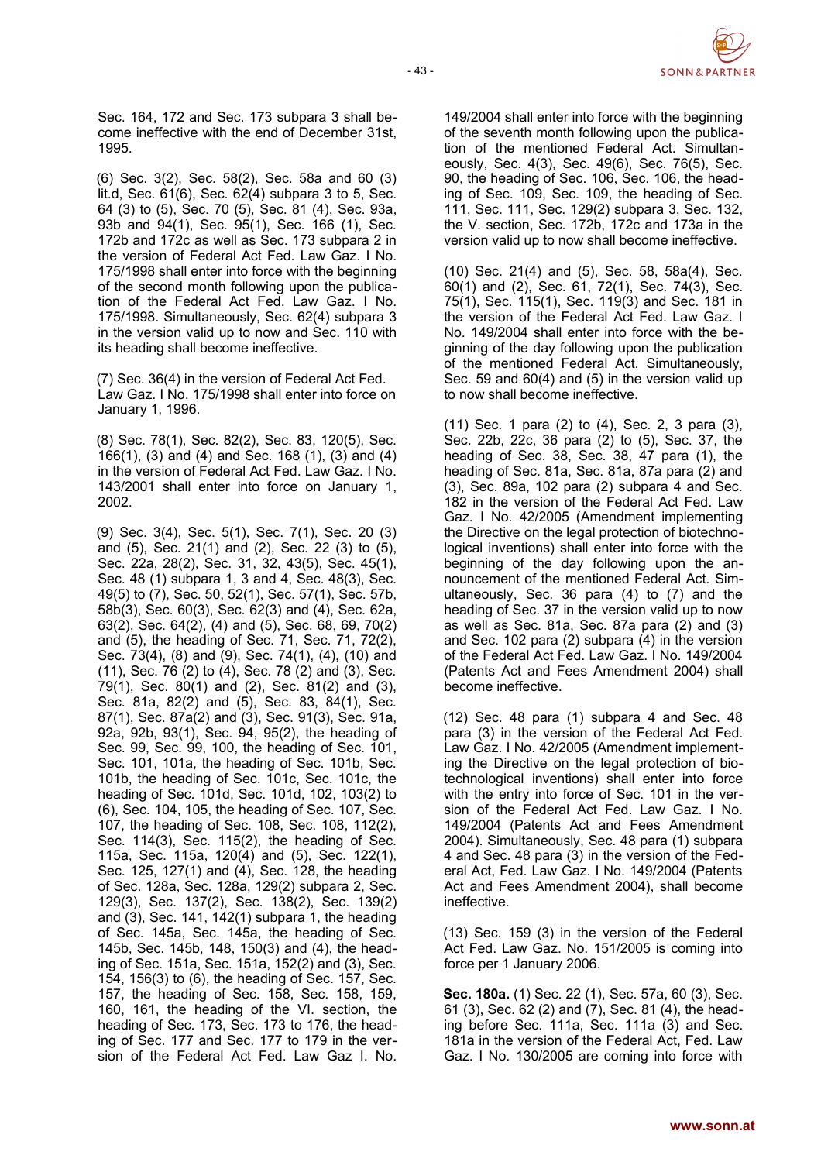

Sec. 164, 172 and Sec. 173 subpara 3 shall become ineffective with the end of December 31st, 1995.

(6) Sec. 3(2), Sec. 58(2), Sec. 58a and 60 (3) lit.d, Sec. 61(6), Sec. 62(4) subpara 3 to 5, Sec. 64 (3) to (5), Sec. 70 (5), Sec. 81 (4), Sec. 93a, 93b and 94(1), Sec. 95(1), Sec. 166 (1), Sec. 172b and 172c as well as Sec. 173 subpara 2 in the version of Federal Act Fed. Law Gaz. I No. 175/1998 shall enter into force with the beginning of the second month following upon the publication of the Federal Act Fed. Law Gaz. I No. 175/1998. Simultaneously, Sec. 62(4) subpara 3 in the version valid up to now and Sec. 110 with its heading shall become ineffective.

(7) Sec. 36(4) in the version of Federal Act Fed. Law Gaz. I No. 175/1998 shall enter into force on January 1, 1996.

(8) Sec. 78(1), Sec. 82(2), Sec. 83, 120(5), Sec. 166(1), (3) and (4) and Sec. 168 (1), (3) and (4) in the version of Federal Act Fed. Law Gaz. I No. 143/2001 shall enter into force on January 1, 2002.

(9) Sec. 3(4), Sec. 5(1), Sec. 7(1), Sec. 20 (3) and (5), Sec. 21(1) and (2), Sec. 22 (3) to (5), Sec. 22a, 28(2), Sec. 31, 32, 43(5), Sec. 45(1), Sec. 48 (1) subpara 1, 3 and 4, Sec. 48(3), Sec. 49(5) to (7), Sec. 50, 52(1), Sec. 57(1), Sec. 57b, 58b(3), Sec. 60(3), Sec. 62(3) and (4), Sec. 62a, 63(2), Sec. 64(2), (4) and (5), Sec. 68, 69, 70(2) and (5), the heading of Sec. 71, Sec. 71, 72(2), Sec. 73(4), (8) and (9), Sec. 74(1), (4), (10) and (11), Sec. 76 (2) to (4), Sec. 78 (2) and (3), Sec. 79(1), Sec. 80(1) and (2), Sec. 81(2) and (3), Sec. 81a, 82(2) and (5), Sec. 83, 84(1), Sec. 87(1), Sec. 87a(2) and (3), Sec. 91(3), Sec. 91a, 92a, 92b, 93(1), Sec. 94, 95(2), the heading of Sec. 99, Sec. 99, 100, the heading of Sec. 101, Sec. 101, 101a, the heading of Sec. 101b, Sec. 101b, the heading of Sec. 101c, Sec. 101c, the heading of Sec. 101d, Sec. 101d, 102, 103(2) to (6), Sec. 104, 105, the heading of Sec. 107, Sec. 107, the heading of Sec. 108, Sec. 108, 112(2), Sec. 114(3), Sec. 115(2), the heading of Sec. 115a, Sec. 115a, 120(4) and (5), Sec. 122(1), Sec. 125, 127(1) and (4), Sec. 128, the heading of Sec. 128a, Sec. 128a, 129(2) subpara 2, Sec. 129(3), Sec. 137(2), Sec. 138(2), Sec. 139(2) and (3), Sec. 141, 142(1) subpara 1, the heading of Sec. 145a, Sec. 145a, the heading of Sec. 145b, Sec. 145b, 148, 150(3) and (4), the heading of Sec. 151a, Sec. 151a, 152(2) and (3), Sec. 154, 156(3) to (6), the heading of Sec. 157, Sec. 157, the heading of Sec. 158, Sec. 158, 159, 160, 161, the heading of the VI. section, the heading of Sec. 173, Sec. 173 to 176, the heading of Sec. 177 and Sec. 177 to 179 in the version of the Federal Act Fed. Law Gaz I. No.

149/2004 shall enter into force with the beginning of the seventh month following upon the publication of the mentioned Federal Act. Simultaneously, Sec. 4(3), Sec. 49(6), Sec. 76(5), Sec. 90, the heading of Sec. 106, Sec. 106, the heading of Sec. 109, Sec. 109, the heading of Sec. 111, Sec. 111, Sec. 129(2) subpara 3, Sec. 132, the V. section, Sec. 172b, 172c and 173a in the version valid up to now shall become ineffective.

(10) Sec. 21(4) and (5), Sec. 58, 58a(4), Sec. 60(1) and (2), Sec. 61, 72(1), Sec. 74(3), Sec. 75(1), Sec. 115(1), Sec. 119(3) and Sec. 181 in the version of the Federal Act Fed. Law Gaz. I No. 149/2004 shall enter into force with the beginning of the day following upon the publication of the mentioned Federal Act. Simultaneously, Sec. 59 and 60(4) and (5) in the version valid up to now shall become ineffective.

(11) Sec. 1 para (2) to (4), Sec. 2, 3 para (3), Sec. 22b, 22c, 36 para (2) to (5), Sec. 37, the heading of Sec. 38, Sec. 38, 47 para (1), the heading of Sec. 81a, Sec. 81a, 87a para (2) and (3), Sec. 89a, 102 para (2) subpara 4 and Sec. 182 in the version of the Federal Act Fed. Law Gaz. I No. 42/2005 (Amendment implementing the Directive on the legal protection of biotechnological inventions) shall enter into force with the beginning of the day following upon the announcement of the mentioned Federal Act. Simultaneously, Sec. 36 para (4) to (7) and the heading of Sec. 37 in the version valid up to now as well as Sec. 81a, Sec. 87a para  $(2)$  and  $(3)$ and Sec. 102 para (2) subpara (4) in the version of the Federal Act Fed. Law Gaz. I No. 149/2004 (Patents Act and Fees Amendment 2004) shall become ineffective.

(12) Sec. 48 para (1) subpara 4 and Sec. 48 para (3) in the version of the Federal Act Fed. Law Gaz. I No. 42/2005 (Amendment implementing the Directive on the legal protection of biotechnological inventions) shall enter into force with the entry into force of Sec. 101 in the version of the Federal Act Fed. Law Gaz. I No. 149/2004 (Patents Act and Fees Amendment 2004). Simultaneously, Sec. 48 para (1) subpara 4 and Sec. 48 para (3) in the version of the Federal Act, Fed. Law Gaz. I No. 149/2004 (Patents Act and Fees Amendment 2004), shall become ineffective.

(13) Sec. 159 (3) in the version of the Federal Act Fed. Law Gaz. No. 151/2005 is coming into force per 1 January 2006.

**Sec. 180a.** (1) Sec. 22 (1), Sec. 57a, 60 (3), Sec. 61 (3), Sec. 62 (2) and (7), Sec. 81 (4), the heading before Sec. 111a, Sec. 111a (3) and Sec. 181a in the version of the Federal Act, Fed. Law Gaz. I No. 130/2005 are coming into force with